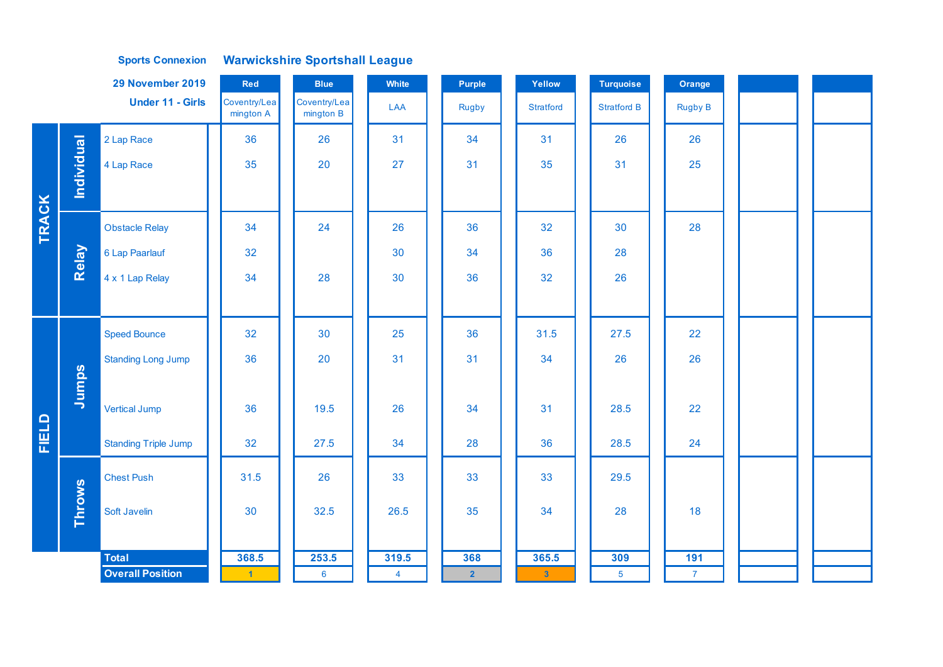## **Sports Connexion Warwickshire Sportshall League**

|       |                   | 29 November 2019            | Red                       | <b>Blue</b>               | White          | <b>Purple</b>  | Yellow                  | <b>Turquoise</b>   | Orange         |  |  |
|-------|-------------------|-----------------------------|---------------------------|---------------------------|----------------|----------------|-------------------------|--------------------|----------------|--|--|
|       |                   | <b>Under 11 - Girls</b>     | Coventry/Lea<br>mington A | Coventry/Lea<br>mington B | LAA            | Rugby          | <b>Stratford</b>        | <b>Stratford B</b> | <b>Rugby B</b> |  |  |
|       |                   | 2 Lap Race                  | 36                        | 26                        | 31             | 34             | 31                      | 26                 | 26             |  |  |
|       | <b>Individual</b> | 4 Lap Race                  | 35                        | 20                        | 27             | 31             | 35                      | 31                 | 25             |  |  |
|       |                   |                             |                           |                           |                |                |                         |                    |                |  |  |
| TRACK |                   | <b>Obstacle Relay</b>       | 34                        | 24                        | 26             | 36             | 32                      | 30                 | 28             |  |  |
|       | Relay             | 6 Lap Paarlauf              | 32                        |                           | 30             | 34             | 36                      | 28                 |                |  |  |
|       |                   | 4 x 1 Lap Relay             | 34                        | 28                        | 30             | 36             | 32                      | 26                 |                |  |  |
|       |                   |                             |                           |                           |                |                |                         |                    |                |  |  |
|       |                   | <b>Speed Bounce</b>         | 32                        | 30                        | 25             | 36             | 31.5                    | 27.5               | 22             |  |  |
|       |                   | <b>Standing Long Jump</b>   | 36                        | 20                        | 31             | 31             | 34                      | 26                 | 26             |  |  |
|       | Jumps             |                             |                           |                           |                |                |                         |                    |                |  |  |
|       |                   | <b>Vertical Jump</b>        | 36                        | 19.5                      | 26             | 34             | 31                      | 28.5               | 22             |  |  |
| FIELD |                   | <b>Standing Triple Jump</b> | 32                        | 27.5                      | 34             | 28             | 36                      | 28.5               | 24             |  |  |
|       |                   | <b>Chest Push</b>           | 31.5                      | 26                        | 33             | 33             | 33                      | 29.5               |                |  |  |
|       | <b>Throws</b>     | Soft Javelin                | 30                        | 32.5                      | 26.5           | 35             | 34                      | 28                 | 18             |  |  |
|       |                   |                             |                           |                           |                |                |                         |                    |                |  |  |
|       |                   | <b>Total</b>                | 368.5                     | 253.5                     | 319.5          | 368            | 365.5                   | 309                | 191            |  |  |
|       |                   | <b>Overall Position</b>     | $-1$                      | $6\phantom{a}$            | $\overline{4}$ | 2 <sup>1</sup> | $\overline{\mathbf{3}}$ | 5 <sup>5</sup>     | $\overline{7}$ |  |  |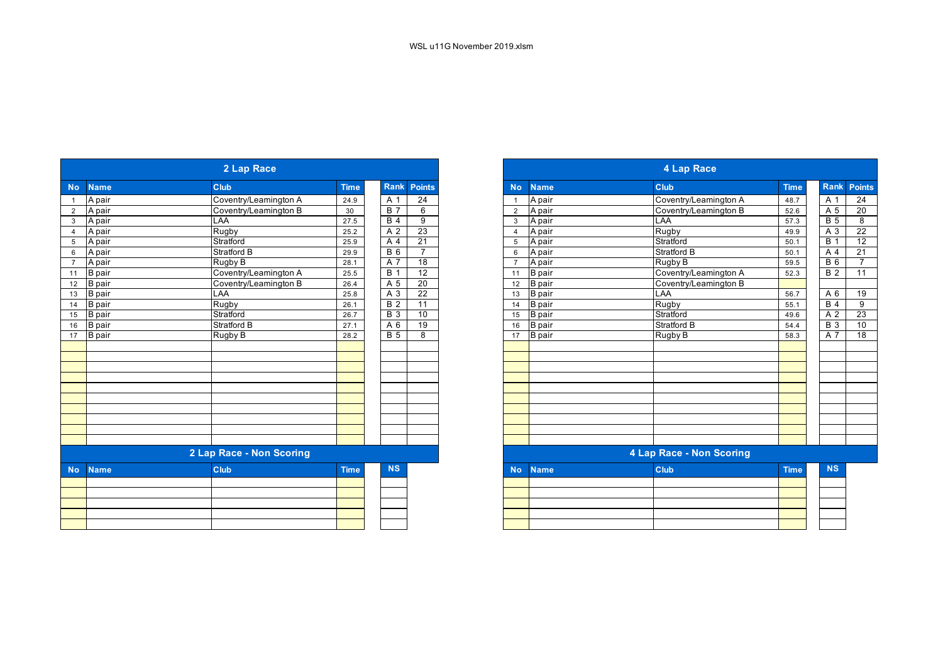| <b>Rank Points</b><br><b>Name</b><br><b>Club</b><br><b>Time</b><br><b>Name</b><br><b>Club</b><br><b>No</b><br><b>No</b><br>$\overline{24}$<br>Coventry/Leamington A<br>Coventry/Leamington A<br>A pair<br>A 1<br>A pair<br>24.9<br>$\overline{1}$<br>$\mathbf 1$<br>$\overline{B}$ 7<br>Coventry/Leamington B<br>6<br>A pair<br>A pair<br>Coventry/Leamington B<br>$2^{\circ}$<br>30<br>$\overline{2}$<br><b>B</b> 4<br>9<br>LAA<br>LAA<br>A pair<br>A pair<br>$\mathbf{3}$<br>27.5<br>3<br>23<br><b>Rugby</b><br>Rugby<br>A 2<br>A pair<br>25.2<br>A pair<br>$\overline{4}$<br>$\overline{4}$<br>$\overline{21}$<br>Stratford<br>Stratford<br>A 4<br>A pair<br>5<br>25.9<br>A pair<br>5<br><b>B</b> 6<br>$\overline{7}$<br><b>Stratford B</b><br><b>Stratford B</b><br>6<br>A pair<br>A pair<br>29.9<br>6<br>$\overline{18}$<br>Rugby B<br>A 7<br>A pair<br>A pair<br>Rugby B<br>$\overline{7}$<br>28.1<br>$\overline{7}$<br><b>B</b> 1<br>Coventry/Leamington A<br><b>B</b> pair<br>Coventry/Leamington A<br>12<br>$\overline{B}$ pair<br>25.5<br>11<br>11<br><b>B</b> pair<br>Coventry/Leamington B<br>A 5<br>20<br><b>B</b> pair<br>Coventry/Leamington B<br>12<br>26.4<br>12<br>LAA<br>A 3<br>22<br>LAA<br><b>B</b> pair<br><b>B</b> pair<br>13<br>25.8<br>13<br>Rugby<br>$\overline{B2}$<br>11<br>Rugby<br><b>B</b> pair<br><b>B</b> pair<br>26.1<br>14<br>14<br>$\overline{B}3$<br>Stratford<br>Stratford<br>10<br><b>B</b> pair<br><b>B</b> pair<br>15<br>26.7<br>15<br>$\overline{19}$<br><b>Stratford B</b><br><b>Stratford B</b><br>A 6<br><b>B</b> pair<br><b>B</b> pair<br>16<br>27.1<br>16<br>8<br><b>B</b> 5<br><b>B</b> pair<br>Rugby B<br><b>B</b> pair<br>Rugby B<br>17<br>28.2<br>17<br>2 Lap Race - Non Scoring<br><b>NS</b><br>Club<br><b>Club</b><br><b>Name</b><br><b>Time</b><br><b>Name</b><br><b>No</b><br><b>No</b> |  | 2 Lap Race |  |  | <b>4 Lap Race</b> |                          |             |
|------------------------------------------------------------------------------------------------------------------------------------------------------------------------------------------------------------------------------------------------------------------------------------------------------------------------------------------------------------------------------------------------------------------------------------------------------------------------------------------------------------------------------------------------------------------------------------------------------------------------------------------------------------------------------------------------------------------------------------------------------------------------------------------------------------------------------------------------------------------------------------------------------------------------------------------------------------------------------------------------------------------------------------------------------------------------------------------------------------------------------------------------------------------------------------------------------------------------------------------------------------------------------------------------------------------------------------------------------------------------------------------------------------------------------------------------------------------------------------------------------------------------------------------------------------------------------------------------------------------------------------------------------------------------------------------------------------------------------------------------------------------------------------------------------------------------------------------------|--|------------|--|--|-------------------|--------------------------|-------------|
|                                                                                                                                                                                                                                                                                                                                                                                                                                                                                                                                                                                                                                                                                                                                                                                                                                                                                                                                                                                                                                                                                                                                                                                                                                                                                                                                                                                                                                                                                                                                                                                                                                                                                                                                                                                                                                                |  |            |  |  |                   |                          | <b>Time</b> |
|                                                                                                                                                                                                                                                                                                                                                                                                                                                                                                                                                                                                                                                                                                                                                                                                                                                                                                                                                                                                                                                                                                                                                                                                                                                                                                                                                                                                                                                                                                                                                                                                                                                                                                                                                                                                                                                |  |            |  |  |                   |                          | 48.7        |
|                                                                                                                                                                                                                                                                                                                                                                                                                                                                                                                                                                                                                                                                                                                                                                                                                                                                                                                                                                                                                                                                                                                                                                                                                                                                                                                                                                                                                                                                                                                                                                                                                                                                                                                                                                                                                                                |  |            |  |  |                   |                          | 52.6        |
|                                                                                                                                                                                                                                                                                                                                                                                                                                                                                                                                                                                                                                                                                                                                                                                                                                                                                                                                                                                                                                                                                                                                                                                                                                                                                                                                                                                                                                                                                                                                                                                                                                                                                                                                                                                                                                                |  |            |  |  |                   |                          | 57.3        |
|                                                                                                                                                                                                                                                                                                                                                                                                                                                                                                                                                                                                                                                                                                                                                                                                                                                                                                                                                                                                                                                                                                                                                                                                                                                                                                                                                                                                                                                                                                                                                                                                                                                                                                                                                                                                                                                |  |            |  |  |                   |                          | 49.9        |
|                                                                                                                                                                                                                                                                                                                                                                                                                                                                                                                                                                                                                                                                                                                                                                                                                                                                                                                                                                                                                                                                                                                                                                                                                                                                                                                                                                                                                                                                                                                                                                                                                                                                                                                                                                                                                                                |  |            |  |  |                   |                          | 50.1        |
|                                                                                                                                                                                                                                                                                                                                                                                                                                                                                                                                                                                                                                                                                                                                                                                                                                                                                                                                                                                                                                                                                                                                                                                                                                                                                                                                                                                                                                                                                                                                                                                                                                                                                                                                                                                                                                                |  |            |  |  |                   |                          | 50.1        |
|                                                                                                                                                                                                                                                                                                                                                                                                                                                                                                                                                                                                                                                                                                                                                                                                                                                                                                                                                                                                                                                                                                                                                                                                                                                                                                                                                                                                                                                                                                                                                                                                                                                                                                                                                                                                                                                |  |            |  |  |                   |                          | 59.5        |
|                                                                                                                                                                                                                                                                                                                                                                                                                                                                                                                                                                                                                                                                                                                                                                                                                                                                                                                                                                                                                                                                                                                                                                                                                                                                                                                                                                                                                                                                                                                                                                                                                                                                                                                                                                                                                                                |  |            |  |  |                   |                          | 52.3        |
|                                                                                                                                                                                                                                                                                                                                                                                                                                                                                                                                                                                                                                                                                                                                                                                                                                                                                                                                                                                                                                                                                                                                                                                                                                                                                                                                                                                                                                                                                                                                                                                                                                                                                                                                                                                                                                                |  |            |  |  |                   |                          |             |
|                                                                                                                                                                                                                                                                                                                                                                                                                                                                                                                                                                                                                                                                                                                                                                                                                                                                                                                                                                                                                                                                                                                                                                                                                                                                                                                                                                                                                                                                                                                                                                                                                                                                                                                                                                                                                                                |  |            |  |  |                   |                          | 56.7        |
|                                                                                                                                                                                                                                                                                                                                                                                                                                                                                                                                                                                                                                                                                                                                                                                                                                                                                                                                                                                                                                                                                                                                                                                                                                                                                                                                                                                                                                                                                                                                                                                                                                                                                                                                                                                                                                                |  |            |  |  |                   |                          | 55.1        |
|                                                                                                                                                                                                                                                                                                                                                                                                                                                                                                                                                                                                                                                                                                                                                                                                                                                                                                                                                                                                                                                                                                                                                                                                                                                                                                                                                                                                                                                                                                                                                                                                                                                                                                                                                                                                                                                |  |            |  |  |                   |                          | 49.6        |
|                                                                                                                                                                                                                                                                                                                                                                                                                                                                                                                                                                                                                                                                                                                                                                                                                                                                                                                                                                                                                                                                                                                                                                                                                                                                                                                                                                                                                                                                                                                                                                                                                                                                                                                                                                                                                                                |  |            |  |  |                   |                          | 54.4        |
|                                                                                                                                                                                                                                                                                                                                                                                                                                                                                                                                                                                                                                                                                                                                                                                                                                                                                                                                                                                                                                                                                                                                                                                                                                                                                                                                                                                                                                                                                                                                                                                                                                                                                                                                                                                                                                                |  |            |  |  |                   |                          | 58.3        |
|                                                                                                                                                                                                                                                                                                                                                                                                                                                                                                                                                                                                                                                                                                                                                                                                                                                                                                                                                                                                                                                                                                                                                                                                                                                                                                                                                                                                                                                                                                                                                                                                                                                                                                                                                                                                                                                |  |            |  |  |                   |                          |             |
|                                                                                                                                                                                                                                                                                                                                                                                                                                                                                                                                                                                                                                                                                                                                                                                                                                                                                                                                                                                                                                                                                                                                                                                                                                                                                                                                                                                                                                                                                                                                                                                                                                                                                                                                                                                                                                                |  |            |  |  |                   |                          |             |
|                                                                                                                                                                                                                                                                                                                                                                                                                                                                                                                                                                                                                                                                                                                                                                                                                                                                                                                                                                                                                                                                                                                                                                                                                                                                                                                                                                                                                                                                                                                                                                                                                                                                                                                                                                                                                                                |  |            |  |  |                   |                          |             |
|                                                                                                                                                                                                                                                                                                                                                                                                                                                                                                                                                                                                                                                                                                                                                                                                                                                                                                                                                                                                                                                                                                                                                                                                                                                                                                                                                                                                                                                                                                                                                                                                                                                                                                                                                                                                                                                |  |            |  |  |                   |                          |             |
|                                                                                                                                                                                                                                                                                                                                                                                                                                                                                                                                                                                                                                                                                                                                                                                                                                                                                                                                                                                                                                                                                                                                                                                                                                                                                                                                                                                                                                                                                                                                                                                                                                                                                                                                                                                                                                                |  |            |  |  |                   |                          |             |
|                                                                                                                                                                                                                                                                                                                                                                                                                                                                                                                                                                                                                                                                                                                                                                                                                                                                                                                                                                                                                                                                                                                                                                                                                                                                                                                                                                                                                                                                                                                                                                                                                                                                                                                                                                                                                                                |  |            |  |  |                   |                          |             |
|                                                                                                                                                                                                                                                                                                                                                                                                                                                                                                                                                                                                                                                                                                                                                                                                                                                                                                                                                                                                                                                                                                                                                                                                                                                                                                                                                                                                                                                                                                                                                                                                                                                                                                                                                                                                                                                |  |            |  |  |                   |                          |             |
|                                                                                                                                                                                                                                                                                                                                                                                                                                                                                                                                                                                                                                                                                                                                                                                                                                                                                                                                                                                                                                                                                                                                                                                                                                                                                                                                                                                                                                                                                                                                                                                                                                                                                                                                                                                                                                                |  |            |  |  |                   |                          |             |
|                                                                                                                                                                                                                                                                                                                                                                                                                                                                                                                                                                                                                                                                                                                                                                                                                                                                                                                                                                                                                                                                                                                                                                                                                                                                                                                                                                                                                                                                                                                                                                                                                                                                                                                                                                                                                                                |  |            |  |  |                   |                          |             |
|                                                                                                                                                                                                                                                                                                                                                                                                                                                                                                                                                                                                                                                                                                                                                                                                                                                                                                                                                                                                                                                                                                                                                                                                                                                                                                                                                                                                                                                                                                                                                                                                                                                                                                                                                                                                                                                |  |            |  |  |                   |                          |             |
|                                                                                                                                                                                                                                                                                                                                                                                                                                                                                                                                                                                                                                                                                                                                                                                                                                                                                                                                                                                                                                                                                                                                                                                                                                                                                                                                                                                                                                                                                                                                                                                                                                                                                                                                                                                                                                                |  |            |  |  |                   | 4 Lap Race - Non Scoring |             |
|                                                                                                                                                                                                                                                                                                                                                                                                                                                                                                                                                                                                                                                                                                                                                                                                                                                                                                                                                                                                                                                                                                                                                                                                                                                                                                                                                                                                                                                                                                                                                                                                                                                                                                                                                                                                                                                |  |            |  |  |                   |                          | <b>Time</b> |
|                                                                                                                                                                                                                                                                                                                                                                                                                                                                                                                                                                                                                                                                                                                                                                                                                                                                                                                                                                                                                                                                                                                                                                                                                                                                                                                                                                                                                                                                                                                                                                                                                                                                                                                                                                                                                                                |  |            |  |  |                   |                          |             |
|                                                                                                                                                                                                                                                                                                                                                                                                                                                                                                                                                                                                                                                                                                                                                                                                                                                                                                                                                                                                                                                                                                                                                                                                                                                                                                                                                                                                                                                                                                                                                                                                                                                                                                                                                                                                                                                |  |            |  |  |                   |                          |             |
|                                                                                                                                                                                                                                                                                                                                                                                                                                                                                                                                                                                                                                                                                                                                                                                                                                                                                                                                                                                                                                                                                                                                                                                                                                                                                                                                                                                                                                                                                                                                                                                                                                                                                                                                                                                                                                                |  |            |  |  |                   |                          |             |
|                                                                                                                                                                                                                                                                                                                                                                                                                                                                                                                                                                                                                                                                                                                                                                                                                                                                                                                                                                                                                                                                                                                                                                                                                                                                                                                                                                                                                                                                                                                                                                                                                                                                                                                                                                                                                                                |  |            |  |  |                   |                          |             |
|                                                                                                                                                                                                                                                                                                                                                                                                                                                                                                                                                                                                                                                                                                                                                                                                                                                                                                                                                                                                                                                                                                                                                                                                                                                                                                                                                                                                                                                                                                                                                                                                                                                                                                                                                                                                                                                |  |            |  |  |                   |                          |             |

|           |                          | 2 Lap Race            |             |  |                 |                 |
|-----------|--------------------------|-----------------------|-------------|--|-----------------|-----------------|
|           | <b>Name</b>              | Club                  | <b>Time</b> |  | Rank            | <b>Points</b>   |
|           | A pair                   | Coventry/Leamington A | 24.9        |  | A 1             | $\overline{24}$ |
|           | A pair                   | Coventry/Leamington B | 30          |  | <b>B</b> 7      | 6               |
|           | A pair                   | LAA                   | 27.5        |  | $\overline{B4}$ | 9               |
|           | A pair                   | Rugby                 | 25.2        |  | A 2             | 23              |
|           | A pair                   | Stratford             | 25.9        |  | A 4             | 21              |
|           | A pair                   | Stratford B           | 29.9        |  | <b>B</b> 6      | $\overline{7}$  |
|           | A pair                   | Rugby B               | 28.1        |  | A 7             | $\overline{18}$ |
| 11        | <b>B</b> pair            | Coventry/Leamington A | 25.5        |  | <b>B</b> 1      | 12              |
| 12        | <b>B</b> pair            | Coventry/Leamington B | 26.4        |  | A 5             | 20              |
| 13        | <b>B</b> pair            | LAA                   | 25.8        |  | A 3             | 22              |
| 14        | <b>B</b> pair            | Rugby                 | 26.1        |  | <b>B2</b>       | 11              |
| $15\,$    | <b>B</b> pair            | Stratford             | 26.7        |  | <b>B</b> 3      | 10              |
| 16        | <b>B</b> pair            | Stratford B           | 27.1        |  | A 6             | 19              |
| 17        | <b>B</b> pair            | Rugby B               | 28.2        |  | <b>B</b> 5      | 8               |
|           |                          |                       |             |  |                 |                 |
|           |                          |                       |             |  |                 |                 |
|           |                          |                       |             |  |                 |                 |
|           |                          |                       |             |  |                 |                 |
|           |                          |                       |             |  |                 |                 |
|           |                          |                       |             |  |                 |                 |
|           |                          |                       |             |  |                 |                 |
|           |                          |                       |             |  |                 |                 |
|           |                          |                       |             |  |                 |                 |
|           |                          |                       |             |  |                 |                 |
|           | 2 Lap Race - Non Scoring |                       |             |  |                 |                 |
| <b>No</b> | <b>Name</b>              | Club                  | <b>Time</b> |  | <b>NS</b>       |                 |
|           |                          |                       |             |  |                 |                 |
|           |                          |                       |             |  |                 |                 |
|           |                          |                       |             |  |                 |                 |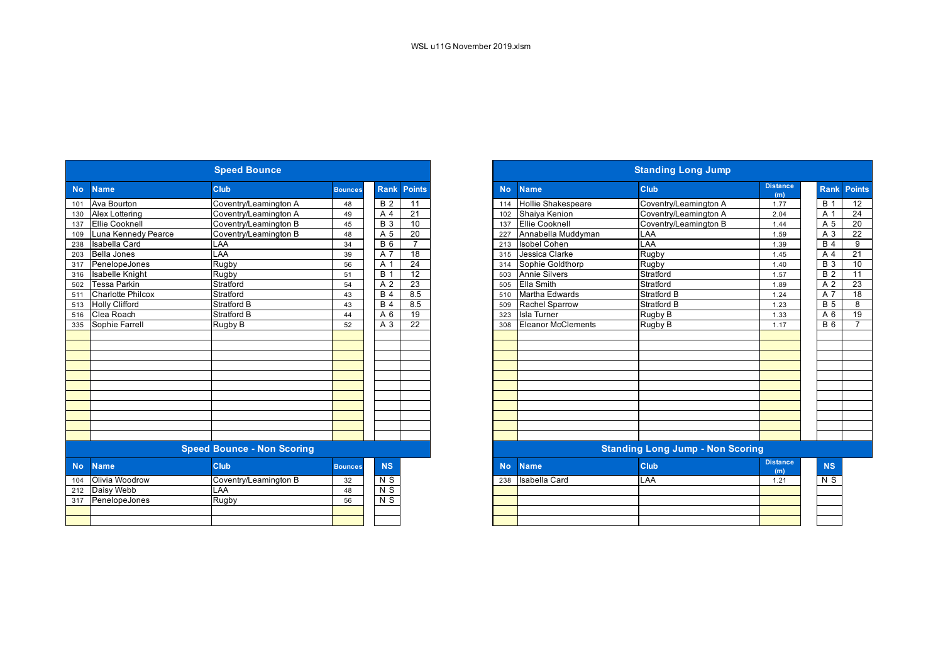|           |                          | <b>Speed Bounce</b>               |                |                  |                 | <b>Standing Long Jump</b>    |                           |                                         |                        |                  |
|-----------|--------------------------|-----------------------------------|----------------|------------------|-----------------|------------------------------|---------------------------|-----------------------------------------|------------------------|------------------|
| <b>No</b> | <b>Name</b>              | Club                              | <b>Bounces</b> | <b>Rank</b>      | <b>Points</b>   | <b>No</b>                    | <b>Name</b>               | Club                                    | <b>Distance</b><br>(m) | Ran              |
| 101       | Ava Bourton              | Coventry/Leamington A             | 48             | <b>B</b> 2       | 11              | 114                          | <b>Hollie Shakespeare</b> | Coventry/Leamington A                   | 1.77                   | <b>B</b> 1       |
| 130       | Alex Lottering           | Coventry/Leamington A             | 49             | A 4              | 21              | Shaiya Kenion<br>102         |                           | Coventry/Leamington A                   | 2.04                   | A 1              |
| 137       | <b>Ellie Cooknell</b>    | Coventry/Leamington B             | 45             | $\overline{B}$ 3 | 10              | <b>Ellie Cooknell</b><br>137 |                           | Coventry/Leamington B                   | 1.44                   | A 5              |
| 109       | Luna Kennedy Pearce      | Coventry/Leamington B             | 48             | A 5              | 20              | Annabella Muddyman<br>227    |                           | LAA                                     | 1.59                   | A 3              |
| 238       | <b>Isabella Card</b>     | LAA                               | 34             | $B_6$            | $\overline{7}$  | 213                          | <b>Isobel Cohen</b>       | LAA                                     | 1.39                   | B <sub>4</sub>   |
| 203       | Bella Jones              | LAA                               | 39             | $\overline{A}$ 7 | $\overline{18}$ | 315                          | Jessica Clarke            | Rugby                                   | 1.45                   | A                |
| 317       | PenelopeJones            | Rugby                             | 56             | A 1              | $\overline{24}$ | 314                          | Sophie Goldthorp          | Rugby                                   | 1.40                   | $\overline{B}$ 3 |
| 316       | <b>Isabelle Knight</b>   | Rugby                             | 51             | $\overline{B}$ 1 | $\overline{12}$ | 503                          | <b>Annie Silvers</b>      | Stratford                               | 1.57                   | B <sub>2</sub>   |
| 502       | <b>Tessa Parkin</b>      | Stratford                         | 54             | $\overline{A2}$  | 23              | 505                          | <b>Ella Smith</b>         | Stratford                               | 1.89                   | A <sub>2</sub>   |
| 511       | <b>Charlotte Philcox</b> | Stratford                         | 43             | B <sub>4</sub>   | 8.5             | 510                          | Martha Edwards            | Stratford B                             | 1.24                   | A 7              |
| 513       | <b>Holly Clifford</b>    | <b>Stratford B</b>                | 43             | B <sub>4</sub>   | 8.5             | 509                          | <b>Rachel Sparrow</b>     | <b>Stratford B</b>                      | 1.23                   | <b>B</b> 5       |
| 516       | Clea Roach               | <b>Stratford B</b>                | 44             | A 6              | 19              | 323                          | <b>Isla Turner</b>        | Rugby B                                 | 1.33                   | $A_6$            |
| 335       | Sophie Farrell           | Rugby B                           | 52             | A 3              | $\overline{22}$ | 308                          | Eleanor McClements        | Rugby B                                 | 1.17                   | $B_6$            |
|           |                          |                                   |                |                  |                 |                              |                           |                                         |                        |                  |
|           |                          |                                   |                |                  |                 |                              |                           |                                         |                        |                  |
|           |                          |                                   |                |                  |                 |                              |                           |                                         |                        |                  |
|           |                          |                                   |                |                  |                 |                              |                           |                                         |                        |                  |
|           |                          |                                   |                |                  |                 |                              |                           |                                         |                        |                  |
|           |                          |                                   |                |                  |                 |                              |                           |                                         |                        |                  |
|           |                          |                                   |                |                  |                 |                              |                           |                                         |                        |                  |
|           |                          |                                   |                |                  |                 |                              |                           |                                         |                        |                  |
|           |                          |                                   |                |                  |                 |                              |                           |                                         |                        |                  |
|           |                          |                                   |                |                  |                 |                              |                           |                                         |                        |                  |
|           |                          |                                   |                |                  |                 |                              |                           |                                         |                        |                  |
|           |                          | <b>Speed Bounce - Non Scoring</b> |                |                  |                 |                              |                           | <b>Standing Long Jump - Non Scoring</b> |                        |                  |
| <b>No</b> | <b>Name</b>              | Club                              | <b>Bounces</b> | <b>NS</b>        |                 | <b>No</b>                    | <b>Name</b>               | Club                                    | <b>Distance</b><br>(m) | <b>NS</b>        |
| 104       | Olivia Woodrow           | Coventry/Leamington B             | 32             | N S              |                 | 238                          | <b>Isabella Card</b>      | LAA                                     | 1.21                   | N <sub>S</sub>   |
| 212       | Daisy Webb               | LAA                               | 48             | N <sub>S</sub>   |                 |                              |                           |                                         |                        |                  |
|           | 317 PenelopeJones        | <b>Rugby</b>                      | 56             | $N$ S            |                 |                              |                           |                                         |                        |                  |
|           |                          |                                   |                |                  |                 |                              |                           |                                         |                        |                  |
|           |                          |                                   |                |                  |                 |                              |                           |                                         |                        |                  |

|                                   | <b>Speed Bounce</b>    |                       |                |                |                 |  |  |  |  |
|-----------------------------------|------------------------|-----------------------|----------------|----------------|-----------------|--|--|--|--|
| <b>No</b>                         | <b>Name</b>            | Club                  | <b>Bounces</b> | <b>Rank</b>    | Points          |  |  |  |  |
|                                   | Ava Bourton            | Coventry/Leamington A | 48             | <b>B</b> 2     | 11              |  |  |  |  |
|                                   | Alex Lottering         | Coventry/Leamington A | 49             | A 4            | 21              |  |  |  |  |
|                                   | <b>Ellie Cooknell</b>  | Coventry/Leamington B | 45             | <b>B</b> 3     | 10              |  |  |  |  |
|                                   | Luna Kennedy Pearce    | Coventry/Leamington B | 48             | A 5            | 20              |  |  |  |  |
|                                   | Isabella Card          | LAA                   | 34             | <b>B</b> 6     | $\overline{7}$  |  |  |  |  |
|                                   | <b>Bella Jones</b>     | LAA                   | 39             | A 7            | $\overline{18}$ |  |  |  |  |
|                                   | PenelopeJones          | Rugby                 | 56             | A 1            | 24              |  |  |  |  |
|                                   | <b>Isabelle Knight</b> | Rugby                 | 51             | <b>B</b> 1     | $\overline{12}$ |  |  |  |  |
|                                   | <b>Tessa Parkin</b>    | Stratford             | 54             | A 2            | $\overline{23}$ |  |  |  |  |
|                                   | Charlotte Philcox      | Stratford             | 43             | <b>B</b> 4     | 8.5             |  |  |  |  |
|                                   | 513 Holly Clifford     | Stratford B           | 43             | <b>B</b> 4     | 8.5             |  |  |  |  |
|                                   | Clea Roach             | <b>Stratford B</b>    | 44             | A 6            | 19              |  |  |  |  |
|                                   | Sophie Farrell         | Rugby B               | 52             | A 3            | $\overline{22}$ |  |  |  |  |
|                                   |                        |                       |                |                |                 |  |  |  |  |
|                                   |                        |                       |                |                |                 |  |  |  |  |
|                                   |                        |                       |                |                |                 |  |  |  |  |
|                                   |                        |                       |                |                |                 |  |  |  |  |
|                                   |                        |                       |                |                |                 |  |  |  |  |
|                                   |                        |                       |                |                |                 |  |  |  |  |
|                                   |                        |                       |                |                |                 |  |  |  |  |
|                                   |                        |                       |                |                |                 |  |  |  |  |
|                                   |                        |                       |                |                |                 |  |  |  |  |
|                                   |                        |                       |                |                |                 |  |  |  |  |
|                                   |                        |                       |                |                |                 |  |  |  |  |
| <b>Speed Bounce - Non Scoring</b> |                        |                       |                |                |                 |  |  |  |  |
|                                   | <b>Name</b>            | <b>Club</b>           | <b>Bounces</b> | <b>NS</b>      |                 |  |  |  |  |
| 104                               | Olivia Woodrow         | Coventry/Leamington B | 32             | N <sub>S</sub> |                 |  |  |  |  |
|                                   | Daisy Webb             | LAA                   | 48             | $\overline{N}$ |                 |  |  |  |  |
|                                   | 317 PenelopeJones      | Rugby                 | 56             | N S            |                 |  |  |  |  |
|                                   |                        |                       |                |                |                 |  |  |  |  |
|                                   |                        |                       |                |                |                 |  |  |  |  |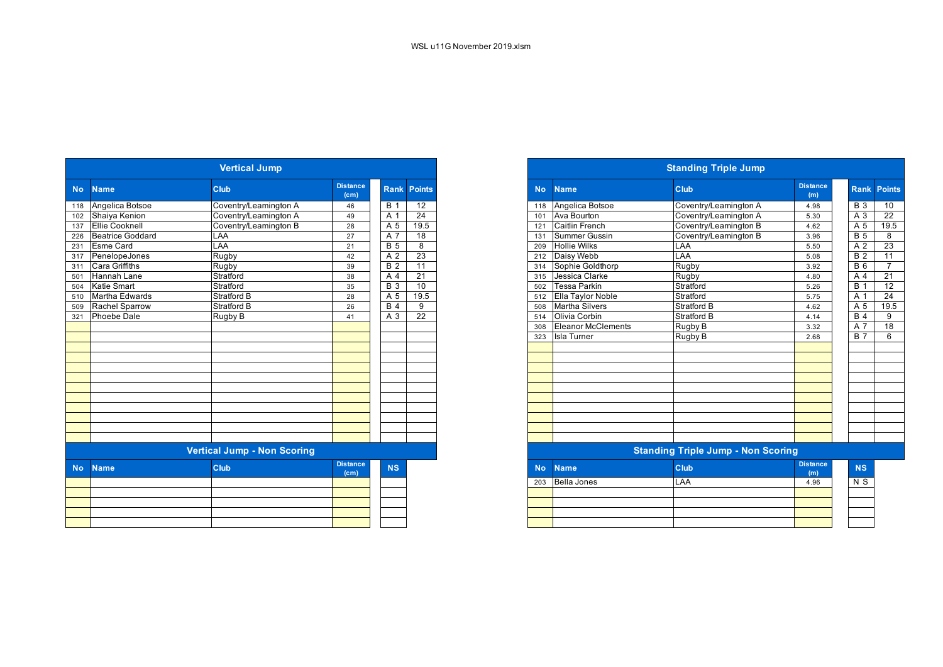| <b>Vertical Jump</b> |                         |                                    |                                      |                     |                    |  |  |  |  |  |  |  |
|----------------------|-------------------------|------------------------------------|--------------------------------------|---------------------|--------------------|--|--|--|--|--|--|--|
| <b>No</b>            | <b>Name</b>             | Club                               | <b>Distance</b><br>(c <sub>m</sub> ) |                     | <b>Rank Points</b> |  |  |  |  |  |  |  |
| 118                  | Angelica Botsoe         | Coventry/Leamington A              | 46                                   | <b>B</b> 1          | $\overline{12}$    |  |  |  |  |  |  |  |
| 102                  | Shaiya Kenion           | Coventry/Leamington A              | 49                                   | A 1                 | $\overline{24}$    |  |  |  |  |  |  |  |
| 137                  | <b>Ellie Cooknell</b>   | Coventry/Leamington B              | 28                                   | A 5                 | 19.5               |  |  |  |  |  |  |  |
| 226                  | <b>Beatrice Goddard</b> | LAA                                | 27                                   | $A\bar{7}$          | 18                 |  |  |  |  |  |  |  |
| 231                  | <b>Esme Card</b>        | LAA                                | 21                                   | <b>B</b> 5          | 8                  |  |  |  |  |  |  |  |
| 317                  | PenelopeJones           | Rugby                              | 42                                   | A <sub>2</sub>      | 23                 |  |  |  |  |  |  |  |
| 311                  | Cara Griffiths          | Rugby                              | 39                                   | $\overline{2}$<br>B | 11                 |  |  |  |  |  |  |  |
| 501                  | Hannah Lane             | Stratford                          | 38                                   | A<br>$\overline{4}$ | 21                 |  |  |  |  |  |  |  |
| 504                  | <b>Katie Smart</b>      | Stratford                          | 35                                   | <b>B</b> 3          | 10                 |  |  |  |  |  |  |  |
| 510                  | Martha Edwards          | <b>Stratford B</b>                 | 28                                   | $A\overline{5}$     | 19.5               |  |  |  |  |  |  |  |
| 509                  | Rachel Sparrow          | <b>Stratford B</b>                 | 26                                   | <b>B</b> 4          | 9                  |  |  |  |  |  |  |  |
| 321                  | <b>Phoebe Dale</b>      | Rugby B                            | 41                                   | $A$ 3               | $\overline{22}$    |  |  |  |  |  |  |  |
|                      |                         |                                    |                                      |                     |                    |  |  |  |  |  |  |  |
|                      |                         |                                    |                                      |                     |                    |  |  |  |  |  |  |  |
|                      |                         |                                    |                                      |                     |                    |  |  |  |  |  |  |  |
|                      |                         |                                    |                                      |                     |                    |  |  |  |  |  |  |  |
|                      |                         |                                    |                                      |                     |                    |  |  |  |  |  |  |  |
|                      |                         |                                    |                                      |                     |                    |  |  |  |  |  |  |  |
|                      |                         |                                    |                                      |                     |                    |  |  |  |  |  |  |  |
|                      |                         |                                    |                                      |                     |                    |  |  |  |  |  |  |  |
|                      |                         |                                    |                                      |                     |                    |  |  |  |  |  |  |  |
|                      |                         |                                    |                                      |                     |                    |  |  |  |  |  |  |  |
|                      |                         |                                    |                                      |                     |                    |  |  |  |  |  |  |  |
|                      |                         |                                    |                                      |                     |                    |  |  |  |  |  |  |  |
|                      |                         | <b>Vertical Jump - Non Scoring</b> |                                      |                     |                    |  |  |  |  |  |  |  |
| <b>No</b>            | <b>Name</b>             | Club                               | <b>Distance</b>                      | <b>NS</b>           |                    |  |  |  |  |  |  |  |
|                      |                         |                                    | (c <sub>m</sub> )                    |                     |                    |  |  |  |  |  |  |  |
|                      |                         |                                    |                                      |                     |                    |  |  |  |  |  |  |  |
|                      |                         |                                    |                                      |                     |                    |  |  |  |  |  |  |  |
|                      |                         |                                    |                                      |                     |                    |  |  |  |  |  |  |  |
|                      |                         |                                    |                                      |                     |                    |  |  |  |  |  |  |  |
|                      |                         |                                    |                                      |                     |                    |  |  |  |  |  |  |  |

|     |                                    | <b>Vertical Jump</b>  |                                      |                  |                 |  |  |
|-----|------------------------------------|-----------------------|--------------------------------------|------------------|-----------------|--|--|
|     | No Name                            | <b>Club</b>           | <b>Distance</b><br>(cm)              | <b>Rank</b>      | <b>Points</b>   |  |  |
|     | 118 Angelica Botsoe                | Coventry/Leamington A | 46                                   | <b>B</b> 1       | 12              |  |  |
|     | 102 Shaiya Kenion                  | Coventry/Leamington A | 49                                   | A 1              | $\overline{24}$ |  |  |
| 137 | <b>Ellie Cooknell</b>              | Coventry/Leamington B | 28                                   | A 5              | 19.5            |  |  |
| 226 | Beatrice Goddard                   | LAA                   | 27                                   | A 7              | $\overline{18}$ |  |  |
|     | 231 Esme Card                      | LAA                   | 21                                   | <b>B</b> 5       | 8               |  |  |
|     | 317 PenelopeJones                  | Rugby                 | 42                                   | A 2              | 23              |  |  |
|     | 311 Cara Griffiths                 | Rugby                 | 39                                   | <b>B</b> 2       | 11              |  |  |
| 501 | Hannah Lane                        | Stratford             | 38                                   | A 4              | 21              |  |  |
| 504 | <b>Katie Smart</b>                 | Stratford             | 35                                   | $\overline{B}$ 3 | 10              |  |  |
|     | 510 Martha Edwards                 | <b>Stratford B</b>    | 28                                   | A 5              | 19.5            |  |  |
|     | 509 Rachel Sparrow                 | <b>Stratford B</b>    | 26                                   | B <sub>4</sub>   | 9               |  |  |
| 321 | Phoebe Dale                        | Rugby B               | 41                                   | A 3              | $\overline{22}$ |  |  |
|     |                                    |                       |                                      |                  |                 |  |  |
|     |                                    |                       |                                      |                  |                 |  |  |
|     |                                    |                       |                                      |                  |                 |  |  |
|     |                                    |                       |                                      |                  |                 |  |  |
|     |                                    |                       |                                      |                  |                 |  |  |
|     |                                    |                       |                                      |                  |                 |  |  |
|     |                                    |                       |                                      |                  |                 |  |  |
|     |                                    |                       |                                      |                  |                 |  |  |
|     |                                    |                       |                                      |                  |                 |  |  |
|     |                                    |                       |                                      |                  |                 |  |  |
|     |                                    |                       |                                      |                  |                 |  |  |
|     |                                    |                       |                                      |                  |                 |  |  |
|     | <b>Vertical Jump - Non Scoring</b> |                       |                                      |                  |                 |  |  |
| No. | <b>Name</b>                        | <b>Club</b>           | <b>Distance</b><br>(c <sub>m</sub> ) | <b>NS</b>        |                 |  |  |
|     |                                    |                       |                                      |                  |                 |  |  |

|     |                    |     | (m)  |        |
|-----|--------------------|-----|------|--------|
| 203 | <b>Bella Jones</b> | LAA | 4.96 | $\sim$ |
|     |                    |     |      |        |
|     |                    |     |      |        |
|     |                    |     |      |        |
|     |                    |     |      |        |
|     |                    |     |      |        |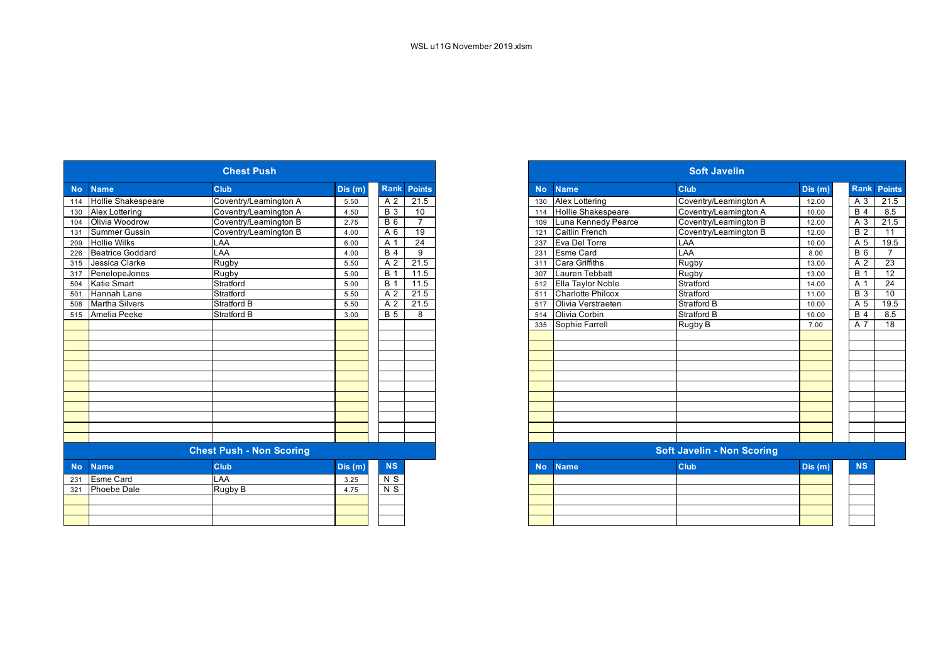| <b>Chest Push</b>          |                                 |        |                    |                 |  |  |  |  |  |
|----------------------------|---------------------------------|--------|--------------------|-----------------|--|--|--|--|--|
| <b>Name</b>                | Club                            | Dis(m) | <b>Rank Points</b> |                 |  |  |  |  |  |
| <b>Hollie Shakespeare</b>  | Coventry/Leamington A           | 5.50   | A 2                | 21.5            |  |  |  |  |  |
| Alex Lottering             | Coventry/Leamington A           | 4.50   | <b>B</b> 3         | 10              |  |  |  |  |  |
| Olivia Woodrow<br>104      | Coventry/Leamington B           | 2.75   | $B_6$              | $\overline{7}$  |  |  |  |  |  |
| Summer Gussin              | Coventry/Leamington B           | 4.00   | A 6                | 19              |  |  |  |  |  |
| <b>Hollie Wilks</b><br>209 | LAA                             | 6.00   | A 1                | $\overline{24}$ |  |  |  |  |  |
| Beatrice Goddard           | LAA                             | 4.00   | <b>B</b> 4         | 9               |  |  |  |  |  |
| Jessica Clarke<br>315      | Rugby                           | 5.50   | A 2                | 21.5            |  |  |  |  |  |
| PenelopeJones<br>317       | Rugby                           | 5.00   | <b>B</b> 1         | 11.5            |  |  |  |  |  |
| <b>Katie Smart</b><br>504  | Stratford                       | 5.00   | <b>B</b> 1         | 11.5            |  |  |  |  |  |
| Hannah Lane                | Stratford                       | 5.50   | A 2                | 21.5            |  |  |  |  |  |
| <b>Martha Silvers</b>      | <b>Stratford B</b>              | 5.50   | A 2                | 21.5            |  |  |  |  |  |
| 515 Amelia Peeke           | <b>Stratford B</b>              | 3.00   | <b>B</b> 5         | 8               |  |  |  |  |  |
|                            |                                 |        |                    |                 |  |  |  |  |  |
|                            |                                 |        |                    |                 |  |  |  |  |  |
|                            |                                 |        |                    |                 |  |  |  |  |  |
|                            |                                 |        |                    |                 |  |  |  |  |  |
|                            |                                 |        |                    |                 |  |  |  |  |  |
|                            |                                 |        |                    |                 |  |  |  |  |  |
|                            |                                 |        |                    |                 |  |  |  |  |  |
|                            |                                 |        |                    |                 |  |  |  |  |  |
|                            |                                 |        |                    |                 |  |  |  |  |  |
|                            |                                 |        |                    |                 |  |  |  |  |  |
|                            |                                 |        |                    |                 |  |  |  |  |  |
|                            | <b>Chest Push - Non Scoring</b> |        |                    |                 |  |  |  |  |  |
|                            |                                 |        |                    |                 |  |  |  |  |  |
| <b>Name</b>                | <b>Club</b>                     | Dis(m) | <b>NS</b>          |                 |  |  |  |  |  |
| <b>Esme Card</b>           | LAA                             | 3.25   | $N$ S              |                 |  |  |  |  |  |
| <b>Phoebe Dale</b>         | Rugby B                         | 4.75   | $N$ S              |                 |  |  |  |  |  |
|                            |                                 |        |                    |                 |  |  |  |  |  |
|                            |                                 |        |                    |                 |  |  |  |  |  |
|                            |                                 |        |                    |                 |  |  |  |  |  |

|     |                       | <b>Chest Push</b>               |        |                  |                    |
|-----|-----------------------|---------------------------------|--------|------------------|--------------------|
| No. | <b>Name</b>           | <b>Club</b>                     | Dis(m) |                  | <b>Rank Points</b> |
| 114 | Hollie Shakespeare    | Coventry/Leamington A           | 5.50   | A 2              | 21.5               |
|     | 130 Alex Lottering    | Coventry/Leamington A           | 4.50   | <b>B</b> 3       | 10                 |
| 104 | Olivia Woodrow        | Coventry/Leamington B           | 2.75   | $B_6$            | $\overline{7}$     |
|     | 131 Summer Gussin     | Coventry/Leamington B           | 4.00   | A 6              | 19                 |
|     | 209 Hollie Wilks      | LAA                             | 6.00   | A 1              | $\overline{24}$    |
|     | 226 Beatrice Goddard  | LAA                             | 4.00   | <b>B</b> 4       | 9                  |
|     | 315 Jessica Clarke    | Rugby                           | 5.50   | A 2              | 21.5               |
| 317 | PenelopeJones         | Rugby                           | 5.00   | $\overline{B}$ 1 | 11.5               |
| 504 | <b>Katie Smart</b>    | Stratford                       | 5.00   | <b>B</b> 1       | 11.5               |
| 501 | Hannah Lane           | Stratford                       | 5.50   | A 2              | 21.5               |
| 508 | <b>Martha Silvers</b> | <b>Stratford B</b>              | 5.50   | A 2              | 21.5               |
|     | 515 Amelia Peeke      | <b>Stratford B</b>              | 3.00   | <b>B</b> 5       | 8                  |
|     |                       |                                 |        |                  |                    |
|     |                       |                                 |        |                  |                    |
|     |                       |                                 |        |                  |                    |
|     |                       |                                 |        |                  |                    |
|     |                       |                                 |        |                  |                    |
|     |                       |                                 |        |                  |                    |
|     |                       |                                 |        |                  |                    |
|     |                       |                                 |        |                  |                    |
|     |                       |                                 |        |                  |                    |
|     |                       |                                 |        |                  |                    |
|     |                       |                                 |        |                  |                    |
|     |                       |                                 |        |                  |                    |
|     |                       | <b>Chest Push - Non Scoring</b> |        |                  |                    |
| No. | <b>Name</b>           | <b>Club</b>                     | Dis(m) | <b>NS</b>        |                    |
| 231 | <b>Esme Card</b>      | LAA                             | 3.25   | N S              |                    |
| 321 | Phoebe Dale           | Rugby B                         | 4.75   | $N$ S            |                    |
|     |                       |                                 |        |                  |                    |
|     |                       |                                 |        |                  |                    |
|     |                       |                                 |        |                  |                    |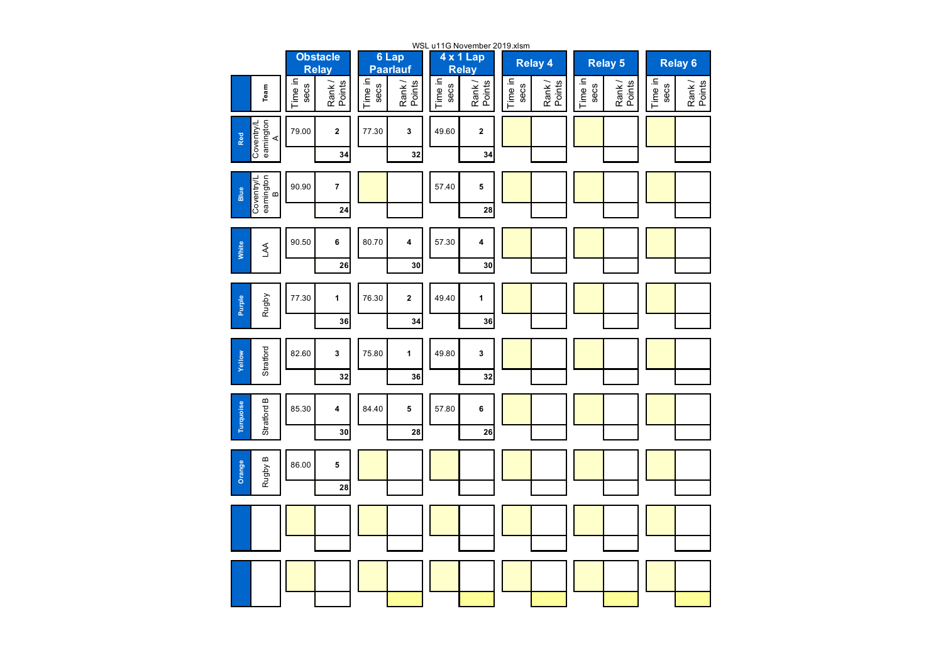| WSL u11G November 2019.xlsm          |                 |                                 |                 |                          |                 |                    |                 |                 |                 |                  |                 |                    |
|--------------------------------------|-----------------|---------------------------------|-----------------|--------------------------|-----------------|--------------------|-----------------|-----------------|-----------------|------------------|-----------------|--------------------|
|                                      |                 | <b>Obstacle</b><br><b>Relay</b> |                 | 6 Lap<br><b>Paarlauf</b> |                 | 4 x 1 Lap<br>Relay |                 | <b>Relay 4</b>  |                 | <b>Relay 5</b>   |                 | Relay <sub>6</sub> |
| Team                                 | Time in<br>secs | Rank/<br>Points                 | Time in<br>secs | Rank /<br>Points         | Time in<br>secs | Rank/<br>Points    | Time in<br>secs | Rank/<br>Points | Time in<br>secs | Rank /<br>Points | Time in<br>secs | Rank/<br>Points    |
| Coventry/L<br>eamington<br>A<br>Red  | 79.00           | $\mathbf{2}$                    | 77.30           | 3                        | 49.60           | $\mathbf 2$        |                 |                 |                 |                  |                 |                    |
|                                      |                 | 34                              |                 | 32                       |                 | 34                 |                 |                 |                 |                  |                 |                    |
| Coventry/L<br>eamington<br>B<br>Blue | 90.90           | $\overline{\mathbf{7}}$         |                 |                          | 57.40           | 5                  |                 |                 |                 |                  |                 |                    |
|                                      |                 | 24                              |                 |                          |                 | 28                 |                 |                 |                 |                  |                 |                    |
| White<br>A                           | 90.50           | 6                               | 80.70           | 4                        | 57.30           | 4                  |                 |                 |                 |                  |                 |                    |
|                                      |                 | 26                              |                 | 30                       |                 | 30                 |                 |                 |                 |                  |                 |                    |
| Rugby<br>Purple                      | 77.30           | $\mathbf{1}$                    | 76.30           | $\overline{\mathbf{2}}$  | 49.40           | 1                  |                 |                 |                 |                  |                 |                    |
|                                      |                 | 36                              |                 | 34                       |                 | 36                 |                 |                 |                 |                  |                 |                    |
| Stratford<br>Yellow                  | 82.60           | 3                               | 75.80           | $\mathbf 1$              | 49.80           | 3                  |                 |                 |                 |                  |                 |                    |
|                                      |                 | 32                              |                 | 36                       |                 | 32                 |                 |                 |                 |                  |                 |                    |
| Stratford B<br><b>Turquoise</b>      | 85.30           | 4                               | 84.40           | 5                        | 57.80           | 6                  |                 |                 |                 |                  |                 |                    |
|                                      |                 | 30                              |                 | 28                       |                 | 26                 |                 |                 |                 |                  |                 |                    |
| Rugby B<br>Orange                    | 86.00           | 5                               |                 |                          |                 |                    |                 |                 |                 |                  |                 |                    |
|                                      |                 | 28                              |                 |                          |                 |                    |                 |                 |                 |                  |                 |                    |
|                                      |                 |                                 |                 |                          |                 |                    |                 |                 |                 |                  |                 |                    |
|                                      |                 |                                 |                 |                          |                 |                    |                 |                 |                 |                  |                 |                    |
|                                      |                 |                                 |                 |                          |                 |                    |                 |                 |                 |                  |                 |                    |
|                                      |                 |                                 |                 |                          |                 |                    |                 |                 |                 |                  |                 |                    |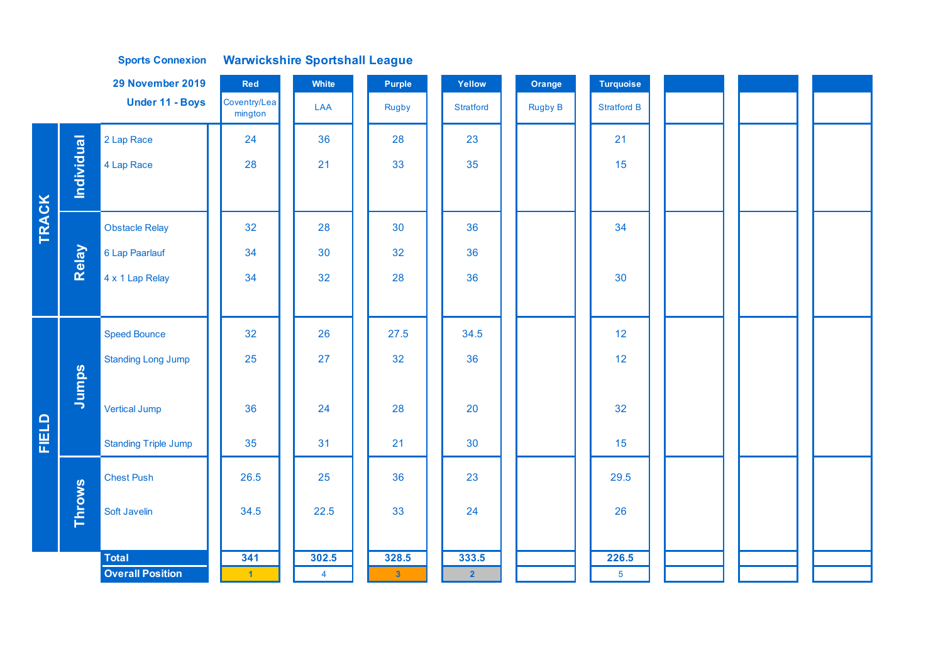## **Sports Connexion Warwickshire Sportshall League**

|              | 29 November 2019<br>Red |                                         |                             | White          | Purple         | Yellow         | Orange         | <b>Turquoise</b>   |  |  |
|--------------|-------------------------|-----------------------------------------|-----------------------------|----------------|----------------|----------------|----------------|--------------------|--|--|
|              |                         | Under 11 - Boys                         | Coventry/Lea<br>mington     | LAA            | Rugby          | Stratford      | <b>Rugby B</b> | <b>Stratford B</b> |  |  |
|              |                         | 2 Lap Race                              | 24                          | 36             | 28             | 23             |                | 21                 |  |  |
|              | <b>Individual</b>       | 4 Lap Race                              | 28                          | 21             | 33             | 35             |                | 15                 |  |  |
|              |                         |                                         |                             |                |                |                |                |                    |  |  |
| <b>TRACK</b> |                         | <b>Obstacle Relay</b>                   | 32                          | 28             | 30             | 36             |                | 34                 |  |  |
|              | Relay                   | 6 Lap Paarlauf                          | 34                          | 30             | 32             | 36             |                |                    |  |  |
|              |                         | 4 x 1 Lap Relay                         | 34                          | 32             | 28             | 36             |                | 30                 |  |  |
|              |                         |                                         |                             |                |                |                |                |                    |  |  |
|              |                         | <b>Speed Bounce</b>                     | 32                          | 26             | 27.5           | 34.5           |                | 12                 |  |  |
|              |                         | <b>Standing Long Jump</b>               | 25                          | 27             | 32             | 36             |                | 12                 |  |  |
|              | Jumps                   |                                         |                             |                |                |                |                |                    |  |  |
|              |                         | <b>Vertical Jump</b>                    | 36                          | 24             | 28             | 20             |                | 32                 |  |  |
| FIELD        |                         | <b>Standing Triple Jump</b>             | 35                          | 31             | 21             | 30             |                | 15                 |  |  |
|              |                         | <b>Chest Push</b>                       | 26.5                        | 25             | 36             | 23             |                | 29.5               |  |  |
|              | <b>Throws</b>           | Soft Javelin                            | 34.5                        | 22.5           | 33             | 24             |                | 26                 |  |  |
|              |                         |                                         |                             |                |                |                |                |                    |  |  |
|              |                         | <b>Total</b><br><b>Overall Position</b> | 341<br>$\blacktriangleleft$ | 302.5          | 328.5          | 333.5          |                | 226.5              |  |  |
|              |                         |                                         |                             | $\overline{4}$ | 3 <sup>°</sup> | 2 <sup>7</sup> |                | $5\phantom{.0}$    |  |  |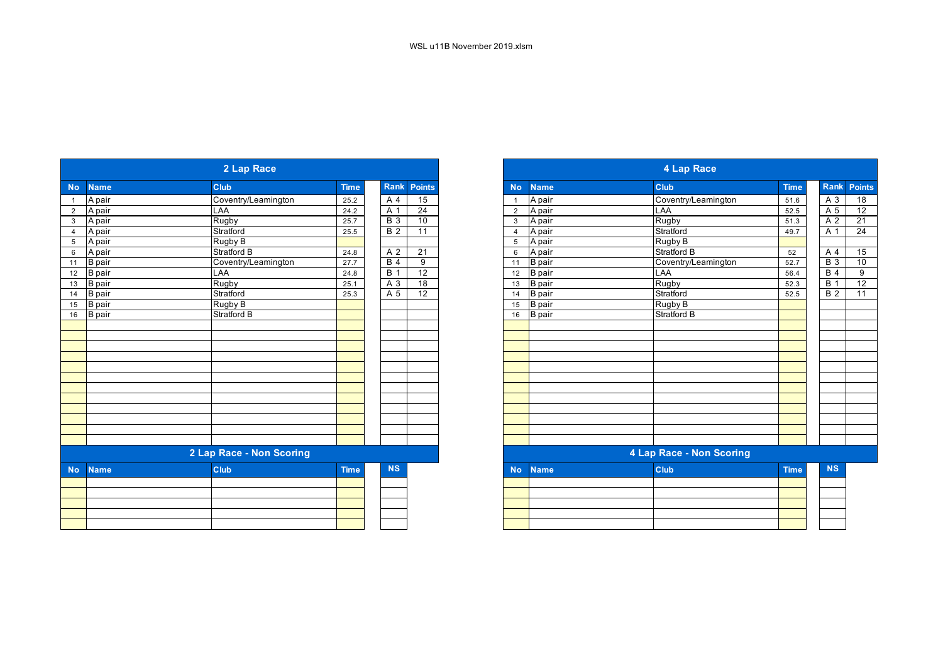|                |               | 2 Lap Race               |             |                  |                 |
|----------------|---------------|--------------------------|-------------|------------------|-----------------|
| <b>No</b>      | <b>Name</b>   | <b>Club</b>              | <b>Time</b> | <b>Rank</b>      | <b>Points</b>   |
|                | A pair        | Coventry/Leamington      | 25.2        | A 4              | 15              |
| $\overline{2}$ | A pair        | LAA                      | 24.2        | A 1              | $\overline{24}$ |
| 3              | A pair        | Rugby                    | 25.7        | $\overline{B}$ 3 | 10              |
| $\overline{4}$ | A pair        | Stratford                | 25.5        | $\overline{B}$ 2 | 11              |
| 5              | A pair        | Rugby B                  |             |                  |                 |
| 6              | A pair        | <b>Stratford B</b>       | 24.8        | A 2              | 21              |
| 11             | <b>B</b> pair | Coventry/Leamington      | 27.7        | B <sub>4</sub>   | 9               |
| 12             | B pair        | LAA                      | 24.8        | B <sub>1</sub>   | $\overline{12}$ |
| 13             | B pair        | Rugby                    | 25.1        | A 3              | 18              |
| 14             | B pair        | Stratford                | 25.3        | A 5              | $\overline{12}$ |
| 15             | B pair        | Rugby B                  |             |                  |                 |
| 16             | <b>B</b> pair | <b>Stratford B</b>       |             |                  |                 |
|                |               |                          |             |                  |                 |
|                |               |                          |             |                  |                 |
|                |               |                          |             |                  |                 |
|                |               |                          |             |                  |                 |
|                |               |                          |             |                  |                 |
|                |               |                          |             |                  |                 |
|                |               |                          |             |                  |                 |
|                |               |                          |             |                  |                 |
|                |               |                          |             |                  |                 |
|                |               |                          |             |                  |                 |
|                |               |                          |             |                  |                 |
|                |               |                          |             |                  |                 |
|                |               | 2 Lap Race - Non Scoring |             |                  |                 |
| <b>No</b>      | <b>Name</b>   | <b>Club</b>              | <b>Time</b> | <b>NS</b>        |                 |
|                |               |                          |             |                  |                 |
|                |               |                          |             |                  |                 |
|                |               |                          |             |                  |                 |
|                |               |                          |             |                  |                 |
|                |               |                          |             |                  |                 |

|               | 2 Lap Race               |             |                  |                 |
|---------------|--------------------------|-------------|------------------|-----------------|
| <b>Name</b>   | <b>Club</b>              | <b>Time</b> | Rank             | <b>Points</b>   |
| A pair        | Coventry/Leamington      | 25.2        | A 4              | 15              |
| A pair        | LAA                      | 24.2        | A 1              | $\overline{24}$ |
| A pair        | Rugby                    | 25.7        | $B_3$            | 10              |
| A pair        | Stratford                | 25.5        | $\overline{B}$ 2 | $\overline{11}$ |
| A pair        | Rugby B                  |             |                  |                 |
| A pair        | Stratford B              | 24.8        | A 2              | 21              |
| <b>B</b> pair | Coventry/Leamington      | 27.7        | <b>B</b> 4       | 9               |
| <b>B</b> pair | LAA                      | 24.8        | <b>B</b> 1       | 12              |
| <b>B</b> pair | Rugby                    | 25.1        | A 3              | 18              |
| <b>B</b> pair | Stratford                | 25.3        | A 5              | $\overline{12}$ |
| <b>B</b> pair | Rugby B                  |             |                  |                 |
| <b>B</b> pair | Stratford B              |             |                  |                 |
|               |                          |             |                  |                 |
|               |                          |             |                  |                 |
|               |                          |             |                  |                 |
|               |                          |             |                  |                 |
|               |                          |             |                  |                 |
|               |                          |             |                  |                 |
|               |                          |             |                  |                 |
|               |                          |             |                  |                 |
|               |                          |             |                  |                 |
|               |                          |             |                  |                 |
|               |                          |             |                  |                 |
|               |                          |             |                  |                 |
|               | 2 Lap Race - Non Scoring |             |                  |                 |
| <b>Name</b>   | <b>Club</b>              | <b>Time</b> | <b>NS</b>        |                 |
|               |                          |             |                  |                 |
|               |                          |             |                  |                 |
|               |                          |             |                  |                 |
|               |                          |             |                  |                 |
|               |                          |             |                  |                 |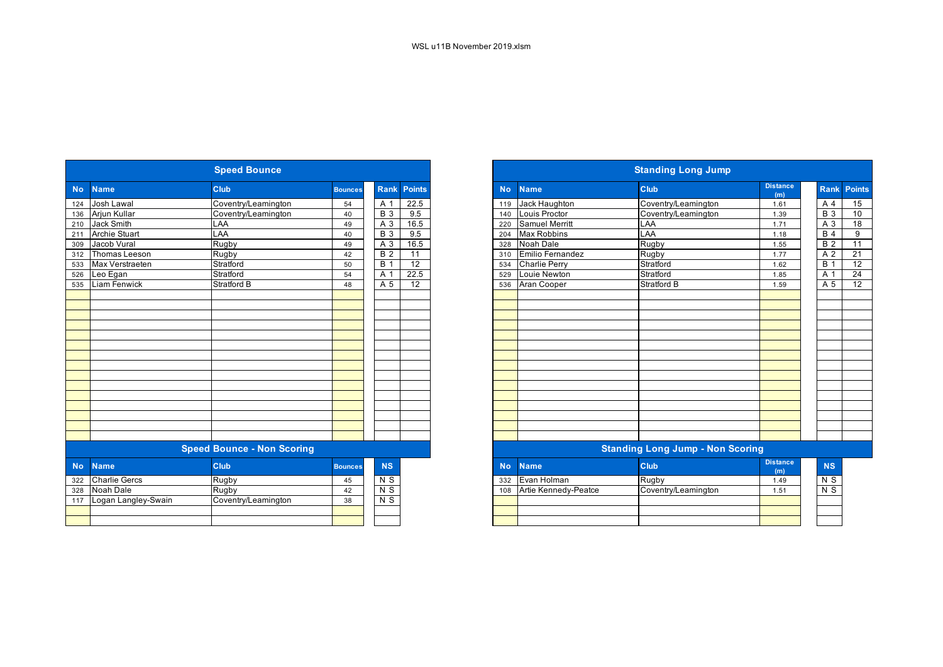|           |                      | <b>Speed Bounce</b>               |                |                  |                 |           |                      | <b>Standing Long Jump</b>               |                        |  |
|-----------|----------------------|-----------------------------------|----------------|------------------|-----------------|-----------|----------------------|-----------------------------------------|------------------------|--|
| <b>No</b> | <b>Name</b>          | Club                              | <b>Bounces</b> | <b>Rank</b>      | <b>Points</b>   | <b>No</b> | <b>Name</b>          | Club                                    | <b>Distance</b><br>(m) |  |
| 124       | Josh Lawal           | Coventry/Leamington               | 54             | A 1              | 22.5            | 119       | Jack Haughton        | Coventry/Leamington                     | 1.61                   |  |
| 136       | Arjun Kullar         | Coventry/Leamington               | 40             | $\overline{B}$ 3 | 9.5             | 140       | Louis Proctor        | Coventry/Leamington                     | 1.39                   |  |
| 210       | <b>Jack Smith</b>    | LAA                               | 49             | A 3              | 16.5            | 220       | Samuel Merritt       | LAA                                     | 1.71                   |  |
| 211       | <b>Archie Stuart</b> | LAA                               | 40             | $\overline{B}$ 3 | 9.5             | 204       | <b>Max Robbins</b>   | LAA                                     | 1.18                   |  |
| 309       | Jacob Vural          | Rugby                             | 49             | $A_3$            | 16.5            | 328       | Noah Dale            | Rugby                                   | 1.55                   |  |
| 312       | Thomas Leeson        | Rugby                             | 42             | B <sub>2</sub>   | $\overline{11}$ | 310       | Emilio Fernandez     | Rugby                                   | 1.77                   |  |
| 533       | Max Verstraeten      | Stratford                         | 50             | $\overline{B}$ 1 | $\overline{12}$ | 534       | <b>Charlie Perry</b> | Stratford                               | 1.62                   |  |
| 526       | Leo Egan             | Stratford                         | 54             | A 1              | 22.5            | 529       | Louie Newton         | Stratford                               | 1.85                   |  |
| 535       | Liam Fenwick         | <b>Stratford B</b>                | 48             | $\overline{A}$ 5 | $\overline{12}$ | 536       | Aran Cooper          | <b>Stratford B</b>                      | 1.59                   |  |
|           |                      |                                   |                |                  |                 |           |                      |                                         |                        |  |
|           |                      |                                   |                |                  |                 |           |                      |                                         |                        |  |
|           |                      |                                   |                |                  |                 |           |                      |                                         |                        |  |
|           |                      |                                   |                |                  |                 |           |                      |                                         |                        |  |
|           |                      |                                   |                |                  |                 |           |                      |                                         |                        |  |
|           |                      |                                   |                |                  |                 |           |                      |                                         |                        |  |
|           |                      |                                   |                |                  |                 |           |                      |                                         |                        |  |
|           |                      |                                   |                |                  |                 |           |                      |                                         |                        |  |
|           |                      |                                   |                |                  |                 |           |                      |                                         |                        |  |
|           |                      | <b>Speed Bounce - Non Scoring</b> |                |                  |                 |           |                      | <b>Standing Long Jump - Non Scoring</b> |                        |  |
| <b>No</b> | <b>Name</b>          | Club                              | <b>Bounces</b> | <b>NS</b>        |                 | <b>No</b> | <b>Name</b>          | Club                                    | <b>Distance</b><br>(m) |  |
| 322       | <b>Charlie Gercs</b> | Rugby                             | 45             | N <sub>S</sub>   |                 | 332       | Evan Holman          | Rugby                                   | 1.49                   |  |
| 328       | Noah Dale            | Rugby                             | 42             | $N$ S            |                 | 108       | Artie Kennedy-Peatce | Coventry/Leamington                     | 1.51                   |  |
| 117       | Logan Langley-Swain  | Coventry/Leamington               | 38             | $N$ S            |                 |           |                      |                                         |                        |  |
|           |                      |                                   |                |                  |                 |           |                      |                                         |                        |  |

|                      | <b>Speed Bounce</b>               |                |                |        |
|----------------------|-----------------------------------|----------------|----------------|--------|
| <b>Name</b>          | Club                              | <b>Bounces</b> | <b>Rank</b>    | Points |
| Josh Lawal           | Coventry/Leamington               | 54             | A 1            | 22.5   |
| Arjun Kullar         | Coventry/Leamington               | 40             | <b>B</b> 3     | 9.5    |
| <b>Jack Smith</b>    | LAA                               | 49             | A 3            | 16.5   |
| <b>Archie Stuart</b> | LAA                               | 40             | <b>B</b> 3     | 9.5    |
| Jacob Vural          | Rugby                             | 49             | A 3            | 16.5   |
| Thomas Leeson        | Rugby                             | 42             | <b>B</b> 2     | 11     |
| Max Verstraeten      | Stratford                         | 50             | <b>B</b> 1     | 12     |
| Leo Egan             | Stratford                         | 54             | A 1            | 22.5   |
| <b>Liam Fenwick</b>  | Stratford B                       | 48             | A 5            | 12     |
|                      |                                   |                |                |        |
|                      |                                   |                |                |        |
|                      |                                   |                |                |        |
|                      |                                   |                |                |        |
|                      |                                   |                |                |        |
|                      |                                   |                |                |        |
|                      |                                   |                |                |        |
|                      |                                   |                |                |        |
|                      |                                   |                |                |        |
|                      |                                   |                |                |        |
|                      |                                   |                |                |        |
|                      |                                   |                |                |        |
|                      |                                   |                |                |        |
|                      |                                   |                |                |        |
|                      |                                   |                |                |        |
|                      | <b>Speed Bounce - Non Scoring</b> |                |                |        |
| <b>Name</b>          | <b>Club</b>                       | <b>Bounces</b> | <b>NS</b>      |        |
| <b>Charlie Gercs</b> | Rugby                             | 45             | N <sub>S</sub> |        |
| Noah Dale            | Rugby                             | 42             | $\overline{N}$ |        |
| Logan Langley-Swain  | Coventry/Leamington               | 38             | N <sub>S</sub> |        |
|                      |                                   |                |                |        |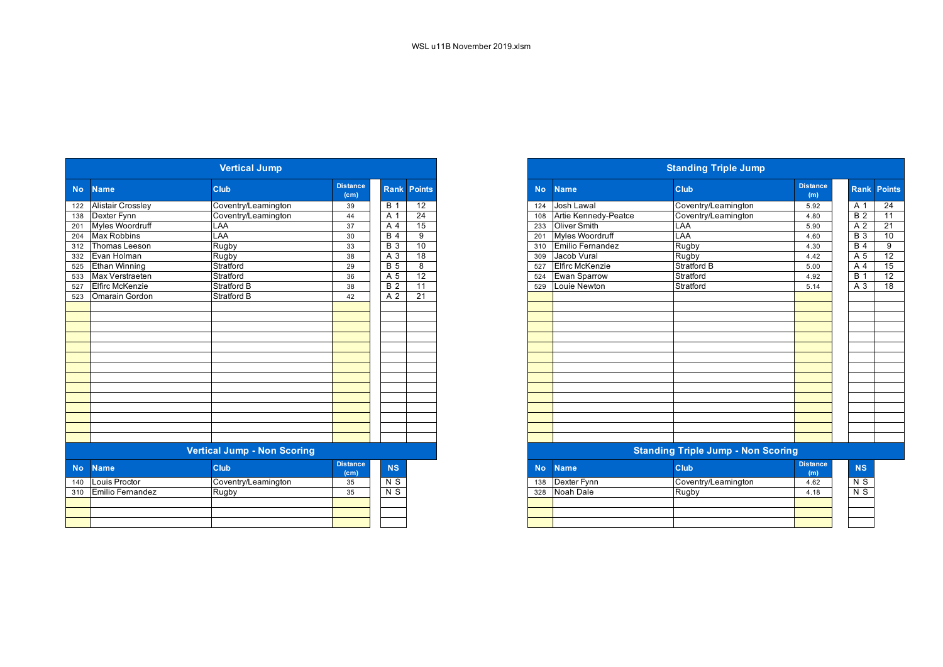|           |                          | <b>Vertical Jump</b>               |                         |                  |                 |           |                        | <b>Standing Triple Jump</b>               |                        |                  |
|-----------|--------------------------|------------------------------------|-------------------------|------------------|-----------------|-----------|------------------------|-------------------------------------------|------------------------|------------------|
| <b>No</b> | <b>Name</b>              | Club                               | <b>Distance</b><br>(cm) | <b>Rank</b>      | <b>Points</b>   | <b>No</b> | <b>Name</b>            | <b>Club</b>                               | <b>Distance</b><br>(m) | Ran              |
| 122       | <b>Alistair Crossley</b> | Coventry/Leamington                | 39                      | <b>B</b> 1       | 12              | 124       | Josh Lawal             | Coventry/Leamington                       | 5.92                   | A 1              |
| 138       | Dexter Fynn              | Coventry/Leamington                | 44                      | A 1              | $\overline{24}$ | 108       | Artie Kennedy-Peatce   | Coventry/Leamington                       | 4.80                   | $\overline{B}$ 2 |
| 201       | Myles Woordruff          | LAA                                | 37                      | A 4              | 15              | 233       | Oliver Smith           | LAA                                       | 5.90                   | A <sub>2</sub>   |
| 204       | <b>Max Robbins</b>       | LAA                                | 30                      | B <sub>4</sub>   | $\overline{9}$  | 201       | <b>Myles Woordruff</b> | LAA                                       | 4.60                   | <b>B</b> 3       |
| 312       | Thomas Leeson            | Rugby                              | 33                      | <b>B</b> 3       | 10              | 310       | Emilio Fernandez       | Rugby                                     | 4.30                   | <b>B</b> 4       |
| 332       | Evan Holman              | Rugby                              | 38                      | A 3              | 18              | 309       | Jacob Vural            | Rugby                                     | 4.42                   | A <sub>5</sub>   |
| 525       | Ethan Winning            | Stratford                          | 29                      | $\overline{B}$ 5 | $\overline{8}$  | 527       | <b>Elfirc McKenzie</b> | <b>Stratford B</b>                        | 5.00                   | A                |
| 533       | Max Verstraeten          | Stratford                          | 36                      | A <sub>5</sub>   | 12              | 524       | <b>Ewan Sparrow</b>    | Stratford                                 | 4.92                   | <b>B</b> 1       |
| 527       | <b>Elfirc McKenzie</b>   | Stratford B                        | 38                      | B <sub>2</sub>   | 11              | 529       | Louie Newton           | Stratford                                 | 5.14                   | $A_3$            |
| 523       | Omarain Gordon           | <b>Stratford B</b>                 | 42                      | A <sub>2</sub>   | 21              |           |                        |                                           |                        |                  |
|           |                          |                                    |                         |                  |                 |           |                        |                                           |                        |                  |
|           |                          |                                    |                         |                  |                 |           |                        |                                           |                        |                  |
|           |                          |                                    |                         |                  |                 |           |                        |                                           |                        |                  |
|           |                          |                                    |                         |                  |                 |           |                        |                                           |                        |                  |
|           |                          |                                    |                         |                  |                 |           |                        |                                           |                        |                  |
|           |                          |                                    |                         |                  |                 |           |                        |                                           |                        |                  |
|           |                          |                                    |                         |                  |                 |           |                        |                                           |                        |                  |
|           |                          |                                    |                         |                  |                 |           |                        |                                           |                        |                  |
|           |                          |                                    |                         |                  |                 |           |                        |                                           |                        |                  |
|           |                          |                                    |                         |                  |                 |           |                        |                                           |                        |                  |
|           |                          |                                    |                         |                  |                 |           |                        |                                           |                        |                  |
|           |                          |                                    |                         |                  |                 |           |                        |                                           |                        |                  |
|           |                          |                                    |                         |                  |                 |           |                        |                                           |                        |                  |
|           |                          |                                    |                         |                  |                 |           |                        |                                           |                        |                  |
|           |                          | <b>Vertical Jump - Non Scoring</b> |                         |                  |                 |           |                        | <b>Standing Triple Jump - Non Scoring</b> |                        |                  |
| <b>No</b> | <b>Name</b>              | <b>Club</b>                        | <b>Distance</b><br>(cm) | <b>NS</b>        |                 | <b>No</b> | <b>Name</b>            | <b>Club</b>                               | <b>Distance</b><br>(m) | <b>NS</b>        |
| 140       | Louis Proctor            | Coventry/Leamington                | 35                      | $N$ S            |                 | 138       | <b>Dexter Fynn</b>     | Coventry/Leamington                       | 4.62                   | $N$ S            |
| 310       | Emilio Fernandez         | Rugby                              | 35                      | N <sub>S</sub>   |                 | 328       | Noah Dale              | Rugby                                     | 4.18                   | N <sub>S</sub>   |
|           |                          |                                    |                         |                  |                 |           |                        |                                           |                        |                  |
|           |                          |                                    |                         |                  |                 |           |                        |                                           |                        |                  |
|           |                          |                                    |                         |                  |                 |           |                        |                                           |                        |                  |
|           |                          |                                    |                         |                  |                 |           |                        |                                           |                        |                  |

|                                            | <b>Vertical Jump</b>               |                                      |                 |                 |
|--------------------------------------------|------------------------------------|--------------------------------------|-----------------|-----------------|
| No Name                                    | <b>Club</b>                        | <b>Distance</b><br>(c <sub>m</sub> ) | <b>Rank</b>     | <b>Points</b>   |
| 122 Alistair Crossley                      | Coventry/Leamington                | 39                                   | <b>B</b> 1      | $\overline{12}$ |
| 138 Dexter Fynn                            | Coventry/Leamington                | 44                                   | A 1             | $\overline{24}$ |
| 201 Myles Woordruff                        | <b>AA</b>                          | 37                                   | A 4             | 15              |
| 204 Max Robbins                            | LAA                                | 30                                   | <b>B</b> 4      | 9               |
| Thomas Leeson<br>312                       | Rugby                              | 33                                   | <b>B</b> 3      | 10              |
| 332 Evan Holman                            | Rugby                              | 38                                   | A 3             | 18              |
| 525 Ethan Winning                          | Stratford                          | 29                                   | $\overline{B}5$ | 8               |
| 533 Max Verstraeten                        | Stratford                          | 36                                   | A 5             | $\overline{12}$ |
| $\overline{527}$<br><b>Elfirc McKenzie</b> | Stratford B                        | 38                                   | <b>B</b> 2      | 11              |
| <b>Omarain Gordon</b><br>523               | Stratford B                        | 42                                   | A 2             | $\overline{21}$ |
|                                            |                                    |                                      |                 |                 |
|                                            |                                    |                                      |                 |                 |
|                                            |                                    |                                      |                 |                 |
|                                            |                                    |                                      |                 |                 |
|                                            |                                    |                                      |                 |                 |
|                                            |                                    |                                      |                 |                 |
|                                            |                                    |                                      |                 |                 |
|                                            |                                    |                                      |                 |                 |
|                                            |                                    |                                      |                 |                 |
|                                            |                                    |                                      |                 |                 |
|                                            |                                    |                                      |                 |                 |
|                                            |                                    |                                      |                 |                 |
|                                            |                                    |                                      |                 |                 |
|                                            |                                    |                                      |                 |                 |
|                                            | <b>Vertical Jump - Non Scoring</b> |                                      |                 |                 |

| stance<br>(cm) | <b>NS</b>      | <b>No</b> | <b>Name</b> | <b>Club</b>         | <b>Distance</b><br>(m) | <b>NS</b> |
|----------------|----------------|-----------|-------------|---------------------|------------------------|-----------|
| 35             | N <sub>S</sub> | 138       | Dexter Fynn | Coventry/Leamington | 4.62                   | N S       |
| 35             | N S            | 328       | Noah Dale   | Rugby               | 4.18                   | N S       |
|                |                |           |             |                     |                        |           |
|                |                |           |             |                     |                        |           |
|                |                |           |             |                     |                        |           |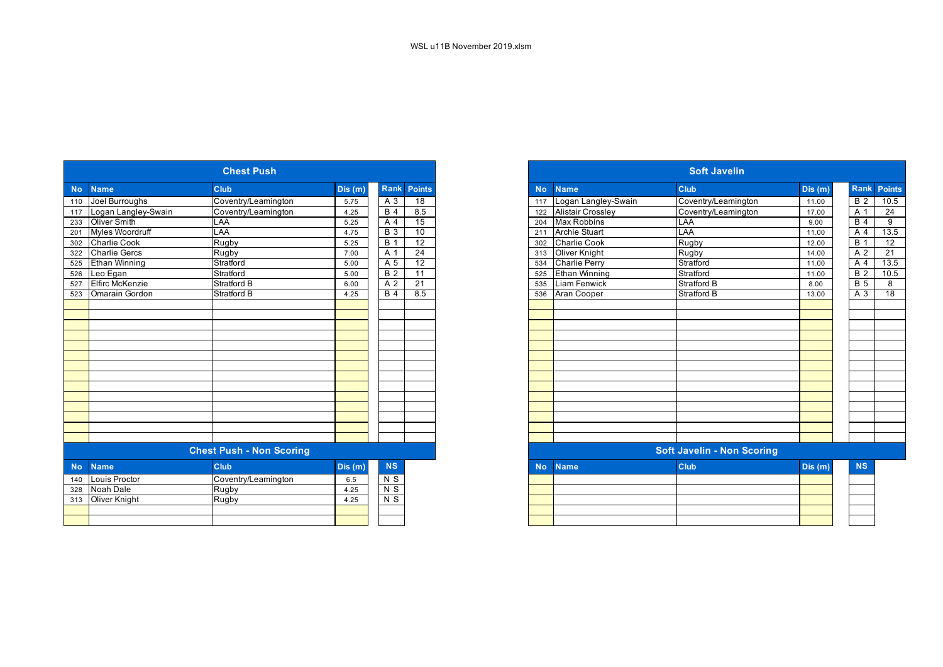|           |                        | <b>Chest Push</b>               |        |            |                    |
|-----------|------------------------|---------------------------------|--------|------------|--------------------|
| <b>No</b> | <b>Name</b>            | <b>Club</b>                     | Dis(m) |            | <b>Rank Points</b> |
| 110       | Joel Burroughs         | Coventry/Leamington             | 5.75   | A 3        | 18                 |
| 117       | Logan Langley-Swain    | Coventry/Leamington             | 4.25   | <b>B</b> 4 | 8.5                |
| 233       | <b>Oliver Smith</b>    | LAA                             | 5.25   | A 4        | 15                 |
| 201       | Myles Woordruff        | LAA                             | 4.75   | <b>B</b> 3 | 10                 |
| 302       | Charlie Cook           | Rugby                           | 5.25   | <b>B</b> 1 | 12                 |
| 322       | <b>Charlie Gercs</b>   | Rugby                           | 7.00   | A 1        | 24                 |
|           | Ethan Winning          | Stratford                       | 5.00   | A 5        | 12                 |
| 526       | Leo Egan               | Stratford                       | 5.00   | <b>B2</b>  | 11                 |
|           | <b>Elfirc McKenzie</b> | <b>Stratford B</b>              | 6.00   | A 2        | 21                 |
| 523       | <b>Omarain Gordon</b>  | Stratford B                     | 4.25   | <b>B</b> 4 | 8.5                |
|           |                        |                                 |        |            |                    |
|           |                        |                                 |        |            |                    |
|           |                        |                                 |        |            |                    |
|           |                        |                                 |        |            |                    |
|           |                        |                                 |        |            |                    |
|           |                        |                                 |        |            |                    |
|           |                        |                                 |        |            |                    |
|           |                        |                                 |        |            |                    |
|           |                        |                                 |        |            |                    |
|           |                        |                                 |        |            |                    |
|           |                        |                                 |        |            |                    |
|           |                        |                                 |        |            |                    |
|           |                        |                                 |        |            |                    |
|           |                        |                                 |        |            |                    |
|           |                        | <b>Chest Push - Non Scoring</b> |        |            |                    |
| <b>No</b> | <b>Name</b>            | Club                            | Dis(m) | NS         |                    |
| 140       | Louis Proctor          | Coventry/Leamington             | 6.5    | $N$ S      |                    |
| 328       | Noah Dale              | Rugby                           | 4.25   | $N$ S      |                    |
|           | 313 Oliver Knight      | <b>Rugby</b>                    | 4.25   | $N$ S      |                    |
|           |                        |                                 |        |            |                    |
|           |                        |                                 |        |            |                    |

|           |                         | <b>Chest Push</b>               |        |                  |                    |
|-----------|-------------------------|---------------------------------|--------|------------------|--------------------|
| <b>No</b> | <b>Name</b>             | <b>Club</b>                     | Dis(m) |                  | <b>Rank Points</b> |
|           | 110 Joel Burroughs      | Coventry/Leamington             | 5.75   | A 3              | 18                 |
|           | 117 Logan Langley-Swain | Coventry/Leamington             | 4.25   | <b>B</b> 4       | 8.5                |
|           | 233 Oliver Smith        | LAA                             | 5.25   | A <sub>4</sub>   | 15                 |
| 201       | Myles Woordruff         | LAA                             | 4.75   | <b>B</b> 3       | 10                 |
|           | 302 Charlie Cook        | Rugby                           | 5.25   | $\overline{B}$ 1 | $\overline{12}$    |
|           | 322 Charlie Gercs       | Rugby                           | 7.00   | A 1              | 24                 |
|           | 525 Ethan Winning       | Stratford                       | 5.00   | A 5              | $\overline{12}$    |
| 526       | Leo Egan                | Stratford                       | 5.00   | <b>B</b> 2       | $\overline{11}$    |
| 527       | <b>Elfirc McKenzie</b>  | Stratford B                     | 6.00   | A 2              | 21                 |
| 523       | <b>Omarain Gordon</b>   | <b>Stratford B</b>              | 4.25   | <b>B</b> 4       | 8.5                |
|           |                         |                                 |        |                  |                    |
|           |                         |                                 |        |                  |                    |
|           |                         |                                 |        |                  |                    |
|           |                         |                                 |        |                  |                    |
|           |                         |                                 |        |                  |                    |
|           |                         |                                 |        |                  |                    |
|           |                         |                                 |        |                  |                    |
|           |                         |                                 |        |                  |                    |
|           |                         |                                 |        |                  |                    |
|           |                         |                                 |        |                  |                    |
|           |                         |                                 |        |                  |                    |
|           |                         |                                 |        |                  |                    |
|           |                         |                                 |        |                  |                    |
|           |                         |                                 |        |                  |                    |
|           |                         | <b>Chest Push - Non Scoring</b> |        |                  |                    |
| <b>No</b> | <b>Name</b>             | <b>Club</b>                     | Dis(m) | NS               |                    |
| 140       | Louis Proctor           | Coventry/Leamington             | 6.5    | N S              |                    |
|           | 328 Noah Dale           | Rugby                           | 4.25   | $\overline{N}$   |                    |
|           | 313 Oliver Knight       | Rugby                           | 4.25   | $N$ S            |                    |
|           |                         |                                 |        |                  |                    |
|           |                         |                                 |        |                  |                    |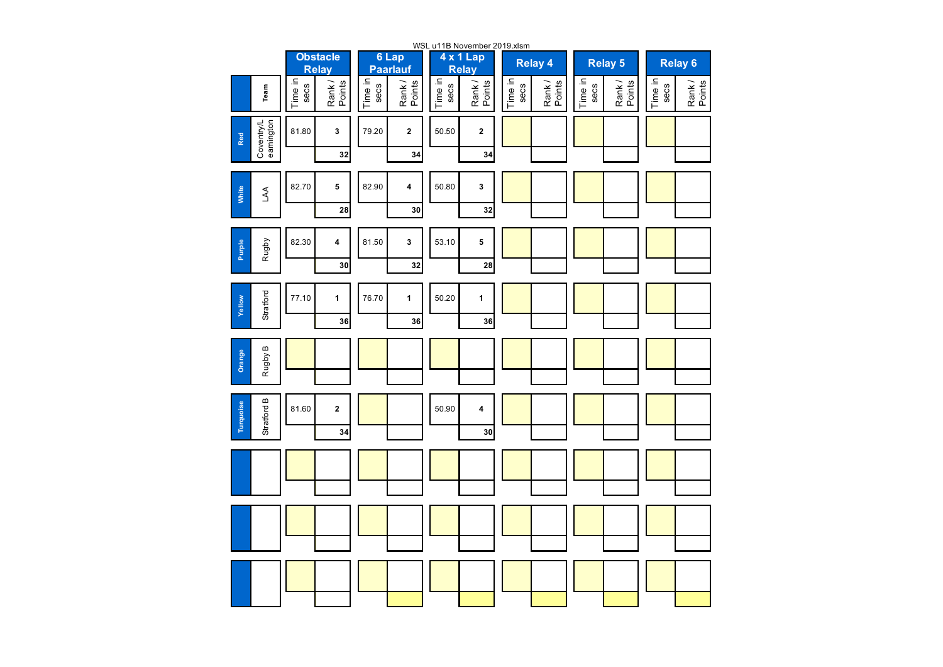|                                |                 |                                 |                 |                          |                 | WSL u11B November 2019.xlsm |                 |                  |                 |                 |                 |                    |
|--------------------------------|-----------------|---------------------------------|-----------------|--------------------------|-----------------|-----------------------------|-----------------|------------------|-----------------|-----------------|-----------------|--------------------|
|                                |                 | <b>Obstacle</b><br><b>Relay</b> |                 | 6 Lap<br><b>Paarlauf</b> |                 | 4 x 1 Lap<br><b>Relay</b>   |                 | <b>Relay 4</b>   |                 | <b>Relay 5</b>  |                 | Relay <sub>6</sub> |
| Team                           | Time in<br>secs | Rank/<br>Points                 | Time in<br>secs | Rank/<br>Points          | Time in<br>secs | Rank/<br>Points             | Time in<br>secs | Rank /<br>Points | Time in<br>secs | Rank/<br>Points | Time in<br>secs | Rank/<br>Points    |
| Coventry/L<br>eamington<br>Red | 81.80           | 3                               | 79.20           | $\mathbf{2}$             | 50.50           | $\mathbf 2$                 |                 |                  |                 |                 |                 |                    |
|                                |                 | 32                              |                 | 34                       |                 | 34                          |                 |                  |                 |                 |                 |                    |
| White<br>AA                    | 82.70           | ${\bf 5}$                       | 82.90           | 4                        | 50.80           | 3                           |                 |                  |                 |                 |                 |                    |
|                                |                 | 28                              |                 | 30                       |                 | 32                          |                 |                  |                 |                 |                 |                    |
| Purple<br>Rugby                | 82.30           | 4                               | 81.50           | 3                        | 53.10           | 5                           |                 |                  |                 |                 |                 |                    |
|                                |                 | 30                              |                 | 32                       |                 | 28                          |                 |                  |                 |                 |                 |                    |
| Stratford<br>Yellow            | 77.10           | $\mathbf{1}$                    | 76.70           | $\mathbf{1}$             | 50.20           | $\mathbf{1}$                |                 |                  |                 |                 |                 |                    |
|                                |                 | 36                              |                 | 36                       |                 | 36                          |                 |                  |                 |                 |                 |                    |
| Rugby B<br>Orange              |                 |                                 |                 |                          |                 |                             |                 |                  |                 |                 |                 |                    |
|                                |                 |                                 |                 |                          |                 |                             |                 |                  |                 |                 |                 |                    |
| Stratford B<br>Turquoise       | 81.60           | $\mathbf 2$                     |                 |                          | 50.90           | 4                           |                 |                  |                 |                 |                 |                    |
|                                |                 | 34                              |                 |                          |                 | 30                          |                 |                  |                 |                 |                 |                    |
|                                |                 |                                 |                 |                          |                 |                             |                 |                  |                 |                 |                 |                    |
|                                |                 |                                 |                 |                          |                 |                             |                 |                  |                 |                 |                 |                    |
|                                |                 |                                 |                 |                          |                 |                             |                 |                  |                 |                 |                 |                    |
|                                |                 |                                 |                 |                          |                 |                             |                 |                  |                 |                 |                 |                    |
|                                |                 |                                 |                 |                          |                 |                             |                 |                  |                 |                 |                 |                    |
|                                |                 |                                 |                 |                          |                 |                             |                 |                  |                 |                 |                 |                    |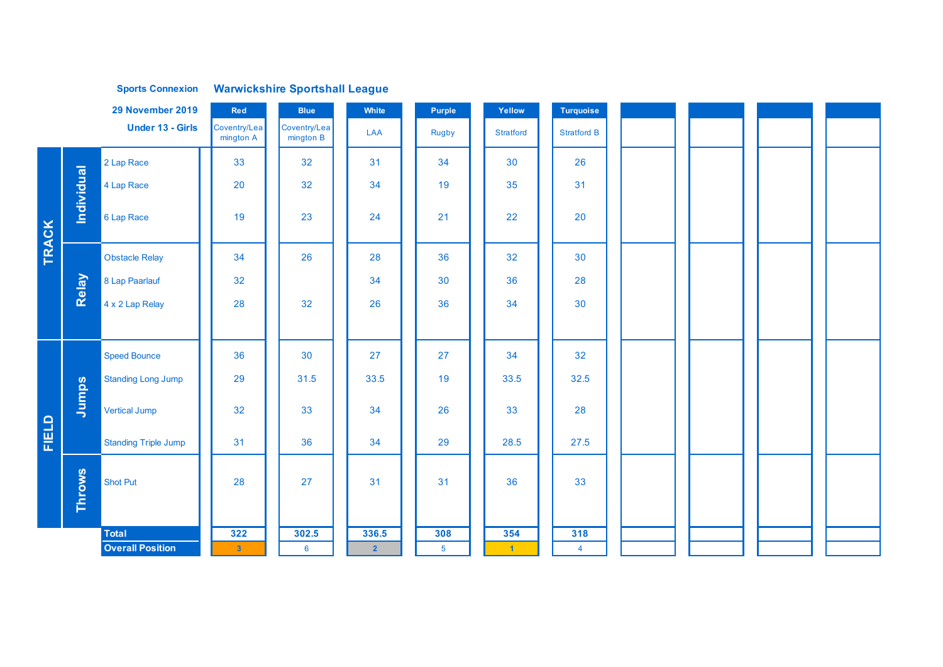|       |                   | <b>Sports Connexion</b>     |                           | <b>Warwickshire Sportshall League</b> |                |                |                  |                    |  |  |
|-------|-------------------|-----------------------------|---------------------------|---------------------------------------|----------------|----------------|------------------|--------------------|--|--|
|       |                   | 29 November 2019            | Red                       | <b>Blue</b>                           | White          | Purple         | Yellow           | <b>Turquoise</b>   |  |  |
|       |                   | <b>Under 13 - Girls</b>     | Coventry/Lea<br>mington A | Coventry/Lea<br>mington B             | LAA            | <b>Rugby</b>   | <b>Stratford</b> | <b>Stratford B</b> |  |  |
|       |                   | 2 Lap Race                  | 33                        | 32                                    | 31             | 34             | 30               | 26                 |  |  |
|       | <b>Individual</b> | 4 Lap Race                  | 20                        | 32                                    | 34             | 19             | 35               | 31                 |  |  |
| TRACK |                   | 6 Lap Race                  | 19                        | 23                                    | 24             | 21             | 22               | 20                 |  |  |
|       |                   | <b>Obstacle Relay</b>       | 34                        | 26                                    | 28             | 36             | 32               | 30                 |  |  |
|       | Relay             | 8 Lap Paarlauf              | 32                        |                                       | 34             | 30             | 36               | 28                 |  |  |
|       |                   | $4 \times 2$ Lap Relay      | 28                        | 32                                    | 26             | 36             | 34               | 30                 |  |  |
|       |                   |                             |                           |                                       |                |                |                  |                    |  |  |
|       |                   | <b>Speed Bounce</b>         | 36                        | 30                                    | 27             | 27             | 34               | 32                 |  |  |
|       |                   | <b>Standing Long Jump</b>   | 29                        | 31.5                                  | 33.5           | 19             | 33.5             | 32.5               |  |  |
|       | Jumps             | Vertical Jump               | 32                        | 33                                    | 34             | 26             | 33               | 28                 |  |  |
| FIELD |                   | <b>Standing Triple Jump</b> | 31                        | 36                                    | 34             | 29             | 28.5             | 27.5               |  |  |
|       | Throws            | <b>Shot Put</b>             | 28                        | 27                                    | 31             | 31             | 36               | 33                 |  |  |
|       |                   | <b>Total</b>                | $\frac{1}{322}$           | 302.5                                 | 336.5          | 308            | 354              | $\overline{318}$   |  |  |
|       |                   | <b>Overall Position</b>     | $\sqrt{3}$                | $6\overline{6}$                       | $\overline{2}$ | 5 <sup>5</sup> | $\vert$ 1        | $\overline{4}$     |  |  |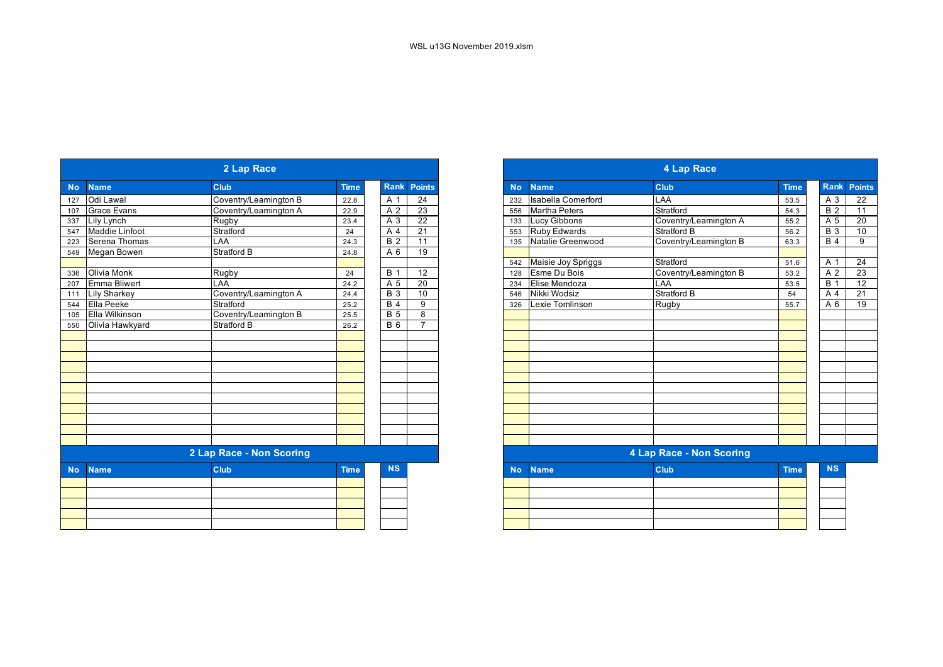|           |                       | 2 Lap Race               |             |                  |                    |
|-----------|-----------------------|--------------------------|-------------|------------------|--------------------|
| <b>No</b> | <b>Name</b>           | <b>Club</b>              | <b>Time</b> |                  | <b>Rank Points</b> |
| 127       | Odi Lawal             | Coventry/Leamington B    | 22.8        | A 1              | 24                 |
| 107       | <b>Grace Evans</b>    | Coventry/Leamington A    | 22.9        | A 2              | 23                 |
| 337       | Lily Lynch            | Rugby                    | 23.4        | A 3              | $\overline{22}$    |
| 547       | <b>Maddie Linfoot</b> | Stratford                | 24          | A 4              | $\overline{21}$    |
| 223       | Serena Thomas         | LAA                      | 24.3        | $\overline{B}$ 2 | $\overline{11}$    |
|           | 549 Megan Bowen       | <b>Stratford B</b>       | 24.8        | A 6              | 19                 |
|           |                       |                          |             |                  |                    |
| 336       | Olivia Monk           | Rugby                    | 24          | <b>B</b> 1       | 12                 |
| 207       | <b>Emma Bliwert</b>   | LAA                      | 24.2        | A 5              | 20                 |
|           | 111 Lily Sharkey      | Coventry/Leamington A    | 24.4        | <b>B</b> 3       | 10                 |
| 544       | Ella Peeke            | Stratford                | 25.2        | <b>B</b> 4       | 9                  |
| 105       | Ella Wilkinson        | Coventry/Leamington B    | 25.5        | <b>B</b> 5       | 8                  |
| 550       | Olivia Hawkyard       | Stratford B              | 26.2        | <b>B</b> 6       |                    |
|           |                       |                          |             |                  |                    |
|           |                       |                          |             |                  |                    |
|           |                       |                          |             |                  |                    |
|           |                       |                          |             |                  |                    |
|           |                       |                          |             |                  |                    |
|           |                       |                          |             |                  |                    |
|           |                       |                          |             |                  |                    |
|           |                       |                          |             |                  |                    |
|           |                       |                          |             |                  |                    |
|           |                       |                          |             |                  |                    |
|           |                       |                          |             |                  |                    |
|           |                       | 2 Lap Race - Non Scoring |             |                  |                    |
| <b>No</b> | <b>Name</b>           | <b>Club</b>              | <b>Time</b> | <b>NS</b>        |                    |
|           |                       |                          |             |                  |                    |
|           |                       |                          |             |                  |                    |
|           |                       |                          |             |                  |                    |
|           |                       |                          |             |                  |                    |
|           |                       |                          |             |                  |                    |
|           |                       |                          |             |                  |                    |

| 2 Lap Race       |                     |                          |             |  |                |                 | <b>4 Lap Race</b>                 |                                               |                          |             |            |  |                 |
|------------------|---------------------|--------------------------|-------------|--|----------------|-----------------|-----------------------------------|-----------------------------------------------|--------------------------|-------------|------------|--|-----------------|
| <b>No</b>        | <b>Name</b>         | Club                     | <b>Time</b> |  | Rank           | <b>Points</b>   | <b>No</b>                         | <b>Name</b>                                   | Club                     | <b>Time</b> |            |  | Rank Points     |
| 127              | Odi Lawal           | Coventry/Leamington B    | 22.8        |  | A 1            | 24              | 232                               | <b>Isabella Comerford</b>                     | LAA                      | 53.5        | A 3        |  | 22              |
| 107              | <b>Grace Evans</b>  | Coventry/Leamington A    | 22.9        |  | A 2            | 23              | Martha Peters<br>Stratford<br>556 |                                               |                          | 54.3        | <b>B2</b>  |  | $\overline{11}$ |
| 337              | Lily Lynch          | Rugby                    | 23.4        |  | A 3            | 22              | 133                               | Lucy Gibbons                                  | Coventry/Leamington A    | 55.2        | A 5        |  | 20              |
| $\frac{1}{547}$  | Maddie Linfoot      | Stratford                | 24          |  | A 4            | $\overline{21}$ | 553                               | <b>Ruby Edwards</b>                           | Stratford B              | 56.2        | <b>B</b> 3 |  | 10              |
| 223              | Serena Thomas       | LAA                      | 24.3        |  | <b>B</b> 2     | 11              | 135                               | Natalie Greenwood                             | Coventry/Leamington B    | 63.3        | <b>B</b> 4 |  | 9               |
| 549              | Megan Bowen         | Stratford B              | 24.8        |  | A 6            | 19              |                                   |                                               |                          |             |            |  |                 |
|                  |                     |                          |             |  |                |                 | 542                               | Maisie Joy Spriggs                            | Stratford                | 51.6        | A 1        |  | 24              |
| 336              | <b>Olivia Monk</b>  | Rugby                    | 24          |  | <b>B</b> 1     | 12              | 128                               | Esme Du Bois<br>Coventry/Leamington B<br>53.2 |                          |             | A 2        |  | 23              |
| $\overline{207}$ | <b>Emma Bliwert</b> | LAA                      | 24.2        |  | A 5            | 20              | 234                               | <b>LAA</b><br>Elise Mendoza<br>53.5           |                          |             | <b>B</b> 1 |  | $\overline{12}$ |
| 111              | <b>Lily Sharkey</b> | Coventry/Leamington A    | 24.4        |  | <b>B</b> 3     | 10              | 546                               | Nikki Wodsiz                                  | Stratford B              | 54          | A 4        |  | $\overline{21}$ |
| 544              | Ella Peeke          | Stratford                | 25.2        |  | <b>B</b> 4     | 9               | 326                               | Lexie Tomlinson                               | Rugby                    | 55.7        | A 6        |  | 19              |
| 105              | Ella Wilkinson      | Coventry/Leamington B    | 25.5        |  | B <sub>5</sub> | 8               |                                   |                                               |                          |             |            |  |                 |
| 550              | Olivia Hawkyard     | <b>Stratford B</b>       | 26.2        |  | <b>B</b> 6     | $\overline{7}$  |                                   |                                               |                          |             |            |  |                 |
|                  |                     |                          |             |  |                |                 |                                   |                                               |                          |             |            |  |                 |
|                  |                     |                          |             |  |                |                 |                                   |                                               |                          |             |            |  |                 |
|                  |                     |                          |             |  |                |                 |                                   |                                               |                          |             |            |  |                 |
|                  |                     |                          |             |  |                |                 |                                   |                                               |                          |             |            |  |                 |
|                  |                     |                          |             |  |                |                 |                                   |                                               |                          |             |            |  |                 |
|                  |                     |                          |             |  |                |                 |                                   |                                               |                          |             |            |  |                 |
|                  |                     |                          |             |  |                |                 |                                   |                                               |                          |             |            |  |                 |
|                  |                     |                          |             |  |                |                 |                                   |                                               |                          |             |            |  |                 |
|                  |                     |                          |             |  |                |                 |                                   |                                               |                          |             |            |  |                 |
|                  |                     |                          |             |  |                |                 |                                   |                                               |                          |             |            |  |                 |
|                  |                     |                          |             |  |                |                 |                                   |                                               |                          |             |            |  |                 |
|                  |                     | 2 Lap Race - Non Scoring |             |  |                |                 |                                   |                                               | 4 Lap Race - Non Scoring |             |            |  |                 |
| <b>No</b>        | <b>Name</b>         | Club                     | <b>Time</b> |  | <b>NS</b>      |                 | <b>No</b>                         | <b>Name</b>                                   | Club                     | <b>Time</b> | <b>NS</b>  |  |                 |
|                  |                     |                          |             |  |                |                 |                                   |                                               |                          |             |            |  |                 |
|                  |                     |                          |             |  |                |                 |                                   |                                               |                          |             |            |  |                 |
|                  |                     |                          |             |  |                |                 |                                   |                                               |                          |             |            |  |                 |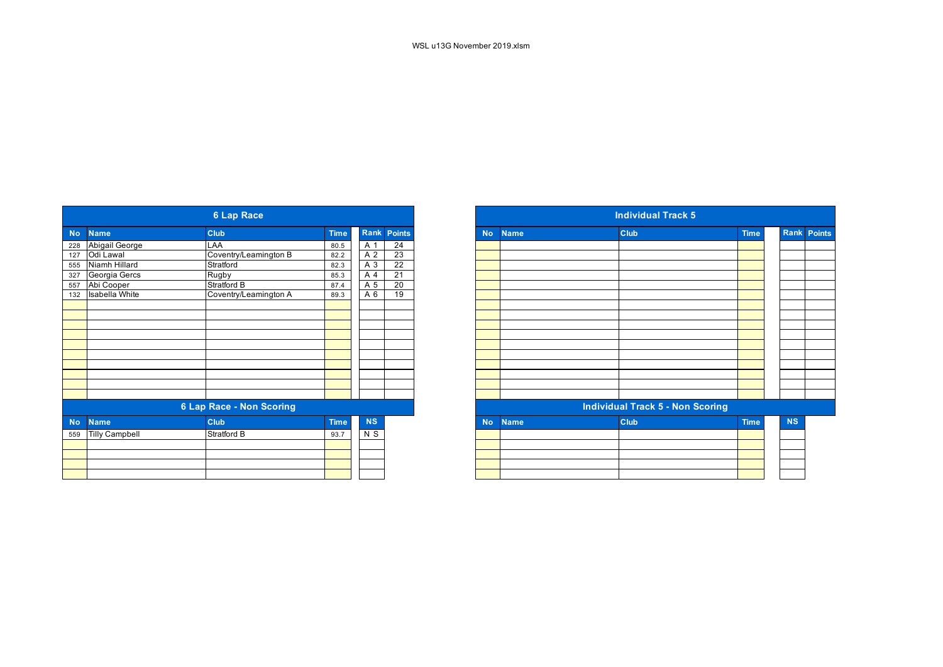|           |                       | <b>6 Lap Race</b>               |             |           |                 |
|-----------|-----------------------|---------------------------------|-------------|-----------|-----------------|
| <b>No</b> | <b>Name</b>           | <b>Club</b>                     | <b>Time</b> |           | Rank Points     |
| 228       | Abigail George        | LAA                             | 80.5        | A 1       | 24              |
| 127       | Odi Lawal             | Coventry/Leamington B           | 82.2        | A 2       | 23              |
| 555       | Niamh Hillard         | Stratford                       | 82.3        | A 3       | $\overline{22}$ |
| 327       | Georgia Gercs         | Rugby                           | 85.3        | A 4       | 21              |
| 557       | Abi Cooper            | Stratford B                     | 87.4        | A 5       | 20              |
| 132       | <b>Isabella White</b> | Coventry/Leamington A           | 89.3        | A 6       | 19              |
|           |                       |                                 |             |           |                 |
|           |                       |                                 |             |           |                 |
|           |                       |                                 |             |           |                 |
|           |                       |                                 |             |           |                 |
|           |                       |                                 |             |           |                 |
|           |                       |                                 |             |           |                 |
|           |                       |                                 |             |           |                 |
|           |                       |                                 |             |           |                 |
|           |                       |                                 |             |           |                 |
|           |                       |                                 |             |           |                 |
|           |                       | <b>6 Lap Race - Non Scoring</b> |             |           |                 |
| <b>No</b> | <b>Name</b>           | Club                            | <b>Time</b> | <b>NS</b> |                 |
| 559       | <b>Tilly Campbell</b> | Stratford B                     | 93.7        | N S       |                 |
|           |                       |                                 |             |           |                 |
|           |                       |                                 |             |           |                 |
|           |                       |                                 |             |           |                 |
|           |                       |                                 |             |           |                 |

| <b>6 Lap Race</b> |                       |                          |             |             |                 |  |  |  |
|-------------------|-----------------------|--------------------------|-------------|-------------|-----------------|--|--|--|
|                   | <b>Name</b>           | <b>Club</b>              | <b>Time</b> | <b>Rank</b> | <b>Points</b>   |  |  |  |
|                   | Abigail George        | LAA                      | 80.5        | A 1         | 24              |  |  |  |
| 228               | Odi Lawal             | Coventry/Leamington B    | 82.2        | A 2         | $\overline{23}$ |  |  |  |
| 127<br>555        | Niamh Hillard         | Stratford                | 82.3        | A 3         | 22              |  |  |  |
|                   | Georgia Gercs         | Rugby                    | 85.3        | A 4         | $\overline{21}$ |  |  |  |
|                   | Abi Cooper            | Stratford B              | 87.4        | A 5         | 20              |  |  |  |
| 327<br>557<br>132 | <b>Isabella White</b> | Coventry/Leamington A    | 89.3        | A 6         | 19              |  |  |  |
|                   |                       |                          |             |             |                 |  |  |  |
|                   |                       |                          |             |             |                 |  |  |  |
|                   |                       |                          |             |             |                 |  |  |  |
|                   |                       |                          |             |             |                 |  |  |  |
|                   |                       |                          |             |             |                 |  |  |  |
|                   |                       |                          |             |             |                 |  |  |  |
|                   |                       |                          |             |             |                 |  |  |  |
|                   |                       |                          |             |             |                 |  |  |  |
|                   |                       |                          |             |             |                 |  |  |  |
|                   |                       |                          |             |             |                 |  |  |  |
|                   |                       | 6 Lap Race - Non Scoring |             |             |                 |  |  |  |
| <b>No</b>         | <b>Name</b>           | <b>Club</b>              | <b>Time</b> | <b>NS</b>   |                 |  |  |  |
| 559               | <b>Tilly Campbell</b> | Stratford B              | 93.7        | N S         |                 |  |  |  |
|                   |                       |                          |             |             |                 |  |  |  |
|                   |                       |                          |             |             |                 |  |  |  |
|                   |                       |                          |             |             |                 |  |  |  |
|                   |                       |                          |             |             |                 |  |  |  |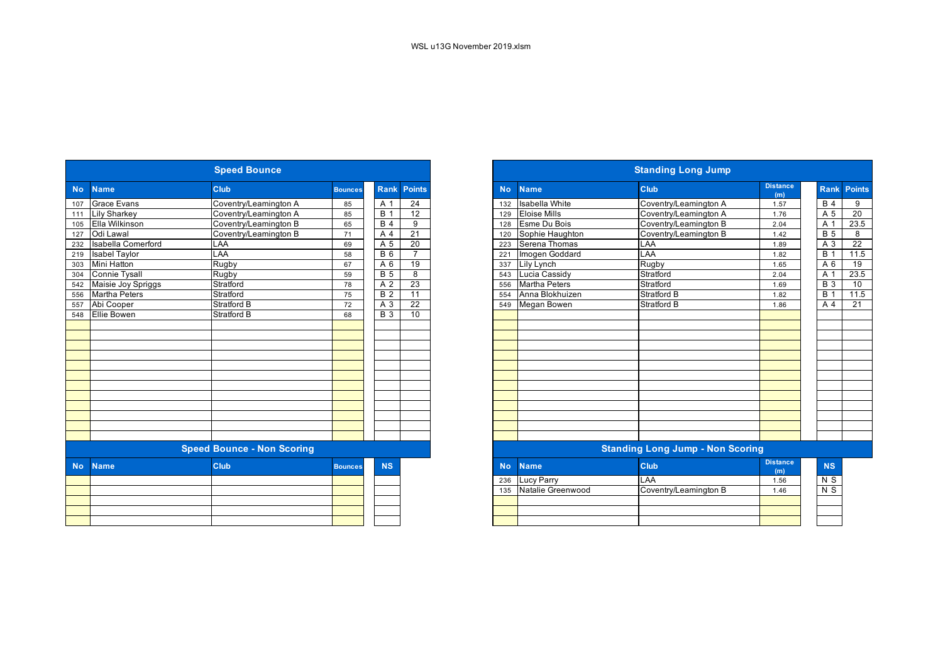|           |                           | <b>Speed Bounce</b>               |                |                  |                 | <b>Standing Long Jump</b> |                                          |                                         |                        |  |  |  |  |
|-----------|---------------------------|-----------------------------------|----------------|------------------|-----------------|---------------------------|------------------------------------------|-----------------------------------------|------------------------|--|--|--|--|
| <b>No</b> | <b>Name</b>               | Club                              | <b>Bounces</b> | Rank             | <b>Points</b>   | <b>No</b>                 | <b>Name</b>                              | <b>Club</b>                             | <b>Distance</b><br>(m) |  |  |  |  |
| 107       | <b>Grace Evans</b>        | Coventry/Leamington A             | 85             | A 1              | $\overline{24}$ | 132                       | <b>Isabella White</b>                    | Coventry/Leamington A                   | 1.57                   |  |  |  |  |
| 111       | <b>Lily Sharkey</b>       | Coventry/Leamington A             | 85             | B <sub>1</sub>   | 12              | 129                       | <b>Eloise Mills</b>                      | Coventry/Leamington A                   | 1.76                   |  |  |  |  |
| 105       | Ella Wilkinson            | Coventry/Leamington B             | 65             | B <sub>4</sub>   | 9               | 128                       | Esme Du Bois<br>Coventry/Leamington B    |                                         | 2.04                   |  |  |  |  |
| 127       | Odi Lawal                 | Coventry/Leamington B             | 71             | A 4              | $\overline{21}$ | 120                       | Sophie Haughton<br>Coventry/Leamington B |                                         | 1.42                   |  |  |  |  |
| 232       | <b>Isabella Comerford</b> | LAA                               | 69             | A 5              | 20              | 223                       | Serena Thomas<br>LAA                     |                                         |                        |  |  |  |  |
| 219       | <b>Isabel Taylor</b>      | LAA                               | 58             | <b>B</b> 6       | $\overline{7}$  | 221                       | Imogen Goddard                           | LAA                                     | 1.82                   |  |  |  |  |
| 303       | <b>Mini Hatton</b>        | Rugby                             | 67             | A 6              | 19              | 337                       | <b>Lily Lynch</b>                        | Rugby                                   | 1.65                   |  |  |  |  |
| 304       | <b>Connie Tysall</b>      | Rugby                             | 59             | $\overline{B}$ 5 | 8               | 543                       | Lucia Cassidy                            | Stratford                               | 2.04                   |  |  |  |  |
| 542       | Maisie Joy Spriggs        | Stratford                         | 78             | A <sub>2</sub>   | 23              | 556                       | <b>Martha Peters</b>                     | Stratford                               | 1.69                   |  |  |  |  |
| 556       | <b>Martha Peters</b>      | Stratford                         | 75             | B <sub>2</sub>   | $\overline{11}$ | 554                       | Anna Blokhuizen                          | Stratford B                             | 1.82                   |  |  |  |  |
| 557       | Abi Cooper                | Stratford B                       | 72             | A 3              | $\overline{22}$ | 549                       | <b>Megan Bowen</b>                       | Stratford B                             | 1.86                   |  |  |  |  |
| 548       | <b>Ellie Bowen</b>        | <b>Stratford B</b>                | 68             | $\overline{B}$ 3 | 10              |                           |                                          |                                         |                        |  |  |  |  |
|           |                           |                                   |                |                  |                 |                           |                                          |                                         |                        |  |  |  |  |
|           |                           |                                   |                |                  |                 |                           |                                          |                                         |                        |  |  |  |  |
|           |                           |                                   |                |                  |                 |                           |                                          |                                         |                        |  |  |  |  |
|           |                           |                                   |                |                  |                 |                           |                                          |                                         |                        |  |  |  |  |
|           |                           |                                   |                |                  |                 |                           |                                          |                                         |                        |  |  |  |  |
|           |                           |                                   |                |                  |                 |                           |                                          |                                         |                        |  |  |  |  |
|           |                           |                                   |                |                  |                 |                           |                                          |                                         |                        |  |  |  |  |
|           |                           |                                   |                |                  |                 |                           |                                          |                                         |                        |  |  |  |  |
|           |                           |                                   |                |                  |                 |                           |                                          |                                         |                        |  |  |  |  |
|           |                           |                                   |                |                  |                 |                           |                                          |                                         |                        |  |  |  |  |
|           |                           |                                   |                |                  |                 |                           |                                          |                                         |                        |  |  |  |  |
|           |                           |                                   |                |                  |                 |                           |                                          |                                         |                        |  |  |  |  |
|           |                           | <b>Speed Bounce - Non Scoring</b> |                |                  |                 |                           |                                          | <b>Standing Long Jump - Non Scoring</b> |                        |  |  |  |  |
| <b>No</b> | <b>Name</b>               | Club                              | <b>Bounces</b> | <b>NS</b>        |                 | <b>No</b>                 | <b>Name</b>                              | Club                                    | <b>Distance</b><br>(m) |  |  |  |  |
|           |                           |                                   |                |                  |                 | 236                       | Lucy Parry                               | LAA                                     | 1.56                   |  |  |  |  |
|           |                           |                                   |                |                  |                 | 135                       | Natalie Greenwood                        | Coventry/Leamington B                   | 1.46                   |  |  |  |  |
|           |                           |                                   |                |                  |                 |                           |                                          |                                         |                        |  |  |  |  |
|           |                           |                                   |                |                  |                 |                           |                                          |                                         |                        |  |  |  |  |
|           |                           |                                   |                |                  |                 |                           |                                          |                                         |                        |  |  |  |  |

|           |                           | <b>Speed Bounce</b>               |                |                |                 |
|-----------|---------------------------|-----------------------------------|----------------|----------------|-----------------|
| <b>No</b> | <b>Name</b>               | Club                              | <b>Bounces</b> | <b>Rank</b>    | <b>Points</b>   |
|           | Grace Evans               | Coventry/Leamington A             | 85             | A 1            | 24              |
|           | Lily Sharkey              | Coventry/Leamington A             | 85             | <b>B</b> 1     | 12              |
|           | <b>Ella Wilkinson</b>     | Coventry/Leamington B             | 65             | <b>B</b> 4     | 9               |
| 127       | Odi Lawal                 | Coventry/Leamington B             | 71             | A 4            | $\overline{21}$ |
|           | <b>Isabella Comerford</b> | LAA                               | 69             | A 5            | 20              |
| 219       | <b>Isabel Taylor</b>      | LAA                               | 58             | <b>B</b> 6     | $\overline{7}$  |
|           | Mini Hatton               | Rugby                             | 67             | A <sub>6</sub> | 19              |
| 304       | <b>Connie Tysall</b>      | Rugby                             | 59             | <b>B</b> 5     | 8               |
| 542       | Maisie Joy Spriggs        | Stratford                         | 78             | A 2            | 23              |
|           | <b>Martha Peters</b>      | Stratford                         | 75             | <b>B</b> 2     | $\overline{11}$ |
|           | Abi Cooper                | Stratford B                       | 72             | A 3            | 22              |
|           | <b>Ellie Bowen</b>        | Stratford B                       | 68             | <b>B</b> 3     | 10              |
|           |                           |                                   |                |                |                 |
|           |                           |                                   |                |                |                 |
|           |                           |                                   |                |                |                 |
|           |                           |                                   |                |                |                 |
|           |                           |                                   |                |                |                 |
|           |                           |                                   |                |                |                 |
|           |                           |                                   |                |                |                 |
|           |                           |                                   |                |                |                 |
|           |                           |                                   |                |                |                 |
|           |                           |                                   |                |                |                 |
|           |                           |                                   |                |                |                 |
|           |                           |                                   |                |                |                 |
|           |                           | <b>Speed Bounce - Non Scoring</b> |                |                |                 |
|           | <b>Name</b>               | Club                              | <b>Bounces</b> | <b>NS</b>      |                 |
|           |                           |                                   |                |                |                 |
|           |                           |                                   |                |                |                 |
|           |                           |                                   |                |                |                 |
|           |                           |                                   |                |                |                 |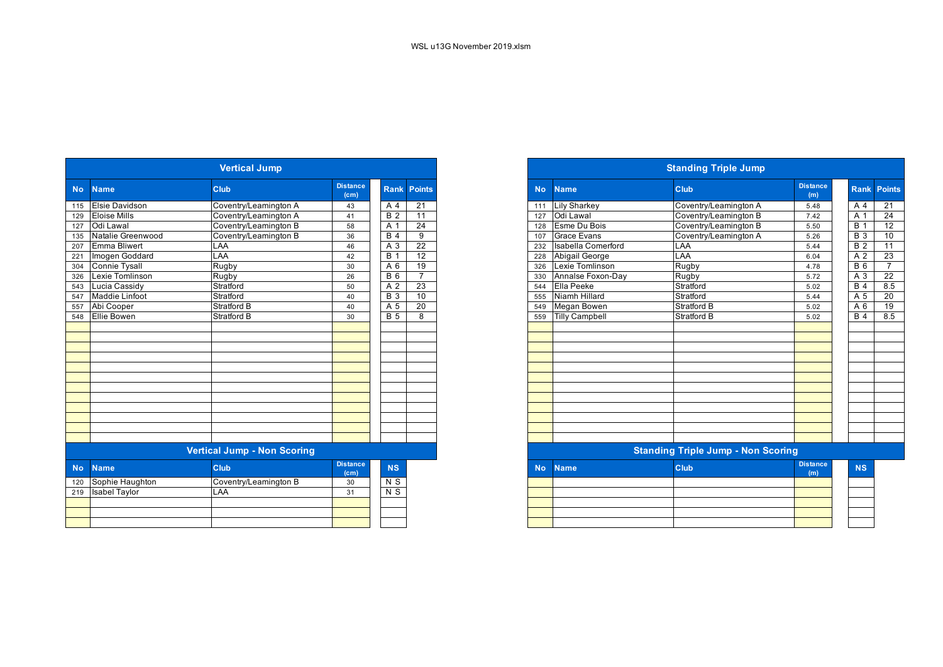|           | <b>Vertical Jump</b> |                                    |                                      |                     |                    |  |  |  |  |  |  |  |
|-----------|----------------------|------------------------------------|--------------------------------------|---------------------|--------------------|--|--|--|--|--|--|--|
| <b>No</b> | <b>Name</b>          | Club                               | <b>Distance</b><br>(c <sub>m</sub> ) |                     | <b>Rank Points</b> |  |  |  |  |  |  |  |
| 115       | Elsie Davidson       | Coventry/Leamington A              | 43                                   | A 4                 | 21                 |  |  |  |  |  |  |  |
| 129       | <b>Eloise Mills</b>  | Coventry/Leamington A              | 41                                   | $\overline{B}$ 2    | 11                 |  |  |  |  |  |  |  |
| 127       | Odi Lawal            | Coventry/Leamington B              | 58                                   | A 1                 | $\overline{24}$    |  |  |  |  |  |  |  |
| 135       | Natalie Greenwood    | Coventry/Leamington B              | 36                                   | <b>B4</b>           | 9                  |  |  |  |  |  |  |  |
| 207       | <b>Emma Bliwert</b>  | LAA                                | 46                                   | A 3                 | 22                 |  |  |  |  |  |  |  |
| 221       | Imogen Goddard       | LAA                                | 42                                   | <b>B</b> 1          | 12                 |  |  |  |  |  |  |  |
| 304       | <b>Connie Tysall</b> | Rugby                              | 30                                   | A <sub>6</sub>      | 19                 |  |  |  |  |  |  |  |
| 326       | Lexie Tomlinson      | Rugby                              | 26                                   | 6<br>B              | $\overline{7}$     |  |  |  |  |  |  |  |
| 543       | Lucia Cassidy        | Stratford                          | 50                                   | $\overline{2}$<br>A | 23                 |  |  |  |  |  |  |  |
| 547       | Maddie Linfoot       | Stratford                          | 40                                   | $\overline{B}3$     | 10                 |  |  |  |  |  |  |  |
| 557       | Abi Cooper           | Stratford B                        | 40                                   | $\overline{A}$ 5    | 20                 |  |  |  |  |  |  |  |
| 548       | <b>Ellie Bowen</b>   | <b>Stratford B</b>                 | 30                                   | $\overline{B}$ 5    | 8                  |  |  |  |  |  |  |  |
|           |                      |                                    |                                      |                     |                    |  |  |  |  |  |  |  |
|           |                      |                                    |                                      |                     |                    |  |  |  |  |  |  |  |
|           |                      |                                    |                                      |                     |                    |  |  |  |  |  |  |  |
|           |                      |                                    |                                      |                     |                    |  |  |  |  |  |  |  |
|           |                      |                                    |                                      |                     |                    |  |  |  |  |  |  |  |
|           |                      |                                    |                                      |                     |                    |  |  |  |  |  |  |  |
|           |                      |                                    |                                      |                     |                    |  |  |  |  |  |  |  |
|           |                      |                                    |                                      |                     |                    |  |  |  |  |  |  |  |
|           |                      |                                    |                                      |                     |                    |  |  |  |  |  |  |  |
|           |                      |                                    |                                      |                     |                    |  |  |  |  |  |  |  |
|           |                      |                                    |                                      |                     |                    |  |  |  |  |  |  |  |
|           |                      |                                    |                                      |                     |                    |  |  |  |  |  |  |  |
|           |                      | <b>Vertical Jump - Non Scoring</b> |                                      |                     |                    |  |  |  |  |  |  |  |
| <b>No</b> | <b>Name</b>          | Club                               | <b>Distance</b><br>(c <sub>m</sub> ) | <b>NS</b>           |                    |  |  |  |  |  |  |  |
| 120       | Sophie Haughton      | Coventry/Leamington B              | 30                                   | N S                 |                    |  |  |  |  |  |  |  |
| 219       | <b>Isabel Taylor</b> | LAA                                | 31                                   | N <sub>S</sub>      |                    |  |  |  |  |  |  |  |
|           |                      |                                    |                                      |                     |                    |  |  |  |  |  |  |  |
|           |                      |                                    |                                      |                     |                    |  |  |  |  |  |  |  |
|           |                      |                                    |                                      |                     |                    |  |  |  |  |  |  |  |
|           |                      |                                    |                                      |                     |                    |  |  |  |  |  |  |  |

| <b>Vertical Jump</b><br><b>Distance</b><br><b>Club</b><br>No.<br><b>Name</b><br>(cm)<br>115 Elsie Davidson<br>Coventry/Leamington A<br>43<br>129 Eloise Mills<br>Coventry/Leamington A<br>41<br>127<br>Odi Lawal<br>Coventry/Leamington B<br>58<br>135<br>Natalie Greenwood<br>Coventry/Leamington B<br>36<br>207<br><b>Emma Bliwert</b><br>LAA<br>46<br>221 |                       |                                    |                         |                  |                 |
|--------------------------------------------------------------------------------------------------------------------------------------------------------------------------------------------------------------------------------------------------------------------------------------------------------------------------------------------------------------|-----------------------|------------------------------------|-------------------------|------------------|-----------------|
|                                                                                                                                                                                                                                                                                                                                                              |                       |                                    |                         | <b>Rank</b>      | <b>Points</b>   |
|                                                                                                                                                                                                                                                                                                                                                              |                       |                                    |                         | A 4              | 21              |
|                                                                                                                                                                                                                                                                                                                                                              |                       |                                    |                         | $\overline{B}$ 2 | 11              |
|                                                                                                                                                                                                                                                                                                                                                              |                       |                                    |                         | A 1              | $\overline{24}$ |
|                                                                                                                                                                                                                                                                                                                                                              |                       |                                    |                         | <b>B</b> 4       | 9               |
|                                                                                                                                                                                                                                                                                                                                                              |                       |                                    |                         | A 3              | $\overline{22}$ |
|                                                                                                                                                                                                                                                                                                                                                              | Imogen Goddard        | <b>AA</b>                          | 42                      | $\overline{B}$ 1 | $\overline{12}$ |
| 304                                                                                                                                                                                                                                                                                                                                                          | <b>Connie Tysall</b>  | Rugby                              | 30                      | A 6              | $\overline{19}$ |
| $\overline{326}$                                                                                                                                                                                                                                                                                                                                             | Lexie Tomlinson       | Rugby                              | 26                      | <b>B</b> 6       | $\overline{7}$  |
| 543                                                                                                                                                                                                                                                                                                                                                          | Lucia Cassidy         | Stratford                          | 50                      | A 2              | 23              |
| 547                                                                                                                                                                                                                                                                                                                                                          | <b>Maddie Linfoot</b> | Stratford                          | 40                      | <b>B</b> 3       | 10              |
|                                                                                                                                                                                                                                                                                                                                                              | 557 Abi Cooper        | Stratford B                        | 40                      | A 5              | $\overline{20}$ |
|                                                                                                                                                                                                                                                                                                                                                              | 548 Ellie Bowen       | <b>Stratford B</b>                 | 30                      | $\overline{B}$ 5 | 8               |
|                                                                                                                                                                                                                                                                                                                                                              |                       |                                    |                         |                  |                 |
|                                                                                                                                                                                                                                                                                                                                                              |                       |                                    |                         |                  |                 |
|                                                                                                                                                                                                                                                                                                                                                              |                       |                                    |                         |                  |                 |
|                                                                                                                                                                                                                                                                                                                                                              |                       |                                    |                         |                  |                 |
|                                                                                                                                                                                                                                                                                                                                                              |                       |                                    |                         |                  |                 |
|                                                                                                                                                                                                                                                                                                                                                              |                       |                                    |                         |                  |                 |
|                                                                                                                                                                                                                                                                                                                                                              |                       |                                    |                         |                  |                 |
|                                                                                                                                                                                                                                                                                                                                                              |                       |                                    |                         |                  |                 |
|                                                                                                                                                                                                                                                                                                                                                              |                       |                                    |                         |                  |                 |
|                                                                                                                                                                                                                                                                                                                                                              |                       |                                    |                         |                  |                 |
|                                                                                                                                                                                                                                                                                                                                                              |                       |                                    |                         |                  |                 |
|                                                                                                                                                                                                                                                                                                                                                              |                       |                                    |                         |                  |                 |
|                                                                                                                                                                                                                                                                                                                                                              |                       | <b>Vertical Jump - Non Scoring</b> |                         |                  |                 |
| <b>No</b>                                                                                                                                                                                                                                                                                                                                                    | <b>Name</b>           | <b>Club</b>                        | <b>Distance</b><br>(cm) | <b>NS</b>        |                 |
|                                                                                                                                                                                                                                                                                                                                                              |                       |                                    |                         |                  |                 |

|  | (m) | the control of the con- |
|--|-----|-------------------------|
|  |     |                         |
|  |     |                         |
|  |     |                         |
|  |     |                         |
|  |     |                         |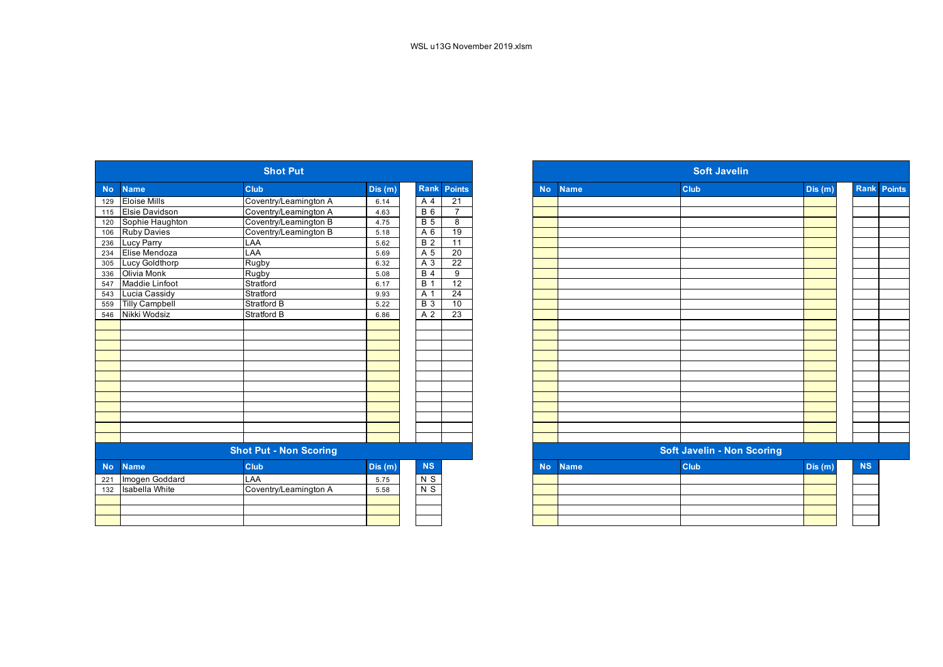| Club<br><b>Rank Points</b><br>Club<br><b>Name</b><br>Dis (m)<br><b>No</b><br><b>Name</b><br><b>No</b><br><b>Eloise Mills</b><br>$\overline{21}$<br>Coventry/Leamington A<br>A 4<br>129<br>6.14<br>Elsie Davidson<br>Coventry/Leamington A<br>$\overline{B}$ 6<br>$\overline{7}$<br>4.63<br>115<br>Coventry/Leamington B<br><b>B</b> 5<br>Sophie Haughton<br>8<br>4.75<br>120<br><b>Ruby Davies</b><br>Coventry/Leamington B<br>A 6<br>19<br>106<br>5.18<br>$\overline{B}$ 2<br>LAA<br>$\overline{11}$<br>Lucy Parry<br>236<br>5.62<br>Elise Mendoza<br>LAA<br>A 5<br>20<br>234 | Dis (m) |
|--------------------------------------------------------------------------------------------------------------------------------------------------------------------------------------------------------------------------------------------------------------------------------------------------------------------------------------------------------------------------------------------------------------------------------------------------------------------------------------------------------------------------------------------------------------------------------|---------|
|                                                                                                                                                                                                                                                                                                                                                                                                                                                                                                                                                                                |         |
|                                                                                                                                                                                                                                                                                                                                                                                                                                                                                                                                                                                |         |
|                                                                                                                                                                                                                                                                                                                                                                                                                                                                                                                                                                                |         |
|                                                                                                                                                                                                                                                                                                                                                                                                                                                                                                                                                                                |         |
|                                                                                                                                                                                                                                                                                                                                                                                                                                                                                                                                                                                |         |
|                                                                                                                                                                                                                                                                                                                                                                                                                                                                                                                                                                                |         |
| 5.69                                                                                                                                                                                                                                                                                                                                                                                                                                                                                                                                                                           |         |
| $\overline{22}$<br>Rugby<br>Lucy Goldthorp<br>A 3<br>6.32<br>305                                                                                                                                                                                                                                                                                                                                                                                                                                                                                                               |         |
| Olivia Monk<br>$B$ 4<br>Rugby<br>9<br>336<br>5.08                                                                                                                                                                                                                                                                                                                                                                                                                                                                                                                              |         |
| $\overline{12}$<br>Maddie Linfoot<br>Stratford<br><b>B</b> 1<br>547<br>6.17                                                                                                                                                                                                                                                                                                                                                                                                                                                                                                    |         |
| Lucia Cassidy<br>Stratford<br>A 1<br>24<br>543<br>9.93                                                                                                                                                                                                                                                                                                                                                                                                                                                                                                                         |         |
| <b>Tilly Campbell</b><br>Stratford B<br>$\overline{B}$ 3<br>10<br>559<br>5.22                                                                                                                                                                                                                                                                                                                                                                                                                                                                                                  |         |
| Nikki Wodsiz<br>Stratford B<br>$\overline{23}$<br>A 2<br>546<br>6.86                                                                                                                                                                                                                                                                                                                                                                                                                                                                                                           |         |
|                                                                                                                                                                                                                                                                                                                                                                                                                                                                                                                                                                                |         |
|                                                                                                                                                                                                                                                                                                                                                                                                                                                                                                                                                                                |         |
|                                                                                                                                                                                                                                                                                                                                                                                                                                                                                                                                                                                |         |
|                                                                                                                                                                                                                                                                                                                                                                                                                                                                                                                                                                                |         |
|                                                                                                                                                                                                                                                                                                                                                                                                                                                                                                                                                                                |         |
|                                                                                                                                                                                                                                                                                                                                                                                                                                                                                                                                                                                |         |
|                                                                                                                                                                                                                                                                                                                                                                                                                                                                                                                                                                                |         |
|                                                                                                                                                                                                                                                                                                                                                                                                                                                                                                                                                                                |         |
|                                                                                                                                                                                                                                                                                                                                                                                                                                                                                                                                                                                |         |
|                                                                                                                                                                                                                                                                                                                                                                                                                                                                                                                                                                                |         |
|                                                                                                                                                                                                                                                                                                                                                                                                                                                                                                                                                                                |         |
|                                                                                                                                                                                                                                                                                                                                                                                                                                                                                                                                                                                |         |
| <b>Shot Put - Non Scoring</b><br><b>Soft Javelin - Non Scoring</b>                                                                                                                                                                                                                                                                                                                                                                                                                                                                                                             |         |
| Club<br><b>NS</b><br>Club<br><b>Name</b><br>Dis(m)<br><b>No</b><br><b>No</b><br><b>Name</b>                                                                                                                                                                                                                                                                                                                                                                                                                                                                                    | Dis(m)  |
| Imogen Goddard<br>LAA<br>$N$ S<br>5.75<br>221                                                                                                                                                                                                                                                                                                                                                                                                                                                                                                                                  |         |
| Coventry/Leamington A<br>$N$ S<br><b>Isabella White</b><br>132<br>5.58                                                                                                                                                                                                                                                                                                                                                                                                                                                                                                         |         |
|                                                                                                                                                                                                                                                                                                                                                                                                                                                                                                                                                                                |         |
|                                                                                                                                                                                                                                                                                                                                                                                                                                                                                                                                                                                |         |
|                                                                                                                                                                                                                                                                                                                                                                                                                                                                                                                                                                                |         |

|                  | <b>Shot Put</b>       |                               |        |                  |                    |  |  |  |  |
|------------------|-----------------------|-------------------------------|--------|------------------|--------------------|--|--|--|--|
| <b>No</b>        | <b>Name</b>           | <b>Club</b>                   | Dis(m) |                  | <b>Rank Points</b> |  |  |  |  |
| $\overline{129}$ | <b>Eloise Mills</b>   | Coventry/Leamington A         | 6.14   | A 4              | 21                 |  |  |  |  |
| 115              | <b>Elsie Davidson</b> | Coventry/Leamington A         | 4.63   | <b>B</b> 6       | $\overline{7}$     |  |  |  |  |
| 120              | Sophie Haughton       | Coventry/Leamington B         | 4.75   | $\overline{B}5$  | 8                  |  |  |  |  |
| 106              | <b>Ruby Davies</b>    | Coventry/Leamington B         | 5.18   | A 6              | 19                 |  |  |  |  |
| 236              | <b>Lucy Parry</b>     | LAA                           | 5.62   | $\overline{B}$ 2 | $\overline{11}$    |  |  |  |  |
| 234              | Elise Mendoza         | LAA                           | 5.69   | A 5              | 20                 |  |  |  |  |
| 305              | Lucy Goldthorp        | Rugby                         | 6.32   | A 3              | $\overline{22}$    |  |  |  |  |
| 336              | <b>Olivia Monk</b>    | Rugby                         | 5.08   | $\overline{B4}$  | 9                  |  |  |  |  |
| 547              | <b>Maddie Linfoot</b> | Stratford                     | 6.17   | <b>B</b> 1       | $\overline{12}$    |  |  |  |  |
| 543              | Lucia Cassidy         | Stratford                     | 9.93   | A 1              | 24                 |  |  |  |  |
| 559              | <b>Tilly Campbell</b> | <b>Stratford B</b>            | 5.22   | <b>B</b> 3       | 10                 |  |  |  |  |
| 546              | Nikki Wodsiz          | <b>Stratford B</b>            | 6.86   | A 2              | 23                 |  |  |  |  |
|                  |                       |                               |        |                  |                    |  |  |  |  |
|                  |                       |                               |        |                  |                    |  |  |  |  |
|                  |                       |                               |        |                  |                    |  |  |  |  |
|                  |                       |                               |        |                  |                    |  |  |  |  |
|                  |                       |                               |        |                  |                    |  |  |  |  |
|                  |                       |                               |        |                  |                    |  |  |  |  |
|                  |                       |                               |        |                  |                    |  |  |  |  |
|                  |                       |                               |        |                  |                    |  |  |  |  |
|                  |                       |                               |        |                  |                    |  |  |  |  |
|                  |                       |                               |        |                  |                    |  |  |  |  |
|                  |                       |                               |        |                  |                    |  |  |  |  |
|                  |                       |                               |        |                  |                    |  |  |  |  |
|                  |                       | <b>Shot Put - Non Scoring</b> |        |                  |                    |  |  |  |  |
| No.              | <b>Name</b>           | <b>Club</b>                   | Dis(m) | NS               |                    |  |  |  |  |
| 221              | Imogen Goddard        | LAA                           | 5.75   | N S              |                    |  |  |  |  |
| 132              | <b>Isabella White</b> | Coventry/Leamington A         | 5.58   | $N$ S            |                    |  |  |  |  |
|                  |                       |                               |        |                  |                    |  |  |  |  |
|                  |                       |                               |        |                  |                    |  |  |  |  |
|                  |                       |                               |        |                  |                    |  |  |  |  |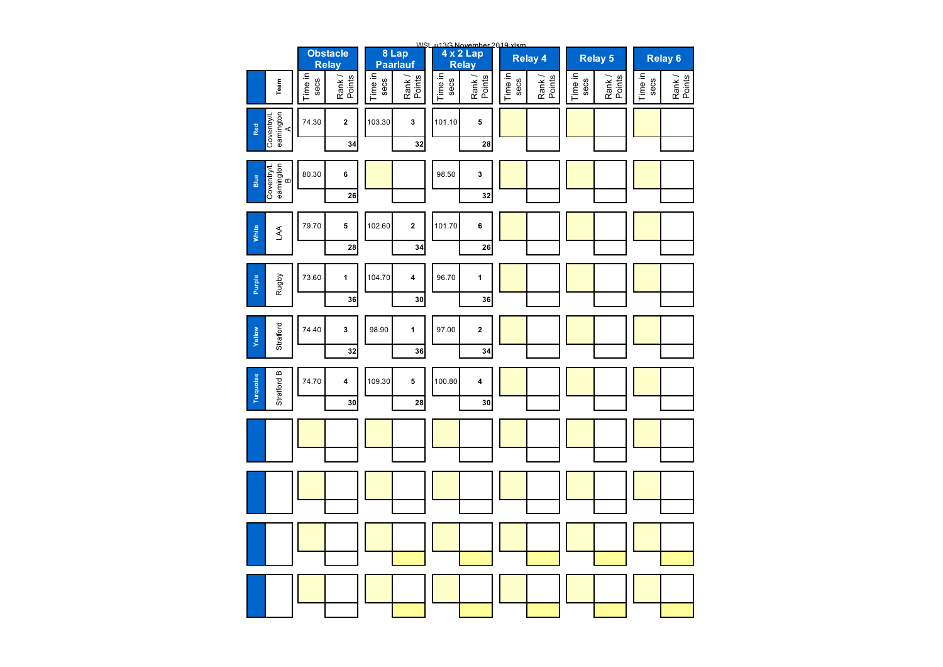|                                      |                                     |                 |                   |                 |                  | WSL u13G November 2019 xlsm |                  |                 |                  |                 |                    |
|--------------------------------------|-------------------------------------|-----------------|-------------------|-----------------|------------------|-----------------------------|------------------|-----------------|------------------|-----------------|--------------------|
|                                      | <b>Obstacle</b><br>Relay            |                 | 8 Lap<br>Paarlauf |                 | Relay            |                             | <b>Relay 4</b>   |                 | Relay 5          |                 | Relay <sub>6</sub> |
| Team                                 | Time in<br>Rank /<br>Points<br>secs | Time in<br>secs | Rank /<br>Points  | Time in<br>secs | Rank /<br>Points | Time in<br>secs             | Rank /<br>Points | Time in<br>secs | Rank /<br>Points | Time in<br>secs | Rank /<br>Points   |
| eamington<br>A<br>Coventry/L<br>Red  | 74.30<br>2<br>34                    | 103.30          | 3<br>32           | 101.10          | 5<br>28          |                             |                  |                 |                  |                 |                    |
|                                      |                                     |                 |                   |                 |                  |                             |                  |                 |                  |                 |                    |
| Coventry/L<br>eamington<br>B<br>Blue | 80.30<br>6<br>26                    |                 |                   | 98.50           | 3<br>32          |                             |                  |                 |                  |                 |                    |
| White<br><b>AA</b>                   | 79.70<br>5                          | 102.60          | $\mathbf 2$       | 101.70          | 6                |                             |                  |                 |                  |                 |                    |
|                                      | 28                                  |                 | 34                |                 | 26               |                             |                  |                 |                  |                 |                    |
|                                      | 73.60<br>$\mathbf{1}$               | 104.70          | 4                 | 96.70           | $\mathbf{1}$     |                             |                  |                 |                  |                 |                    |
|                                      |                                     |                 | 30                |                 | 36               |                             |                  |                 |                  |                 |                    |
| Yellow                               | 74.40<br>3                          | 98.90           | 1                 | 97.00           | $\mathbf 2$      |                             |                  |                 |                  |                 |                    |
|                                      |                                     |                 |                   |                 |                  |                             |                  |                 |                  |                 |                    |
| Stratford B<br>Turquoise             | 74.70<br>4<br>30                    | 109.30          | 5<br>28           | 100.80          | 4<br>30          |                             |                  |                 |                  |                 |                    |
|                                      |                                     |                 |                   |                 |                  |                             |                  |                 |                  |                 |                    |
|                                      |                                     |                 |                   |                 |                  |                             |                  |                 |                  |                 |                    |
|                                      |                                     |                 |                   |                 |                  |                             |                  |                 |                  |                 |                    |
|                                      |                                     |                 |                   |                 |                  |                             |                  |                 |                  |                 |                    |
|                                      |                                     |                 |                   |                 |                  |                             |                  |                 |                  |                 |                    |
|                                      |                                     |                 |                   |                 |                  |                             |                  |                 |                  |                 |                    |
|                                      |                                     |                 |                   |                 |                  |                             |                  |                 |                  |                 |                    |
|                                      |                                     |                 |                   |                 |                  |                             |                  |                 |                  |                 |                    |
| Rugby<br>Purple<br>Stratford         | 36<br>32                            |                 | 36                |                 | 34               |                             |                  |                 |                  |                 |                    |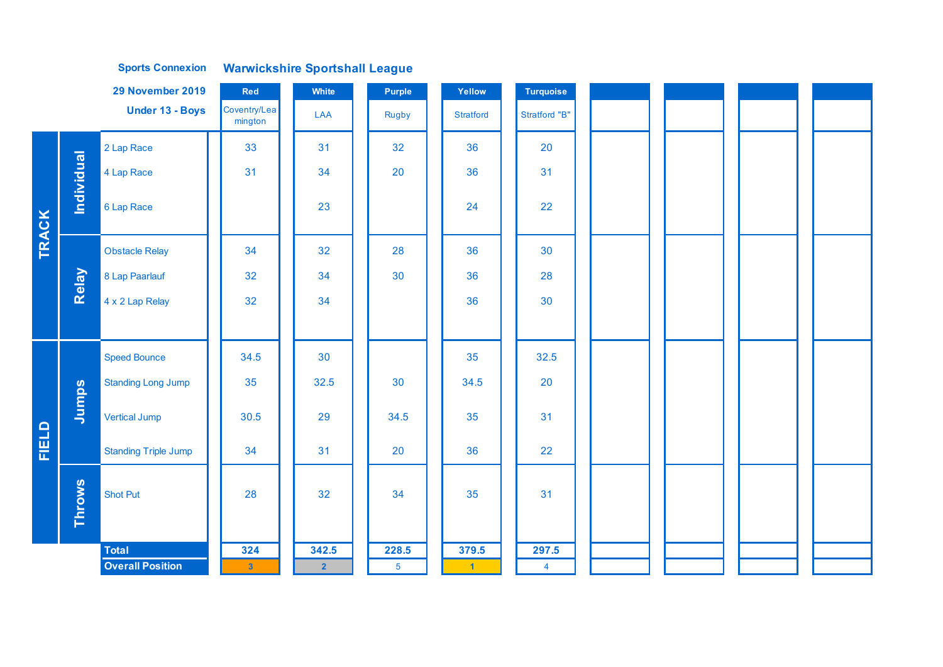|              |               | 29 November 2019            | Red                     | White          | Purple         | Yellow           | <b>Turquoise</b>     |  |  |
|--------------|---------------|-----------------------------|-------------------------|----------------|----------------|------------------|----------------------|--|--|
|              |               | Under 13 - Boys             | Coventry/Lea<br>mington | LAA            | <b>Rugby</b>   | <b>Stratford</b> | <b>Stratford "B"</b> |  |  |
|              |               | 2 Lap Race                  | 33                      | 31             | 32             | 36               | 20                   |  |  |
|              |               | 4 Lap Race                  | 31                      | 34             | 20             | 36               | 31                   |  |  |
|              | Individual    | 6 Lap Race                  |                         | 23             |                | 24               | 22                   |  |  |
| <b>TRACK</b> |               | <b>Obstacle Relay</b>       | 34                      | 32             | 28             | 36               | 30                   |  |  |
|              | Relay         | 8 Lap Paarlauf              | 32                      | 34             | 30             | 36               | 28                   |  |  |
|              |               | 4 x 2 Lap Relay             | 32                      | 34             |                | 36               | 30                   |  |  |
|              |               |                             |                         |                |                |                  |                      |  |  |
|              |               | <b>Speed Bounce</b>         | 34.5                    | 30             |                | 35               | 32.5                 |  |  |
|              |               | <b>Standing Long Jump</b>   | 35                      | 32.5           | 30             | 34.5             | 20                   |  |  |
|              | Jumps         | <b>Vertical Jump</b>        | 30.5                    | 29             | 34.5           | 35               | 31                   |  |  |
| <b>FIELD</b> |               | <b>Standing Triple Jump</b> | 34                      | 31             | 20             | 36               | 22                   |  |  |
|              | <b>Throws</b> | <b>Shot Put</b>             | 28                      | 32             | 34             | 35               | 31                   |  |  |
|              |               | <b>Total</b>                | 324                     | 342.5          | 228.5          | 379.5            | 297.5                |  |  |
|              |               | <b>Overall Position</b>     | $\overline{\mathbf{3}}$ | $\overline{2}$ | $\overline{5}$ | $\blacksquare$   | $\overline{4}$       |  |  |

**Warwickshire Sportshall League Sports Connexion**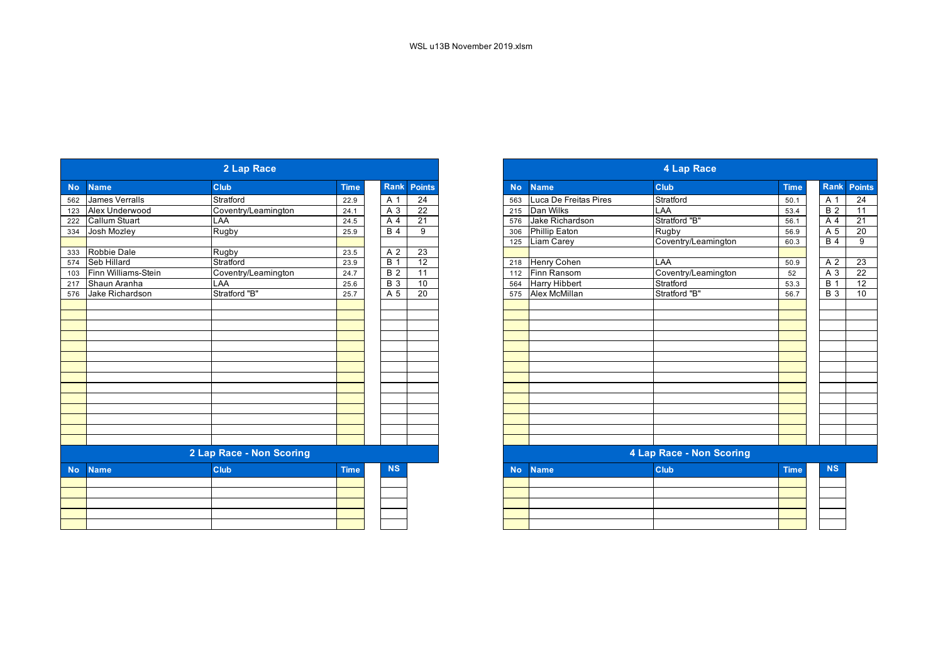| Rank<br>Rank Poin<br><b>Points</b><br>Club<br><b>Club</b><br><b>Time</b><br><b>Name</b><br><b>Time</b><br><b>No</b><br><b>Name</b><br><b>No</b><br>$\overline{24}$<br>Luca De Freitas Pires<br>Stratford<br>James Verralls<br>Stratford<br>A 1<br>A 1<br>562<br>22.9<br>50.1<br>563<br>Coventry/Leamington<br>$\overline{22}$<br>Dan Wilks<br>Alex Underwood<br>LAA<br>B <sub>2</sub><br>A 3<br>24.1<br>215<br>53.4<br>123<br>Stratford "B"<br>Jake Richardson<br>$\overline{21}$<br><b>Callum Stuart</b><br>LAA<br>A 4<br>56.1<br>A <sub>4</sub><br>576<br>222<br>24.5<br>Phillip Eaton<br>Josh Mozley<br>Rugby<br><b>B</b> 4<br>9<br>Rugby<br>A 5<br>56.9<br>334<br>25.9<br>306<br><b>Liam Carey</b><br>Coventry/Leamington<br><b>B</b> 4<br>125<br>60.3<br>Robbie Dale<br>23<br>Rugby<br>A 2<br>333<br>23.5<br>12<br>Stratford<br>$\overline{B}$ 1<br><b>Seb Hillard</b><br><b>Henry Cohen</b><br>LAA<br>A 2<br>574<br>23.9<br>50.9<br>218<br>Finn Williams-Stein<br><b>B2</b><br>11<br>Finn Ransom<br>A 3<br>Coventry/Leamington<br>Coventry/Leamington<br>52<br>24.7<br>112<br>103<br>$\overline{B}$ 3<br><b>Harry Hibbert</b><br>Stratford<br>$\overline{B}$ 1<br>Shaun Aranha<br>LAA<br>10<br>53.3<br>217<br>25.6<br>564<br>Stratford "B"<br>Alex McMillan<br>Stratford "B"<br>Jake Richardson<br>A 5<br>20<br><b>B</b> 3<br>56.7<br>576<br>25.7<br>575<br>2 Lap Race - Non Scoring<br>4 Lap Race - Non Scoring<br><b>NS</b><br><b>NS</b><br>Club<br><b>Club</b><br><b>Time</b><br><b>Time</b><br><b>No</b><br><b>Name</b><br><b>Name</b><br><b>No</b> |  | 2 Lap Race |  | 4 Lap Race |  |  |  |  |  |                 |  |
|---------------------------------------------------------------------------------------------------------------------------------------------------------------------------------------------------------------------------------------------------------------------------------------------------------------------------------------------------------------------------------------------------------------------------------------------------------------------------------------------------------------------------------------------------------------------------------------------------------------------------------------------------------------------------------------------------------------------------------------------------------------------------------------------------------------------------------------------------------------------------------------------------------------------------------------------------------------------------------------------------------------------------------------------------------------------------------------------------------------------------------------------------------------------------------------------------------------------------------------------------------------------------------------------------------------------------------------------------------------------------------------------------------------------------------------------------------------------------------------------------------------------------------------------------------------|--|------------|--|------------|--|--|--|--|--|-----------------|--|
|                                                                                                                                                                                                                                                                                                                                                                                                                                                                                                                                                                                                                                                                                                                                                                                                                                                                                                                                                                                                                                                                                                                                                                                                                                                                                                                                                                                                                                                                                                                                                               |  |            |  |            |  |  |  |  |  |                 |  |
|                                                                                                                                                                                                                                                                                                                                                                                                                                                                                                                                                                                                                                                                                                                                                                                                                                                                                                                                                                                                                                                                                                                                                                                                                                                                                                                                                                                                                                                                                                                                                               |  |            |  |            |  |  |  |  |  | 24              |  |
|                                                                                                                                                                                                                                                                                                                                                                                                                                                                                                                                                                                                                                                                                                                                                                                                                                                                                                                                                                                                                                                                                                                                                                                                                                                                                                                                                                                                                                                                                                                                                               |  |            |  |            |  |  |  |  |  | $\overline{11}$ |  |
|                                                                                                                                                                                                                                                                                                                                                                                                                                                                                                                                                                                                                                                                                                                                                                                                                                                                                                                                                                                                                                                                                                                                                                                                                                                                                                                                                                                                                                                                                                                                                               |  |            |  |            |  |  |  |  |  | $\overline{21}$ |  |
|                                                                                                                                                                                                                                                                                                                                                                                                                                                                                                                                                                                                                                                                                                                                                                                                                                                                                                                                                                                                                                                                                                                                                                                                                                                                                                                                                                                                                                                                                                                                                               |  |            |  |            |  |  |  |  |  | $\overline{20}$ |  |
|                                                                                                                                                                                                                                                                                                                                                                                                                                                                                                                                                                                                                                                                                                                                                                                                                                                                                                                                                                                                                                                                                                                                                                                                                                                                                                                                                                                                                                                                                                                                                               |  |            |  |            |  |  |  |  |  | $\overline{9}$  |  |
|                                                                                                                                                                                                                                                                                                                                                                                                                                                                                                                                                                                                                                                                                                                                                                                                                                                                                                                                                                                                                                                                                                                                                                                                                                                                                                                                                                                                                                                                                                                                                               |  |            |  |            |  |  |  |  |  |                 |  |
|                                                                                                                                                                                                                                                                                                                                                                                                                                                                                                                                                                                                                                                                                                                                                                                                                                                                                                                                                                                                                                                                                                                                                                                                                                                                                                                                                                                                                                                                                                                                                               |  |            |  |            |  |  |  |  |  | 23              |  |
|                                                                                                                                                                                                                                                                                                                                                                                                                                                                                                                                                                                                                                                                                                                                                                                                                                                                                                                                                                                                                                                                                                                                                                                                                                                                                                                                                                                                                                                                                                                                                               |  |            |  |            |  |  |  |  |  | 22              |  |
|                                                                                                                                                                                                                                                                                                                                                                                                                                                                                                                                                                                                                                                                                                                                                                                                                                                                                                                                                                                                                                                                                                                                                                                                                                                                                                                                                                                                                                                                                                                                                               |  |            |  |            |  |  |  |  |  | $\overline{12}$ |  |
|                                                                                                                                                                                                                                                                                                                                                                                                                                                                                                                                                                                                                                                                                                                                                                                                                                                                                                                                                                                                                                                                                                                                                                                                                                                                                                                                                                                                                                                                                                                                                               |  |            |  |            |  |  |  |  |  | $\overline{10}$ |  |
|                                                                                                                                                                                                                                                                                                                                                                                                                                                                                                                                                                                                                                                                                                                                                                                                                                                                                                                                                                                                                                                                                                                                                                                                                                                                                                                                                                                                                                                                                                                                                               |  |            |  |            |  |  |  |  |  |                 |  |
|                                                                                                                                                                                                                                                                                                                                                                                                                                                                                                                                                                                                                                                                                                                                                                                                                                                                                                                                                                                                                                                                                                                                                                                                                                                                                                                                                                                                                                                                                                                                                               |  |            |  |            |  |  |  |  |  |                 |  |
|                                                                                                                                                                                                                                                                                                                                                                                                                                                                                                                                                                                                                                                                                                                                                                                                                                                                                                                                                                                                                                                                                                                                                                                                                                                                                                                                                                                                                                                                                                                                                               |  |            |  |            |  |  |  |  |  |                 |  |
|                                                                                                                                                                                                                                                                                                                                                                                                                                                                                                                                                                                                                                                                                                                                                                                                                                                                                                                                                                                                                                                                                                                                                                                                                                                                                                                                                                                                                                                                                                                                                               |  |            |  |            |  |  |  |  |  |                 |  |
|                                                                                                                                                                                                                                                                                                                                                                                                                                                                                                                                                                                                                                                                                                                                                                                                                                                                                                                                                                                                                                                                                                                                                                                                                                                                                                                                                                                                                                                                                                                                                               |  |            |  |            |  |  |  |  |  |                 |  |
|                                                                                                                                                                                                                                                                                                                                                                                                                                                                                                                                                                                                                                                                                                                                                                                                                                                                                                                                                                                                                                                                                                                                                                                                                                                                                                                                                                                                                                                                                                                                                               |  |            |  |            |  |  |  |  |  |                 |  |
|                                                                                                                                                                                                                                                                                                                                                                                                                                                                                                                                                                                                                                                                                                                                                                                                                                                                                                                                                                                                                                                                                                                                                                                                                                                                                                                                                                                                                                                                                                                                                               |  |            |  |            |  |  |  |  |  |                 |  |
|                                                                                                                                                                                                                                                                                                                                                                                                                                                                                                                                                                                                                                                                                                                                                                                                                                                                                                                                                                                                                                                                                                                                                                                                                                                                                                                                                                                                                                                                                                                                                               |  |            |  |            |  |  |  |  |  |                 |  |
|                                                                                                                                                                                                                                                                                                                                                                                                                                                                                                                                                                                                                                                                                                                                                                                                                                                                                                                                                                                                                                                                                                                                                                                                                                                                                                                                                                                                                                                                                                                                                               |  |            |  |            |  |  |  |  |  |                 |  |
|                                                                                                                                                                                                                                                                                                                                                                                                                                                                                                                                                                                                                                                                                                                                                                                                                                                                                                                                                                                                                                                                                                                                                                                                                                                                                                                                                                                                                                                                                                                                                               |  |            |  |            |  |  |  |  |  |                 |  |
|                                                                                                                                                                                                                                                                                                                                                                                                                                                                                                                                                                                                                                                                                                                                                                                                                                                                                                                                                                                                                                                                                                                                                                                                                                                                                                                                                                                                                                                                                                                                                               |  |            |  |            |  |  |  |  |  |                 |  |
|                                                                                                                                                                                                                                                                                                                                                                                                                                                                                                                                                                                                                                                                                                                                                                                                                                                                                                                                                                                                                                                                                                                                                                                                                                                                                                                                                                                                                                                                                                                                                               |  |            |  |            |  |  |  |  |  |                 |  |
|                                                                                                                                                                                                                                                                                                                                                                                                                                                                                                                                                                                                                                                                                                                                                                                                                                                                                                                                                                                                                                                                                                                                                                                                                                                                                                                                                                                                                                                                                                                                                               |  |            |  |            |  |  |  |  |  |                 |  |
|                                                                                                                                                                                                                                                                                                                                                                                                                                                                                                                                                                                                                                                                                                                                                                                                                                                                                                                                                                                                                                                                                                                                                                                                                                                                                                                                                                                                                                                                                                                                                               |  |            |  |            |  |  |  |  |  |                 |  |
|                                                                                                                                                                                                                                                                                                                                                                                                                                                                                                                                                                                                                                                                                                                                                                                                                                                                                                                                                                                                                                                                                                                                                                                                                                                                                                                                                                                                                                                                                                                                                               |  |            |  |            |  |  |  |  |  |                 |  |
|                                                                                                                                                                                                                                                                                                                                                                                                                                                                                                                                                                                                                                                                                                                                                                                                                                                                                                                                                                                                                                                                                                                                                                                                                                                                                                                                                                                                                                                                                                                                                               |  |            |  |            |  |  |  |  |  |                 |  |
|                                                                                                                                                                                                                                                                                                                                                                                                                                                                                                                                                                                                                                                                                                                                                                                                                                                                                                                                                                                                                                                                                                                                                                                                                                                                                                                                                                                                                                                                                                                                                               |  |            |  |            |  |  |  |  |  |                 |  |
|                                                                                                                                                                                                                                                                                                                                                                                                                                                                                                                                                                                                                                                                                                                                                                                                                                                                                                                                                                                                                                                                                                                                                                                                                                                                                                                                                                                                                                                                                                                                                               |  |            |  |            |  |  |  |  |  |                 |  |
|                                                                                                                                                                                                                                                                                                                                                                                                                                                                                                                                                                                                                                                                                                                                                                                                                                                                                                                                                                                                                                                                                                                                                                                                                                                                                                                                                                                                                                                                                                                                                               |  |            |  |            |  |  |  |  |  |                 |  |
|                                                                                                                                                                                                                                                                                                                                                                                                                                                                                                                                                                                                                                                                                                                                                                                                                                                                                                                                                                                                                                                                                                                                                                                                                                                                                                                                                                                                                                                                                                                                                               |  |            |  |            |  |  |  |  |  |                 |  |
|                                                                                                                                                                                                                                                                                                                                                                                                                                                                                                                                                                                                                                                                                                                                                                                                                                                                                                                                                                                                                                                                                                                                                                                                                                                                                                                                                                                                                                                                                                                                                               |  |            |  |            |  |  |  |  |  |                 |  |

|                          |                     | 2 Lap Race               |             |            |                 |
|--------------------------|---------------------|--------------------------|-------------|------------|-----------------|
| <b>Name</b>              |                     | Club                     | <b>Time</b> | Rank       | <b>Points</b>   |
|                          | James Verralls      | Stratford                | 22.9        | A 1        | $\overline{24}$ |
|                          | Alex Underwood      | Coventry/Leamington      | 24.1        | A 3        | 22              |
| <b>Callum Stuart</b>     |                     | LAA                      | 24.5        | A 4        | 21              |
| Josh Mozley              |                     | <b>Rugby</b>             | 25.9        | <b>B</b> 4 | 9               |
|                          |                     |                          |             |            |                 |
| Robbie Dale              |                     | Rugby                    | 23.5        | A 2        | 23              |
| Seb Hillard              |                     | Stratford                | 23.9        | <b>B</b> 1 | $\overline{12}$ |
|                          | Finn Williams-Stein | Coventry/Leamington      | 24.7        | <b>B2</b>  | 11              |
| Shaun Aranha             |                     | LAA                      | 25.6        | <b>B</b> 3 | 10              |
| 576                      | Jake Richardson     | Stratford "B"            | 25.7        | A 5        | 20              |
|                          |                     |                          |             |            |                 |
|                          |                     |                          |             |            |                 |
|                          |                     |                          |             |            |                 |
|                          |                     |                          |             |            |                 |
|                          |                     |                          |             |            |                 |
|                          |                     |                          |             |            |                 |
|                          |                     |                          |             |            |                 |
|                          |                     |                          |             |            |                 |
|                          |                     |                          |             |            |                 |
|                          |                     |                          |             |            |                 |
|                          |                     |                          |             |            |                 |
|                          |                     |                          |             |            |                 |
|                          |                     |                          |             |            |                 |
|                          |                     |                          |             |            |                 |
|                          |                     | 2 Lap Race - Non Scoring |             |            |                 |
| <b>No</b><br><b>Name</b> |                     | Club                     | <b>Time</b> | <b>NS</b>  |                 |
|                          |                     |                          |             |            |                 |
|                          |                     |                          |             |            |                 |
|                          |                     |                          |             |            |                 |
|                          |                     |                          |             |            |                 |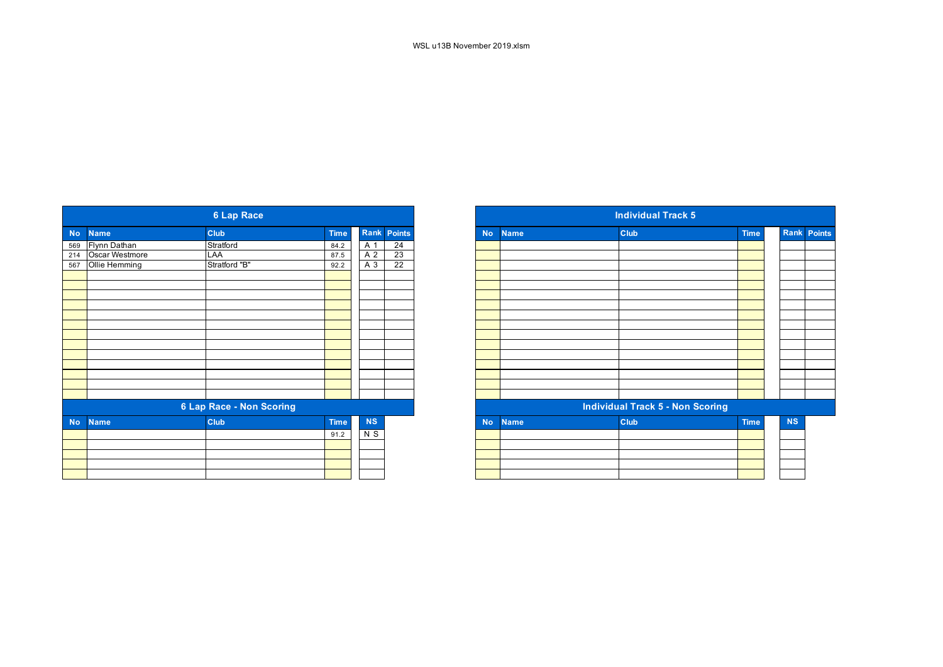|           |                    | <b>6 Lap Race</b>        |             |           |                    |
|-----------|--------------------|--------------------------|-------------|-----------|--------------------|
| <b>No</b> | <b>Name</b>        | <b>Club</b>              | <b>Time</b> |           | <b>Rank Points</b> |
|           | 569 Flynn Dathan   | Stratford                | 84.2        | A 1       | 24                 |
|           | 214 Oscar Westmore | LAA                      | 87.5        | A 2       | 23                 |
| 567       | Ollie Hemming      | Stratford "B"            | 92.2        | $A_3$     | $\overline{22}$    |
|           |                    |                          |             |           |                    |
|           |                    |                          |             |           |                    |
|           |                    |                          |             |           |                    |
|           |                    |                          |             |           |                    |
|           |                    |                          |             |           |                    |
|           |                    |                          |             |           |                    |
|           |                    |                          |             |           |                    |
|           |                    |                          |             |           |                    |
|           |                    |                          |             |           |                    |
|           |                    |                          |             |           |                    |
|           |                    |                          |             |           |                    |
|           |                    |                          |             |           |                    |
|           |                    |                          |             |           |                    |
|           |                    | 6 Lap Race - Non Scoring |             |           |                    |
| <b>No</b> | <b>Name</b>        | <b>Club</b>              | <b>Time</b> | <b>NS</b> |                    |
|           |                    |                          | 91.2        | $N$ S     |                    |
|           |                    |                          |             |           |                    |
|           |                    |                          |             |           |                    |
|           |                    |                          |             |           |                    |
|           |                    |                          |             |           |                    |

| <b>6 Lap Race</b> |                                                                        |                                                               |           |             |  |  |  |
|-------------------|------------------------------------------------------------------------|---------------------------------------------------------------|-----------|-------------|--|--|--|
|                   | <b>Club</b>                                                            | <b>Time</b>                                                   |           |             |  |  |  |
|                   |                                                                        | 84.2                                                          | A 1       | 24          |  |  |  |
|                   | LAA                                                                    | 87.5                                                          | A 2       | 23          |  |  |  |
|                   |                                                                        | 92.2                                                          | A 3       | 22          |  |  |  |
|                   |                                                                        |                                                               |           |             |  |  |  |
|                   |                                                                        |                                                               |           |             |  |  |  |
|                   |                                                                        |                                                               |           |             |  |  |  |
|                   |                                                                        |                                                               |           |             |  |  |  |
|                   |                                                                        |                                                               |           |             |  |  |  |
|                   |                                                                        |                                                               |           |             |  |  |  |
|                   |                                                                        |                                                               |           |             |  |  |  |
|                   |                                                                        |                                                               |           |             |  |  |  |
|                   |                                                                        |                                                               |           |             |  |  |  |
|                   |                                                                        |                                                               |           |             |  |  |  |
|                   |                                                                        |                                                               |           |             |  |  |  |
|                   |                                                                        |                                                               |           |             |  |  |  |
|                   |                                                                        |                                                               |           |             |  |  |  |
|                   |                                                                        |                                                               |           |             |  |  |  |
| <b>Name</b>       | <b>Club</b>                                                            | <b>Time</b>                                                   | <b>NS</b> |             |  |  |  |
|                   |                                                                        | 91.2                                                          | N S       |             |  |  |  |
|                   |                                                                        |                                                               |           |             |  |  |  |
|                   |                                                                        |                                                               |           |             |  |  |  |
|                   |                                                                        |                                                               |           |             |  |  |  |
|                   |                                                                        |                                                               |           |             |  |  |  |
|                   | <b>Name</b><br>Flynn Dathan<br>214 Oscar Westmore<br>567 Ollie Hemming | Stratford<br>Stratford "B"<br><b>6 Lap Race - Non Scoring</b> |           | Rank Points |  |  |  |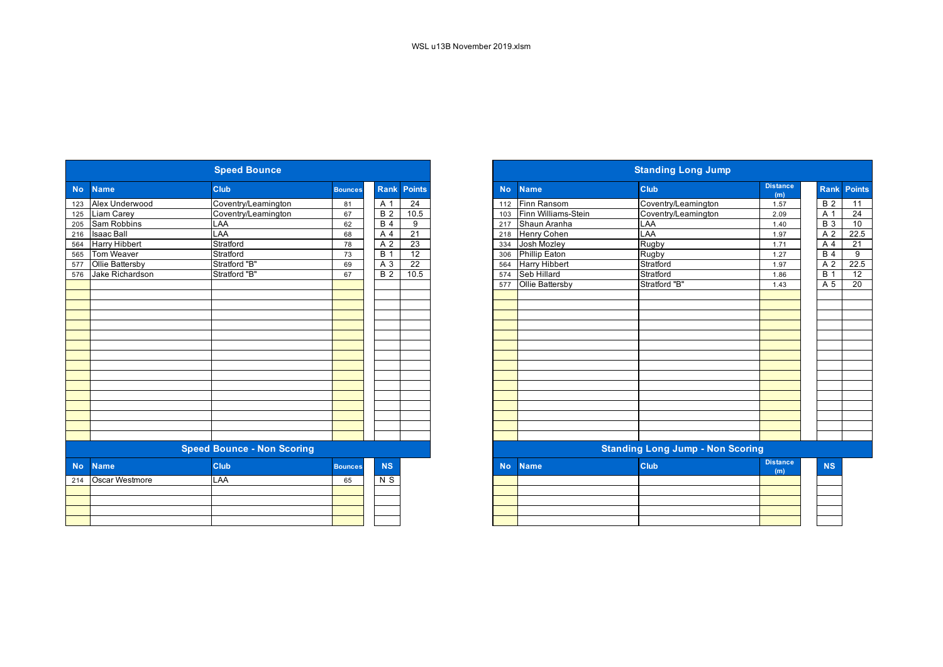|           |                      | <b>Speed Bounce</b>               |                |                  |                 |           | <b>Standing Long Jump</b> |                                         |                        |  |  |
|-----------|----------------------|-----------------------------------|----------------|------------------|-----------------|-----------|---------------------------|-----------------------------------------|------------------------|--|--|
| <b>No</b> | <b>Name</b>          | Club                              | <b>Bounces</b> | Rank             | <b>Points</b>   | <b>No</b> | <b>Name</b>               | Club                                    | <b>Distance</b><br>(m) |  |  |
| 123       | Alex Underwood       | Coventry/Leamington               | 81             | A 1              | $\overline{24}$ | 112       | Finn Ransom               | Coventry/Leamington                     | 1.57                   |  |  |
| 125       | Liam Carey           | Coventry/Leamington               | 67             | B <sub>2</sub>   | 10.5            | 103       | Finn Williams-Stein       | Coventry/Leamington                     | 2.09                   |  |  |
| 205       | <b>Sam Robbins</b>   | LAA                               | 62             | B <sub>4</sub>   | 9               | 217       | Shaun Aranha              | LAA                                     | 1.40                   |  |  |
| 216       | <b>Isaac Ball</b>    | LAA                               | 68             | A <sub>4</sub>   | 21              | 218       | Henry Cohen               | LAA                                     | 1.97                   |  |  |
| 564       | <b>Harry Hibbert</b> | Stratford                         | 78             | A 2              | $\overline{23}$ | 334       | Josh Mozley               | Rugby                                   | 1.71                   |  |  |
| 565       | <b>Tom Weaver</b>    | Stratford                         | 73             | $\overline{B}$ 1 | $\overline{12}$ | 306       | <b>Phillip Eaton</b>      | Rugby                                   | 1.27                   |  |  |
| 577       | Ollie Battersby      | Stratford "B"                     | 69             | $A_3$            | 22              | 564       | Harry Hibbert             | Stratford                               | 1.97                   |  |  |
| 576       | Jake Richardson      | Stratford "B"                     | 67             | B <sub>2</sub>   | 10.5            | 574       | Seb Hillard               | Stratford                               | 1.86                   |  |  |
|           |                      |                                   |                |                  |                 | 577       | <b>Ollie Battersby</b>    | Stratford "B"                           | 1.43                   |  |  |
|           |                      |                                   |                |                  |                 |           |                           |                                         |                        |  |  |
|           |                      |                                   |                |                  |                 |           |                           |                                         |                        |  |  |
|           |                      |                                   |                |                  |                 |           |                           |                                         |                        |  |  |
|           |                      |                                   |                |                  |                 |           |                           |                                         |                        |  |  |
|           |                      |                                   |                |                  |                 |           |                           |                                         |                        |  |  |
|           |                      |                                   |                |                  |                 |           |                           |                                         |                        |  |  |
|           |                      |                                   |                |                  |                 |           |                           |                                         |                        |  |  |
|           |                      |                                   |                |                  |                 |           |                           |                                         |                        |  |  |
|           |                      |                                   |                |                  |                 |           |                           |                                         |                        |  |  |
|           |                      |                                   |                |                  |                 |           |                           |                                         |                        |  |  |
|           |                      |                                   |                |                  |                 |           |                           |                                         |                        |  |  |
|           |                      |                                   |                |                  |                 |           |                           |                                         |                        |  |  |
|           |                      |                                   |                |                  |                 |           |                           |                                         |                        |  |  |
|           |                      |                                   |                |                  |                 |           |                           |                                         |                        |  |  |
|           |                      |                                   |                |                  |                 |           |                           |                                         |                        |  |  |
|           |                      | <b>Speed Bounce - Non Scoring</b> |                |                  |                 |           |                           | <b>Standing Long Jump - Non Scoring</b> |                        |  |  |
| <b>No</b> | <b>Name</b>          | Club                              | <b>Bounces</b> | <b>NS</b>        |                 | <b>No</b> | <b>Name</b>               | <b>Club</b>                             | <b>Distance</b><br>(m) |  |  |
| 214       | Oscar Westmore       | LAA                               | 65             | N S              |                 |           |                           |                                         |                        |  |  |
|           |                      |                                   |                |                  |                 |           |                           |                                         |                        |  |  |
|           |                      |                                   |                |                  |                 |           |                           |                                         |                        |  |  |
|           |                      |                                   |                |                  |                 |           |                           |                                         |                        |  |  |
|           |                      |                                   |                |                  |                 |           |                           |                                         |                        |  |  |
|           |                      |                                   |                |                  |                 |           |                           |                                         |                        |  |  |

|                                      |                      | <b>Speed Bounce</b>               |                |                 |                    |
|--------------------------------------|----------------------|-----------------------------------|----------------|-----------------|--------------------|
| <b>No</b>                            | <b>Name</b>          | <b>Club</b>                       | <b>Bounces</b> |                 | <b>Rank Points</b> |
| 123                                  | Alex Underwood       | Coventry/Leamington               | 81             | A 1             | 24                 |
|                                      | Liam Carey           | Coventry/Leamington               | 67             | <b>B</b> 2      | 10.5               |
| $\overline{125}$<br>$\overline{205}$ | Sam Robbins          | <b>LAA</b>                        | 62             | $\overline{B4}$ | 9                  |
| $\overline{216}$                     | <b>Isaac Ball</b>    | LAA                               | 68             | A 4             | $\overline{21}$    |
| 564                                  | <b>Harry Hibbert</b> | Stratford                         | 78             | A 2             | $\overline{23}$    |
| 565                                  | Tom Weaver           | Stratford                         | 73             | <b>B</b> 1      | 12                 |
| $\overline{577}$                     | Ollie Battersby      | Stratford "B"                     | 69             | A 3             | 22                 |
| 576                                  | Jake Richardson      | Stratford "B"                     | 67             | <b>B2</b>       | 10.5               |
|                                      |                      |                                   |                |                 |                    |
|                                      |                      |                                   |                |                 |                    |
|                                      |                      |                                   |                |                 |                    |
|                                      |                      |                                   |                |                 |                    |
|                                      |                      |                                   |                |                 |                    |
|                                      |                      |                                   |                |                 |                    |
|                                      |                      |                                   |                |                 |                    |
|                                      |                      |                                   |                |                 |                    |
|                                      |                      |                                   |                |                 |                    |
|                                      |                      |                                   |                |                 |                    |
|                                      |                      |                                   |                |                 |                    |
|                                      |                      |                                   |                |                 |                    |
|                                      |                      |                                   |                |                 |                    |
|                                      |                      |                                   |                |                 |                    |
|                                      |                      |                                   |                |                 |                    |
|                                      |                      |                                   |                |                 |                    |
|                                      |                      | <b>Speed Bounce - Non Scoring</b> |                |                 |                    |
| <b>No</b>                            | <b>Name</b>          | Club                              | <b>Bounces</b> | NS              |                    |
|                                      | 214 Oscar Westmore   | LAA                               | 65             | N S             |                    |
|                                      |                      |                                   |                |                 |                    |
|                                      |                      |                                   |                |                 |                    |
|                                      |                      |                                   |                |                 |                    |
|                                      |                      |                                   |                |                 |                    |
|                                      |                      |                                   |                |                 |                    |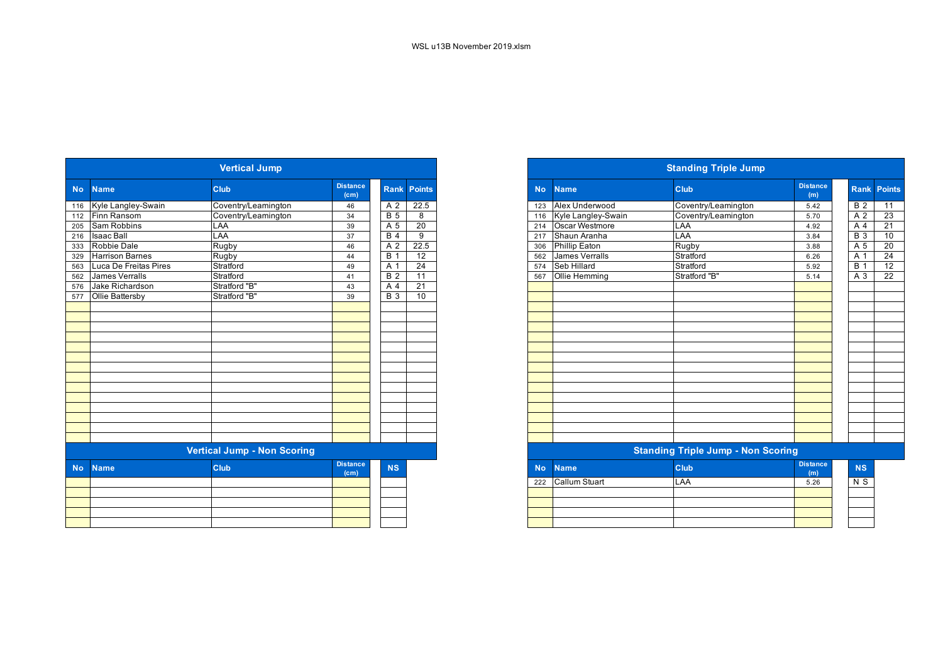|           |                        | <b>Vertical Jump</b>               |                                      |                |                    |
|-----------|------------------------|------------------------------------|--------------------------------------|----------------|--------------------|
| <b>No</b> | <b>Name</b>            | Club                               | <b>Distance</b><br>(c <sub>m</sub> ) |                | <b>Rank Points</b> |
| 116       | Kyle Langley-Swain     | Coventry/Leamington                | 46                                   | A 2            | 22.5               |
| 112       | Finn Ransom            | Coventry/Leamington                | 34                                   | <b>B</b> 5     | 8                  |
| 205       | Sam Robbins            | LAA                                | 39                                   | A 5            | 20                 |
| 216       | <b>Isaac Ball</b>      | LAA                                | 37                                   | <b>B</b> 4     | 9                  |
| 333       | <b>Robbie Dale</b>     | Rugby                              | 46                                   | A <sub>2</sub> | 22.5               |
| 329       | <b>Harrison Barnes</b> | Rugby                              | 44                                   | <b>B</b> 1     | 12                 |
| 563       | Luca De Freitas Pires  | Stratford                          | 49                                   | A 1            | 24                 |
| 562       | James Verralls         | Stratford                          | 41                                   | <b>B2</b>      | 11                 |
| 576       | Jake Richardson        | Stratford "B"                      | 43                                   | A <sub>4</sub> | 21                 |
| 577       | Ollie Battersby        | Stratford "B"                      | 39                                   | <b>B</b> 3     | 10                 |
|           |                        |                                    |                                      |                |                    |
|           |                        |                                    |                                      |                |                    |
|           |                        |                                    |                                      |                |                    |
|           |                        |                                    |                                      |                |                    |
|           |                        |                                    |                                      |                |                    |
|           |                        |                                    |                                      |                |                    |
|           |                        |                                    |                                      |                |                    |
|           |                        |                                    |                                      |                |                    |
|           |                        |                                    |                                      |                |                    |
|           |                        |                                    |                                      |                |                    |
|           |                        |                                    |                                      |                |                    |
|           |                        |                                    |                                      |                |                    |
|           |                        |                                    |                                      |                |                    |
|           |                        |                                    |                                      |                |                    |
|           |                        | <b>Vertical Jump - Non Scoring</b> |                                      |                |                    |
| <b>No</b> | <b>Name</b>            | Club                               | <b>Distance</b><br>(c <sub>m</sub> ) | <b>NS</b>      |                    |
|           |                        |                                    |                                      |                |                    |
|           |                        |                                    |                                      |                |                    |
|           |                        |                                    |                                      |                |                    |
|           |                        |                                    |                                      |                |                    |
|           |                        |                                    |                                      |                |                    |
|           |                        |                                    |                                      |                |                    |

| <b>Vertical Jump</b> |                        |                                    |                         |                  |                    |  |  |
|----------------------|------------------------|------------------------------------|-------------------------|------------------|--------------------|--|--|
|                      | No Name                | <b>Club</b>                        | <b>Distance</b><br>(cm) |                  | <b>Rank Points</b> |  |  |
|                      | 116 Kyle Langley-Swain | Coventry/Leamington                | 46                      | A 2              | 22.5               |  |  |
|                      | 112 Finn Ransom        | Coventry/Leamington                | 34                      | B <sub>5</sub>   | 8                  |  |  |
| $\overline{205}$     | Sam Robbins            | <b>LAA</b>                         | 39                      | A 5              | 20                 |  |  |
|                      | 216 Isaac Ball         | LAA                                | 37                      | B <sub>4</sub>   | 9                  |  |  |
|                      | 333 Robbie Dale        | Rugby                              | 46                      | A 2              | 22.5               |  |  |
| 329                  | <b>Harrison Barnes</b> | Rugby                              | 44                      | <b>B</b> 1       | $\overline{12}$    |  |  |
| 563                  | Luca De Freitas Pires  | Stratford                          | 49                      | A 1              | 24                 |  |  |
|                      | 562 James Verralls     | Stratford                          | 41                      | <b>B</b> 2       | 11                 |  |  |
| 576                  | Jake Richardson        | Stratford "B"                      | 43                      | A 4              | $\overline{21}$    |  |  |
|                      | 577 Ollie Battersby    | Stratford "B"                      | 39                      | $\overline{B}$ 3 | 10                 |  |  |
|                      |                        |                                    |                         |                  |                    |  |  |
|                      |                        |                                    |                         |                  |                    |  |  |
|                      |                        |                                    |                         |                  |                    |  |  |
|                      |                        |                                    |                         |                  |                    |  |  |
|                      |                        |                                    |                         |                  |                    |  |  |
|                      |                        |                                    |                         |                  |                    |  |  |
|                      |                        |                                    |                         |                  |                    |  |  |
|                      |                        |                                    |                         |                  |                    |  |  |
|                      |                        |                                    |                         |                  |                    |  |  |
|                      |                        |                                    |                         |                  |                    |  |  |
|                      |                        |                                    |                         |                  |                    |  |  |
|                      |                        |                                    |                         |                  |                    |  |  |
|                      |                        |                                    |                         |                  |                    |  |  |
|                      |                        |                                    |                         |                  |                    |  |  |
|                      |                        | <b>Vertical Jump - Non Scoring</b> |                         |                  |                    |  |  |
| No.                  | <b>Name</b>            | <b>Club</b>                        | <b>Distance</b><br>(cm) | <b>NS</b>        |                    |  |  |

| <b>NO</b> Name    | <b>URB</b> | (m)  | NJ. |
|-------------------|------------|------|-----|
| 222 Callum Stuart | LAA        | 5.26 | N S |
|                   |            |      |     |
|                   |            |      |     |
|                   |            |      |     |
|                   |            |      |     |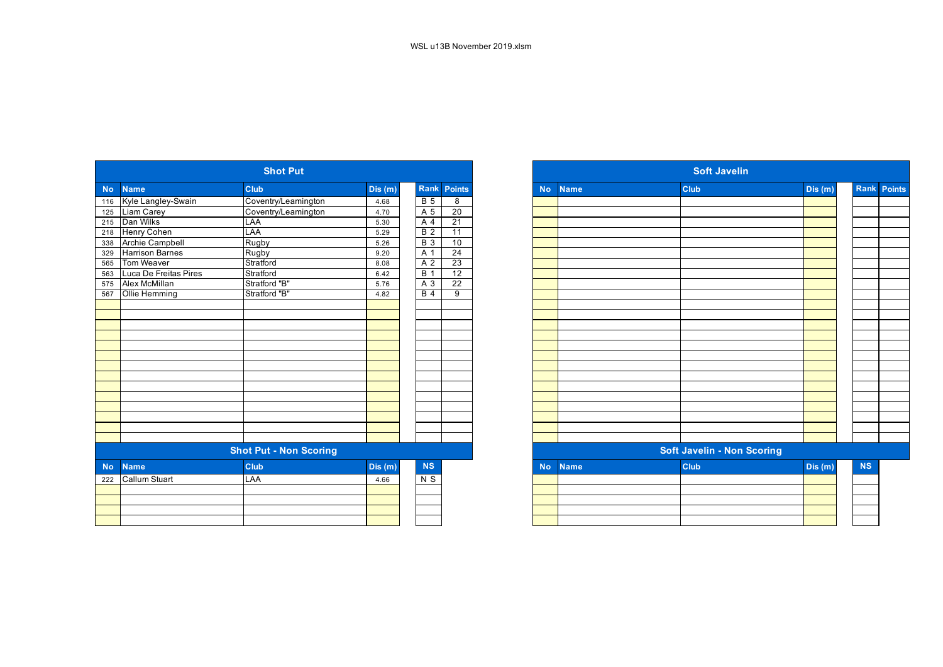|           |                        | <b>Shot Put</b>               |        |                  |                    | <b>Soft Javelin</b> |             |  |                                   |         |  |
|-----------|------------------------|-------------------------------|--------|------------------|--------------------|---------------------|-------------|--|-----------------------------------|---------|--|
| <b>No</b> | <b>Name</b>            | Club                          | Dis(m) |                  | <b>Rank Points</b> | <b>No</b>           | <b>Name</b> |  | Club                              | Dis (m) |  |
| 116       | Kyle Langley-Swain     | Coventry/Leamington           | 4.68   | <b>B</b> 5       | 8                  |                     |             |  |                                   |         |  |
| 125       | Liam Carey             | Coventry/Leamington           | 4.70   | A 5              | $\overline{20}$    |                     |             |  |                                   |         |  |
| 215       | Dan Wilks              | LAA                           | 5.30   | $\overline{A4}$  | 21                 |                     |             |  |                                   |         |  |
| 218       | Henry Cohen            | LAA                           | 5.29   | $\overline{B}$ 2 | 11                 |                     |             |  |                                   |         |  |
| 338       | <b>Archie Campbell</b> | Rugby                         | 5.26   | B <sub>3</sub>   | 10                 |                     |             |  |                                   |         |  |
| 329       | <b>Harrison Barnes</b> | <b>Rugby</b>                  | 9.20   | A 1              | $\overline{24}$    |                     |             |  |                                   |         |  |
| 565       | Tom Weaver             | Stratford                     | 8.08   | A <sub>2</sub>   | 23                 |                     |             |  |                                   |         |  |
| 563       | Luca De Freitas Pires  | Stratford                     | 6.42   | B <sub>1</sub>   | 12                 |                     |             |  |                                   |         |  |
| 575       | Alex McMillan          | Stratford "B"                 | 5.76   | $A_3$            | $\overline{22}$    |                     |             |  |                                   |         |  |
| 567       | Ollie Hemming          | Stratford "B"                 | 4.82   | $\overline{B4}$  | 9                  |                     |             |  |                                   |         |  |
|           |                        |                               |        |                  |                    |                     |             |  |                                   |         |  |
|           |                        |                               |        |                  |                    |                     |             |  |                                   |         |  |
|           |                        |                               |        |                  |                    |                     |             |  |                                   |         |  |
|           |                        |                               |        |                  |                    |                     |             |  |                                   |         |  |
|           |                        |                               |        |                  |                    |                     |             |  |                                   |         |  |
|           |                        |                               |        |                  |                    |                     |             |  |                                   |         |  |
|           |                        |                               |        |                  |                    |                     |             |  |                                   |         |  |
|           |                        |                               |        |                  |                    |                     |             |  |                                   |         |  |
|           |                        |                               |        |                  |                    |                     |             |  |                                   |         |  |
|           |                        |                               |        |                  |                    |                     |             |  |                                   |         |  |
|           |                        |                               |        |                  |                    |                     |             |  |                                   |         |  |
|           |                        |                               |        |                  |                    |                     |             |  |                                   |         |  |
|           |                        |                               |        |                  |                    |                     |             |  |                                   |         |  |
|           |                        | <b>Shot Put - Non Scoring</b> |        |                  |                    |                     |             |  | <b>Soft Javelin - Non Scoring</b> |         |  |
| <b>No</b> | <b>Name</b>            | Club                          | Dis(m) | <b>NS</b>        |                    | <b>No</b>           | <b>Name</b> |  | Club                              | Dis (m) |  |
| 222       | <b>Callum Stuart</b>   | LAA                           | 4.66   | $N$ S            |                    |                     |             |  |                                   |         |  |
|           |                        |                               |        |                  |                    |                     |             |  |                                   |         |  |
|           |                        |                               |        |                  |                    |                     |             |  |                                   |         |  |
|           |                        |                               |        |                  |                    |                     |             |  |                                   |         |  |
|           |                        |                               |        |                  |                    |                     |             |  |                                   |         |  |
|           |                        |                               |        |                  |                    |                     |             |  |                                   |         |  |

|           |                                                | <b>Shot Put</b>               |        |                  |                 |
|-----------|------------------------------------------------|-------------------------------|--------|------------------|-----------------|
| <b>No</b> | <b>Name</b>                                    | <b>Club</b>                   | Dis(m) | Rank             | Points          |
| 116       | Kyle Langley-Swain                             | Coventry/Leamington           | 4.68   | $\overline{B}$ 5 | 8               |
| 125       | Liam Carey                                     | Coventry/Leamington           | 4.70   | A 5              | $\overline{20}$ |
|           | 215 Dan Wilks                                  | LAA                           | 5.30   | A 4              | 21              |
| 218       | Henry Cohen                                    | LAA                           | 5.29   | $\overline{B}$ 2 | 11              |
| 338       | Archie Campbell                                | Rugby                         | 5.26   | $\overline{B}$ 3 | 10              |
| 329       | <b>Harrison Barnes</b>                         | Rugby                         | 9.20   | A 1              | $\overline{24}$ |
|           | 565 Tom Weaver                                 | Stratford                     | 8.08   | A 2              | $\overline{23}$ |
|           |                                                | Stratford                     | 6.42   | $\overline{B}$ 1 | $\overline{12}$ |
|           | 563 Luca De Freitas Pires<br>575 Alex McMillan | Stratford "B"                 | 5.76   | A 3              | 22              |
| 567       | Ollie Hemming                                  | Stratford "B"                 | 4.82   | <b>B</b> 4       | 9               |
|           |                                                |                               |        |                  |                 |
|           |                                                |                               |        |                  |                 |
|           |                                                |                               |        |                  |                 |
|           |                                                |                               |        |                  |                 |
|           |                                                |                               |        |                  |                 |
|           |                                                |                               |        |                  |                 |
|           |                                                |                               |        |                  |                 |
|           |                                                |                               |        |                  |                 |
|           |                                                |                               |        |                  |                 |
|           |                                                |                               |        |                  |                 |
|           |                                                |                               |        |                  |                 |
|           |                                                |                               |        |                  |                 |
|           |                                                |                               |        |                  |                 |
|           |                                                |                               |        |                  |                 |
|           |                                                | <b>Shot Put - Non Scoring</b> |        |                  |                 |
| <b>No</b> | <b>Name</b>                                    | Club                          | Dis(m) | <b>NS</b>        |                 |
|           | 222 Callum Stuart                              | LAA                           | 4.66   | $N$ S            |                 |
|           |                                                |                               |        |                  |                 |
|           |                                                |                               |        |                  |                 |
|           |                                                |                               |        |                  |                 |
|           |                                                |                               |        |                  |                 |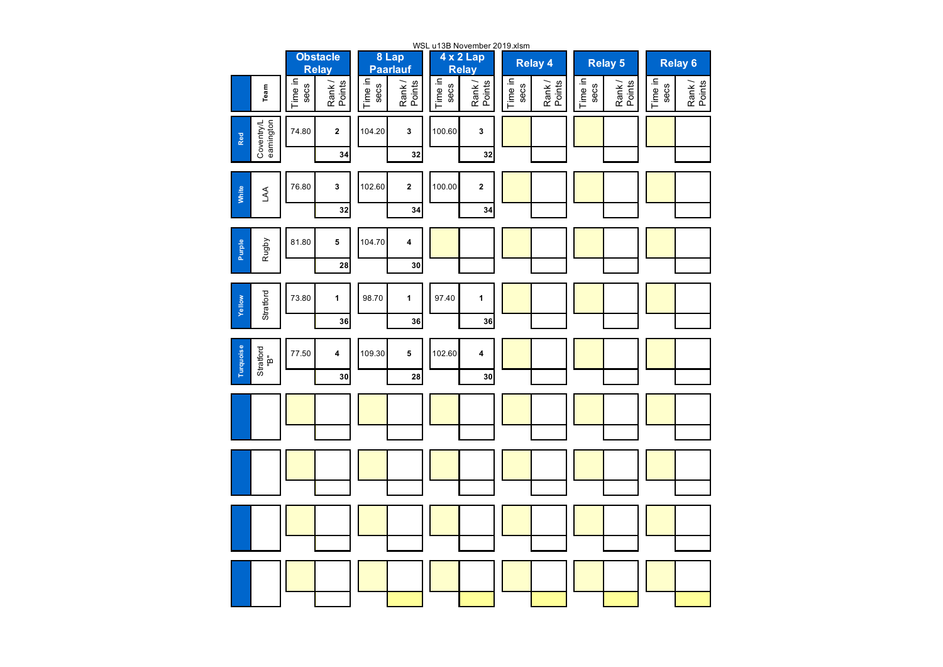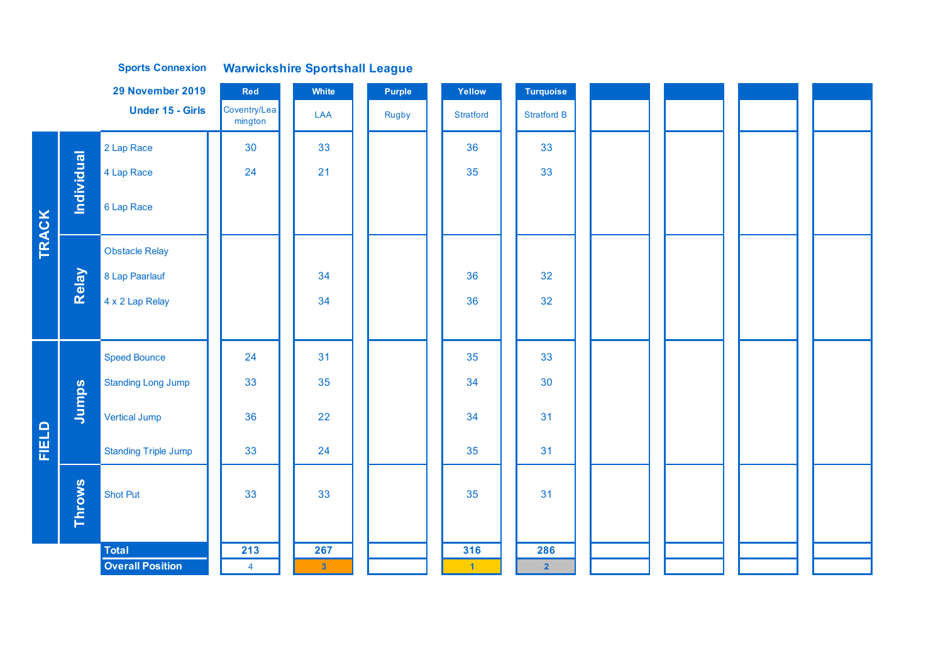|              |                   | 29 November 2019            | Red                     | White                   | <b>Purple</b> | Yellow    | <b>Turquoise</b>   |  |  |
|--------------|-------------------|-----------------------------|-------------------------|-------------------------|---------------|-----------|--------------------|--|--|
|              |                   | <b>Under 15 - Girls</b>     | Coventry/Lea<br>mington | LAA                     | Rugby         | Stratford | <b>Stratford B</b> |  |  |
|              |                   | 2 Lap Race                  | 30                      | 33                      |               | 36        | 33                 |  |  |
|              |                   | 4 Lap Race                  | 24                      | 21                      |               | 35        | 33                 |  |  |
|              | <b>Individual</b> | 6 Lap Race                  |                         |                         |               |           |                    |  |  |
| <b>TRACK</b> |                   | <b>Obstacle Relay</b>       |                         |                         |               |           |                    |  |  |
|              | Relay             | 8 Lap Paarlauf              |                         | 34                      |               | 36        | 32                 |  |  |
|              |                   | 4 x 2 Lap Relay             |                         | 34                      |               | 36        | 32                 |  |  |
|              |                   |                             |                         |                         |               |           |                    |  |  |
|              |                   | <b>Speed Bounce</b>         | 24                      | 31                      |               | 35        | 33                 |  |  |
|              |                   | <b>Standing Long Jump</b>   | 33                      | 35                      |               | 34        | 30                 |  |  |
|              | Jumps             | <b>Vertical Jump</b>        | 36                      | 22                      |               | 34        | 31                 |  |  |
| FIELD        |                   | <b>Standing Triple Jump</b> | 33                      | 24                      |               | 35        | 31                 |  |  |
|              | <b>Throws</b>     | <b>Shot Put</b>             | 33                      | 33                      |               | 35        | 31                 |  |  |
|              |                   | <b>Total</b>                | 213                     | 267                     |               | 316       | 286                |  |  |
|              |                   | <b>Overall Position</b>     | $\overline{\mathbf{4}}$ | $\overline{\mathbf{3}}$ |               | $-1$      | $\overline{2}$     |  |  |

**Sports Connexion Warwickshire Sportshall League**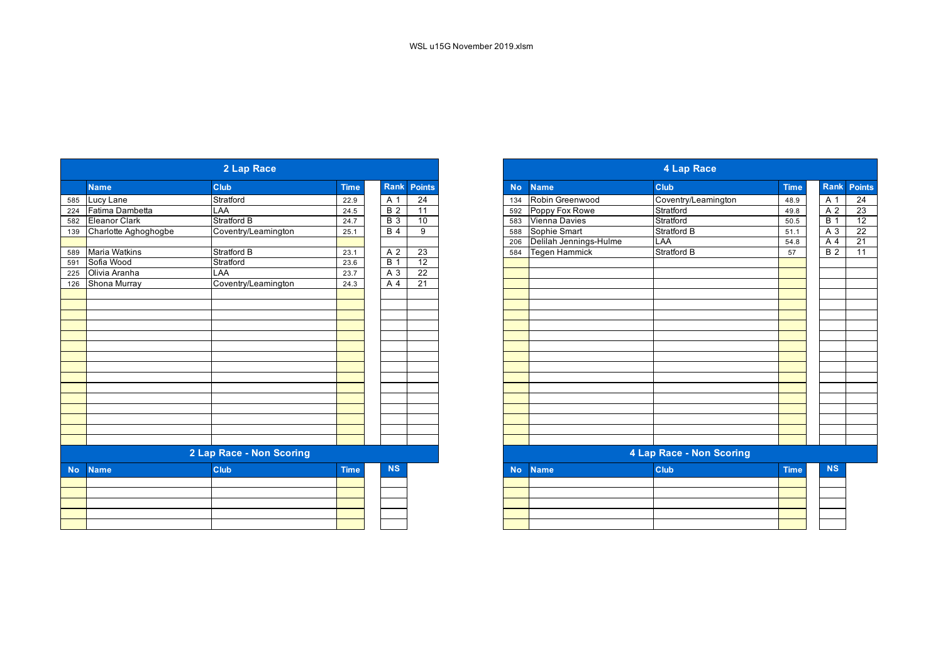|           |                      | 2 Lap Race               |             |                  |                 |
|-----------|----------------------|--------------------------|-------------|------------------|-----------------|
|           | <b>Name</b>          | <b>Club</b>              | <b>Time</b> | Rank             | <b>Points</b>   |
|           | 585 Lucy Lane        | Stratford                | 22.9        | A 1              | $\overline{24}$ |
| 224       | Fatima Dambetta      | LAA                      | 24.5        | $\overline{B}$ 2 | 11              |
| 582       | Eleanor Clark        | Stratford B              | 24.7        | <b>B</b> 3       | 10              |
| 139       | Charlotte Aghoghogbe | Coventry/Leamington      | 25.1        | B <sub>4</sub>   | 9               |
|           |                      |                          |             |                  |                 |
| 589       | <b>Maria Watkins</b> | <b>Stratford B</b>       | 23.1        | A 2              | 23              |
| 591       | Sofia Wood           | Stratford                | 23.6        | $\overline{B}$ 1 | 12              |
| 225       | Olivia Aranha        | LAA                      | 23.7        | A 3              | 22              |
| 126       | Shona Murray         | Coventry/Leamington      | 24.3        | A 4              | 21              |
|           |                      |                          |             |                  |                 |
|           |                      |                          |             |                  |                 |
|           |                      |                          |             |                  |                 |
|           |                      |                          |             |                  |                 |
|           |                      |                          |             |                  |                 |
|           |                      |                          |             |                  |                 |
|           |                      |                          |             |                  |                 |
|           |                      |                          |             |                  |                 |
|           |                      |                          |             |                  |                 |
|           |                      |                          |             |                  |                 |
|           |                      |                          |             |                  |                 |
|           |                      |                          |             |                  |                 |
|           |                      |                          |             |                  |                 |
|           |                      |                          |             |                  |                 |
|           |                      |                          |             |                  |                 |
|           |                      | 2 Lap Race - Non Scoring |             |                  |                 |
| <b>No</b> | <b>Name</b>          | <b>Club</b>              | <b>Time</b> | <b>NS</b>        |                 |
|           |                      |                          |             |                  |                 |
|           |                      |                          |             |                  |                 |
|           |                      |                          |             |                  |                 |
|           |                      |                          |             |                  |                 |
|           |                      |                          |             |                  |                 |
|           |                      |                          |             |                  |                 |

|                      | 2 Lap Race               |             |                  |                 |
|----------------------|--------------------------|-------------|------------------|-----------------|
|                      | Club                     | <b>Time</b> |                  | Rank Points     |
| Lucy Lane            | Stratford                | 22.9        | A 1              | $\overline{24}$ |
| Fatima Dambetta      | LAA                      | 24.5        | $\overline{B}$ 2 | 11              |
| Eleanor Clark        | <b>Stratford B</b>       | 24.7        | <b>B</b> 3       | 10              |
| Charlotte Aghoghogbe | Coventry/Leamington      | 25.1        | B <sub>4</sub>   | 9               |
|                      |                          |             |                  |                 |
| Maria Watkins        | <b>Stratford B</b>       | 23.1        | A 2              | 23              |
| Sofia Wood           | Stratford                | 23.6        | $\overline{B}$ 1 | 12              |
| Olivia Aranha        | LAA                      | 23.7        | A 3              | 22              |
| Shona Murray         | Coventry/Leamington      | 24.3        | A 4              | $\overline{21}$ |
|                      |                          |             |                  |                 |
|                      |                          |             |                  |                 |
|                      |                          |             |                  |                 |
|                      |                          |             |                  |                 |
|                      |                          |             |                  |                 |
|                      |                          |             |                  |                 |
|                      |                          |             |                  |                 |
|                      |                          |             |                  |                 |
|                      |                          |             |                  |                 |
|                      |                          |             |                  |                 |
|                      |                          |             |                  |                 |
|                      |                          |             |                  |                 |
|                      |                          |             |                  |                 |
|                      |                          |             |                  |                 |
|                      |                          |             |                  |                 |
|                      | 2 Lap Race - Non Scoring |             |                  |                 |
| <b>Name</b>          | <b>Club</b>              | <b>Time</b> | <b>NS</b>        |                 |
|                      |                          |             |                  |                 |
|                      |                          |             |                  |                 |
|                      |                          |             |                  |                 |
|                      |                          |             |                  |                 |
|                      |                          |             |                  |                 |
|                      |                          |             |                  |                 |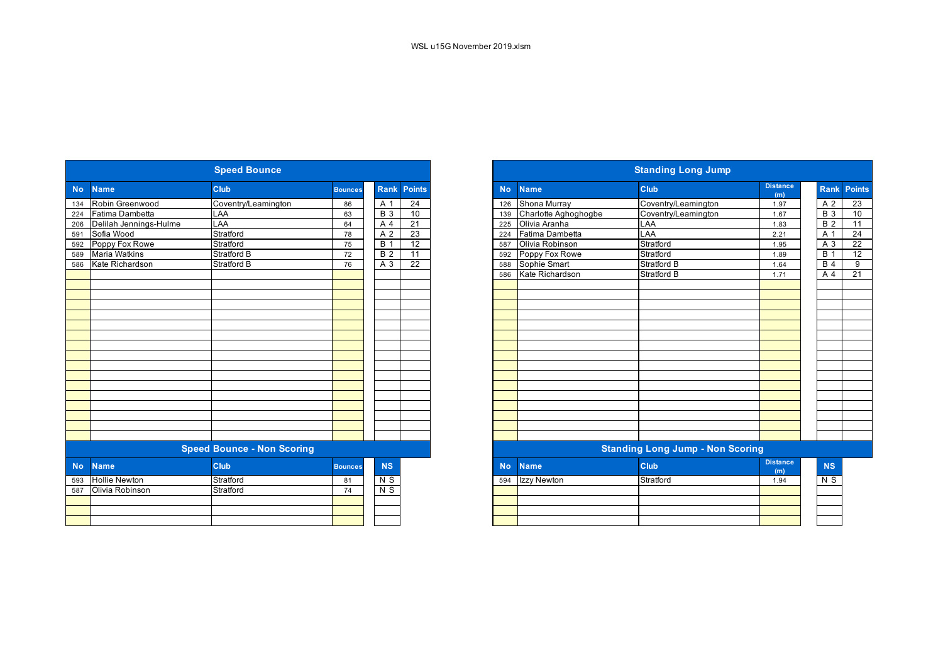|           |                        | <b>Speed Bounce</b>               |                |                  |                    |           |                      | <b>Standing Long Jump</b>               |                        |                  |
|-----------|------------------------|-----------------------------------|----------------|------------------|--------------------|-----------|----------------------|-----------------------------------------|------------------------|------------------|
| <b>No</b> | <b>Name</b>            | Club                              | <b>Bounces</b> |                  | <b>Rank Points</b> | <b>No</b> | <b>Name</b>          | Club                                    | <b>Distance</b><br>(m) | Ran              |
| 134       | Robin Greenwood        | Coventry/Leamington               | 86             | A 1              | 24                 | 126       | Shona Murray         | Coventry/Leamington                     | 1.97                   | A 2              |
| 224       | Fatima Dambetta        | LAA                               | 63             | <b>B</b> 3       | 10                 | 139       | Charlotte Aghoghogbe | Coventry/Leamington                     | 1.67                   | <b>B</b> 3       |
| 206       | Delilah Jennings-Hulme | <b>LAA</b>                        | 64             | A 4              | $\overline{21}$    | 225       | Olivia Aranha        | <b>LAA</b>                              | 1.83                   | B <sub>2</sub>   |
| 591       | Sofia Wood             | Stratford                         | 78             | A 2              | 23                 | 224       | Fatima Dambetta      | LAA                                     | 2.21                   | A 1              |
| 592       | Poppy Fox Rowe         | Stratford                         | 75             | $\overline{B}$ 1 | 12                 | 587       | Olivia Robinson      | Stratford                               | 1.95                   | A 3              |
| 589       | <b>Maria Watkins</b>   | <b>Stratford B</b>                | 72             | $\overline{B}$ 2 | $\overline{11}$    | 592       | Poppy Fox Rowe       | Stratford                               | 1.89                   | $\overline{B}$ 1 |
| 586       | Kate Richardson        | <b>Stratford B</b>                | 76             | A 3              | $\overline{22}$    | 588       | Sophie Smart         | <b>Stratford B</b>                      | 1.64                   | B <sub>4</sub>   |
|           |                        |                                   |                |                  |                    | 586       | Kate Richardson      | <b>Stratford B</b>                      | 1.71                   | A                |
|           |                        |                                   |                |                  |                    |           |                      |                                         |                        |                  |
|           |                        |                                   |                |                  |                    |           |                      |                                         |                        |                  |
|           |                        |                                   |                |                  |                    |           |                      |                                         |                        |                  |
|           |                        |                                   |                |                  |                    |           |                      |                                         |                        |                  |
|           |                        |                                   |                |                  |                    |           |                      |                                         |                        |                  |
|           |                        |                                   |                |                  |                    |           |                      |                                         |                        |                  |
|           |                        |                                   |                |                  |                    |           |                      |                                         |                        |                  |
|           |                        |                                   |                |                  |                    |           |                      |                                         |                        |                  |
|           |                        |                                   |                |                  |                    |           |                      |                                         |                        |                  |
|           |                        |                                   |                |                  |                    |           |                      |                                         |                        |                  |
|           |                        |                                   |                |                  |                    |           |                      |                                         |                        |                  |
|           |                        | <b>Speed Bounce - Non Scoring</b> |                |                  |                    |           |                      | <b>Standing Long Jump - Non Scoring</b> |                        |                  |
| <b>No</b> | <b>Name</b>            | <b>Club</b>                       | <b>Bounces</b> | <b>NS</b>        |                    | <b>No</b> | <b>Name</b>          | Club                                    | <b>Distance</b><br>(m) | <b>NS</b>        |
| 593       | <b>Hollie Newton</b>   | Stratford                         | 81             | N S              |                    | 594       | Izzy Newton          | Stratford                               | 1.94                   | $\overline{N}$   |
| 587       | Olivia Robinson        | Stratford                         | 74             | $N$ S            |                    |           |                      |                                         |                        |                  |
|           |                        |                                   |                |                  |                    |           |                      |                                         |                        |                  |
|           |                        |                                   |                |                  |                    |           |                      |                                         |                        |                  |

|            |                        | <b>Speed Bounce</b>               |                |                  |                 |
|------------|------------------------|-----------------------------------|----------------|------------------|-----------------|
|            | <b>Name</b>            | Club                              | <b>Bounces</b> | <b>Rank</b>      | <b>Points</b>   |
|            | Robin Greenwood        | Coventry/Leamington               | 86             | A 1              | $\overline{24}$ |
|            | Fatima Dambetta        | LAA                               | 63             | <b>B</b> 3       | 10              |
|            | Delilah Jennings-Hulme | LAA                               | 64             | A 4              | 21              |
|            | Sofia Wood             | Stratford                         | 78             | A 2              | 23              |
|            | Poppy Fox Rowe         | Stratford                         | 75             | $\overline{B}$ 1 | $\overline{12}$ |
|            | <b>Maria Watkins</b>   | Stratford B                       | 72             | $\overline{B}$ 2 | 11              |
|            | Kate Richardson        | <b>Stratford B</b>                | 76             | A 3              | 22              |
|            |                        |                                   |                |                  |                 |
|            |                        |                                   |                |                  |                 |
|            |                        |                                   |                |                  |                 |
|            |                        |                                   |                |                  |                 |
|            |                        |                                   |                |                  |                 |
|            |                        |                                   |                |                  |                 |
|            |                        |                                   |                |                  |                 |
|            |                        |                                   |                |                  |                 |
|            |                        |                                   |                |                  |                 |
|            |                        |                                   |                |                  |                 |
|            |                        |                                   |                |                  |                 |
|            |                        |                                   |                |                  |                 |
|            |                        |                                   |                |                  |                 |
|            |                        |                                   |                |                  |                 |
|            |                        |                                   |                |                  |                 |
|            |                        |                                   |                |                  |                 |
|            |                        |                                   |                |                  |                 |
|            |                        | <b>Speed Bounce - Non Scoring</b> |                |                  |                 |
| <b>No</b>  | <b>Name</b>            | <b>Club</b>                       | <b>Bounces</b> | <b>NS</b>        |                 |
| 593<br>587 | <b>Hollie Newton</b>   | Stratford                         | 81             | N S              |                 |
|            | Olivia Robinson        | Stratford                         | 74             | $N$ S            |                 |
|            |                        |                                   |                |                  |                 |
|            |                        |                                   |                |                  |                 |
|            |                        |                                   |                |                  |                 |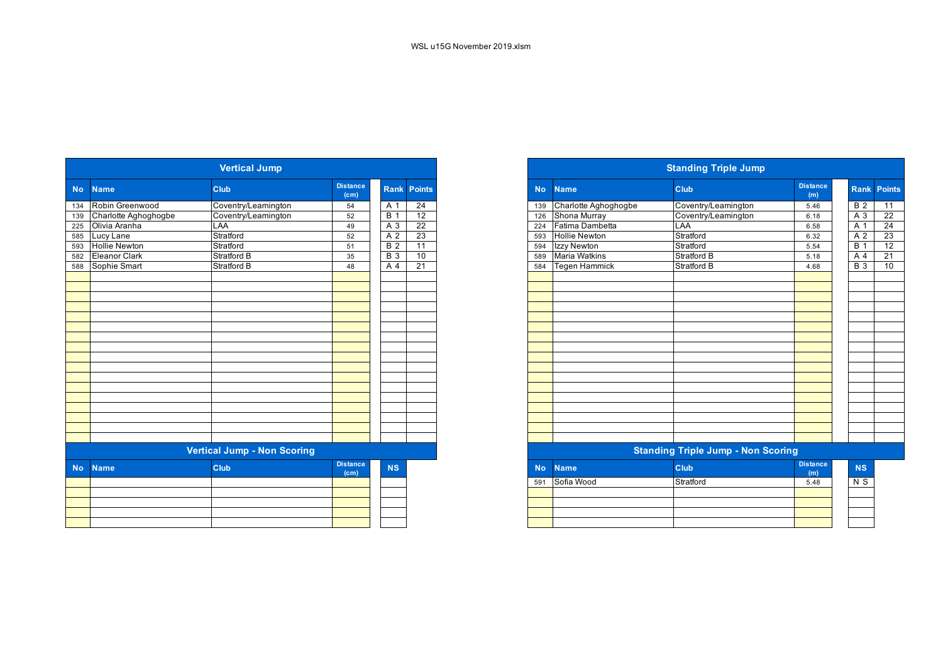|           |                                    | <b>Vertical Jump</b> |                                      |                  |                    |  |  |  |  |  |  |
|-----------|------------------------------------|----------------------|--------------------------------------|------------------|--------------------|--|--|--|--|--|--|
| <b>No</b> | <b>Name</b>                        | <b>Club</b>          | <b>Distance</b><br>(c <sub>m</sub> ) |                  | <b>Rank Points</b> |  |  |  |  |  |  |
| 134       | Robin Greenwood                    | Coventry/Leamington  | 54                                   | A 1              | 24                 |  |  |  |  |  |  |
| 139       | Charlotte Aghoghogbe               | Coventry/Leamington  | 52                                   | <b>B</b> 1       | $\overline{12}$    |  |  |  |  |  |  |
| 225       | Olivia Aranha                      | LAA                  | 49                                   | $A\overline{3}$  | $\overline{22}$    |  |  |  |  |  |  |
| 585       | Lucy Lane                          | Stratford            | 52                                   | $\overline{A}$ 2 | 23                 |  |  |  |  |  |  |
| 593       | <b>Hollie Newton</b>               | Stratford            | 51                                   | $\overline{B}$ 2 | 11                 |  |  |  |  |  |  |
| 582       | <b>Eleanor Clark</b>               | <b>Stratford B</b>   | 35                                   | $\overline{B}$ 3 | 10                 |  |  |  |  |  |  |
| 588       | Sophie Smart                       | Stratford B          | 48                                   | A $\overline{4}$ | 21                 |  |  |  |  |  |  |
|           |                                    |                      |                                      |                  |                    |  |  |  |  |  |  |
|           |                                    |                      |                                      |                  |                    |  |  |  |  |  |  |
|           |                                    |                      |                                      |                  |                    |  |  |  |  |  |  |
|           |                                    |                      |                                      |                  |                    |  |  |  |  |  |  |
|           |                                    |                      |                                      |                  |                    |  |  |  |  |  |  |
|           |                                    |                      |                                      |                  |                    |  |  |  |  |  |  |
|           |                                    |                      |                                      |                  |                    |  |  |  |  |  |  |
|           |                                    |                      |                                      |                  |                    |  |  |  |  |  |  |
|           |                                    |                      |                                      |                  |                    |  |  |  |  |  |  |
|           |                                    |                      |                                      |                  |                    |  |  |  |  |  |  |
|           |                                    |                      |                                      |                  |                    |  |  |  |  |  |  |
|           |                                    |                      |                                      |                  |                    |  |  |  |  |  |  |
|           |                                    |                      |                                      |                  |                    |  |  |  |  |  |  |
|           |                                    |                      |                                      |                  |                    |  |  |  |  |  |  |
|           |                                    |                      |                                      |                  |                    |  |  |  |  |  |  |
|           |                                    |                      |                                      |                  |                    |  |  |  |  |  |  |
|           |                                    |                      |                                      |                  |                    |  |  |  |  |  |  |
|           | <b>Vertical Jump - Non Scoring</b> |                      |                                      |                  |                    |  |  |  |  |  |  |
| <b>No</b> | <b>Name</b>                        | Club                 | <b>Distance</b>                      | <b>NS</b>        |                    |  |  |  |  |  |  |
|           |                                    |                      | (c <sub>m</sub> )                    |                  |                    |  |  |  |  |  |  |
|           |                                    |                      |                                      |                  |                    |  |  |  |  |  |  |
|           |                                    |                      |                                      |                  |                    |  |  |  |  |  |  |
|           |                                    |                      |                                      |                  |                    |  |  |  |  |  |  |
|           |                                    |                      |                                      |                  |                    |  |  |  |  |  |  |
|           |                                    |                      |                                      |                  |                    |  |  |  |  |  |  |

|                      | <b>Vertical Jump</b>               |                         |             |                 |
|----------------------|------------------------------------|-------------------------|-------------|-----------------|
| No Name              | <b>Club</b>                        | <b>Distance</b><br>(cm) | <b>Rank</b> | <b>Points</b>   |
| 134 Robin Greenwood  | Coventry/Leamington                | 54                      | A 1         | 24              |
| Charlotte Aghoghogbe | Coventry/Leamington                | 52                      | B           | 12              |
| Olivia Aranha        | LAA                                | 49                      | A 3         | $\overline{22}$ |
| Lucy Lane            | Stratford                          | 52                      | A 2         | $\overline{23}$ |
| <b>Hollie Newton</b> | Stratford                          | 51                      | <b>B</b> 2  | 11              |
| <b>Eleanor Clark</b> | <b>Stratford B</b>                 | 35                      | <b>B</b> 3  | 10              |
| 588 Sophie Smart     | Stratford B                        | 48                      | A 4         | $\overline{21}$ |
|                      |                                    |                         |             |                 |
|                      |                                    |                         |             |                 |
|                      |                                    |                         |             |                 |
|                      |                                    |                         |             |                 |
|                      |                                    |                         |             |                 |
|                      |                                    |                         |             |                 |
|                      |                                    |                         |             |                 |
|                      |                                    |                         |             |                 |
|                      |                                    |                         |             |                 |
|                      |                                    |                         |             |                 |
|                      |                                    |                         |             |                 |
|                      |                                    |                         |             |                 |
|                      |                                    |                         |             |                 |
|                      |                                    |                         |             |                 |
|                      |                                    |                         |             |                 |
|                      |                                    |                         |             |                 |
|                      | <b>Vertical Jump - Non Scoring</b> |                         |             |                 |
| <b>Name</b>          | <b>Club</b>                        | <b>Distance</b>         | <b>NS</b>   |                 |

|     | .          | (m)  | . |
|-----|------------|------|---|
| 591 | Stratford  | 5.48 |   |
|     |            |      |   |
|     |            |      |   |
|     |            |      |   |
|     |            |      |   |
|     | Sofia Wood |      |   |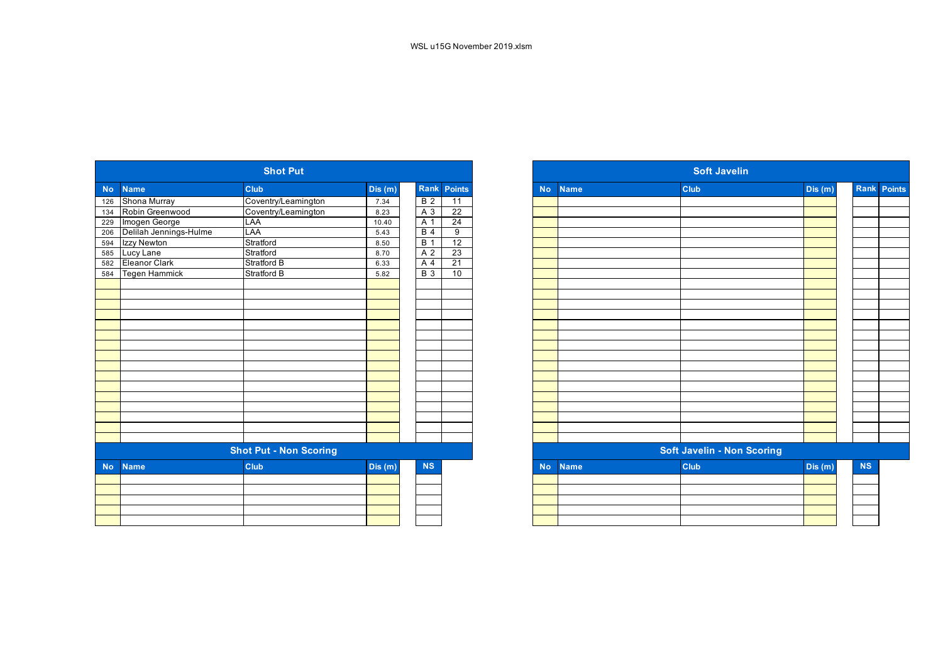|           |                        | <b>Shot Put</b>               |        |                  |                 |           |             | <b>Soft Javelin</b>               |         |
|-----------|------------------------|-------------------------------|--------|------------------|-----------------|-----------|-------------|-----------------------------------|---------|
| <b>No</b> | <b>Name</b>            | <b>Club</b>                   | Dis(m) |                  | Rank Points     | <b>No</b> | <b>Name</b> | Club                              | Dis (m) |
| 126       | Shona Murray           | Coventry/Leamington           | 7.34   | $\overline{B}$ 2 | $\overline{11}$ |           |             |                                   |         |
| 134       | Robin Greenwood        | Coventry/Leamington           | 8.23   | $A_3$            | $\overline{22}$ |           |             |                                   |         |
| 229       | Imogen George          | LAA                           | 10.40  | A 1              | 24              |           |             |                                   |         |
| 206       | Delilah Jennings-Hulme | LAA                           | 5.43   | <b>B</b> 4       | 9               |           |             |                                   |         |
| 594       | Izzy Newton            | Stratford                     | 8.50   | B <sub>1</sub>   | 12              |           |             |                                   |         |
| 585       | Lucy Lane              | Stratford                     | 8.70   | A 2              | 23              |           |             |                                   |         |
| 582       | Eleanor Clark          | <b>Stratford B</b>            | 6.33   | A 4              | $\overline{21}$ |           |             |                                   |         |
| 584       | <b>Tegen Hammick</b>   | <b>Stratford B</b>            | 5.82   | $B_3$            | 10              |           |             |                                   |         |
|           |                        |                               |        |                  |                 |           |             |                                   |         |
|           |                        |                               |        |                  |                 |           |             |                                   |         |
|           |                        |                               |        |                  |                 |           |             |                                   |         |
|           |                        |                               |        |                  |                 |           |             |                                   |         |
|           |                        |                               |        |                  |                 |           |             |                                   |         |
|           |                        |                               |        |                  |                 |           |             |                                   |         |
|           |                        |                               |        |                  |                 |           |             |                                   |         |
|           |                        |                               |        |                  |                 |           |             |                                   |         |
|           |                        |                               |        |                  |                 |           |             |                                   |         |
|           |                        |                               |        |                  |                 |           |             |                                   |         |
|           |                        |                               |        |                  |                 |           |             |                                   |         |
|           |                        |                               |        |                  |                 |           |             |                                   |         |
|           |                        |                               |        |                  |                 |           |             |                                   |         |
|           |                        |                               |        |                  |                 |           |             |                                   |         |
|           |                        |                               |        |                  |                 |           |             |                                   |         |
|           |                        | <b>Shot Put - Non Scoring</b> |        |                  |                 |           |             | <b>Soft Javelin - Non Scoring</b> |         |
| <b>No</b> | <b>Name</b>            | <b>Club</b>                   | Dis(m) | <b>NS</b>        |                 | <b>No</b> | <b>Name</b> | Club                              | Dis(m)  |
|           |                        |                               |        |                  |                 |           |             |                                   |         |
|           |                        |                               |        |                  |                 |           |             |                                   |         |
|           |                        |                               |        |                  |                 |           |             |                                   |         |
|           |                        |                               |        |                  |                 |           |             |                                   |         |
|           |                        |                               |        |                  |                 |           |             |                                   |         |
|           |                        |                               |        |                  |                 |           |             |                                   |         |

|            |                        | <b>Shot Put</b>               |        |                  |                 |
|------------|------------------------|-------------------------------|--------|------------------|-----------------|
| <b>No</b>  | <b>Name</b>            | <b>Club</b>                   | Dis(m) | Rank             | Points          |
| 126        | Shona Murray           | Coventry/Leamington           | 7.34   | B <sub>2</sub>   | $\overline{11}$ |
| 134        | Robin Greenwood        | Coventry/Leamington           | 8.23   | A 3              | $\overline{22}$ |
|            | Imogen George          | LAA                           | 10.40  | A 1              | $\overline{24}$ |
| 229<br>206 | Delilah Jennings-Hulme | LAA                           | 5.43   | B <sub>4</sub>   | 9               |
| 594        | Izzy Newton            | Stratford                     | 8.50   | $\overline{B}$ 1 | 12              |
| 585        | Lucy Lane              | Stratford                     | 8.70   | A <sub>2</sub>   | 23              |
| 582        | <b>Eleanor Clark</b>   | Stratford B                   | 6.33   | A 4              | $\overline{21}$ |
| 584        | Tegen Hammick          | <b>Stratford B</b>            | 5.82   | <b>B</b> 3       | 10              |
|            |                        |                               |        |                  |                 |
|            |                        |                               |        |                  |                 |
|            |                        |                               |        |                  |                 |
|            |                        |                               |        |                  |                 |
|            |                        |                               |        |                  |                 |
|            |                        |                               |        |                  |                 |
|            |                        |                               |        |                  |                 |
|            |                        |                               |        |                  |                 |
|            |                        |                               |        |                  |                 |
|            |                        |                               |        |                  |                 |
|            |                        |                               |        |                  |                 |
|            |                        |                               |        |                  |                 |
|            |                        |                               |        |                  |                 |
|            |                        |                               |        |                  |                 |
|            |                        |                               |        |                  |                 |
|            |                        |                               |        |                  |                 |
|            |                        | <b>Shot Put - Non Scoring</b> |        |                  |                 |
| <b>No</b>  | <b>Name</b>            | <b>Club</b>                   | Dis(m) | <b>NS</b>        |                 |
|            |                        |                               |        |                  |                 |
|            |                        |                               |        |                  |                 |
|            |                        |                               |        |                  |                 |
|            |                        |                               |        |                  |                 |
|            |                        |                               |        |                  |                 |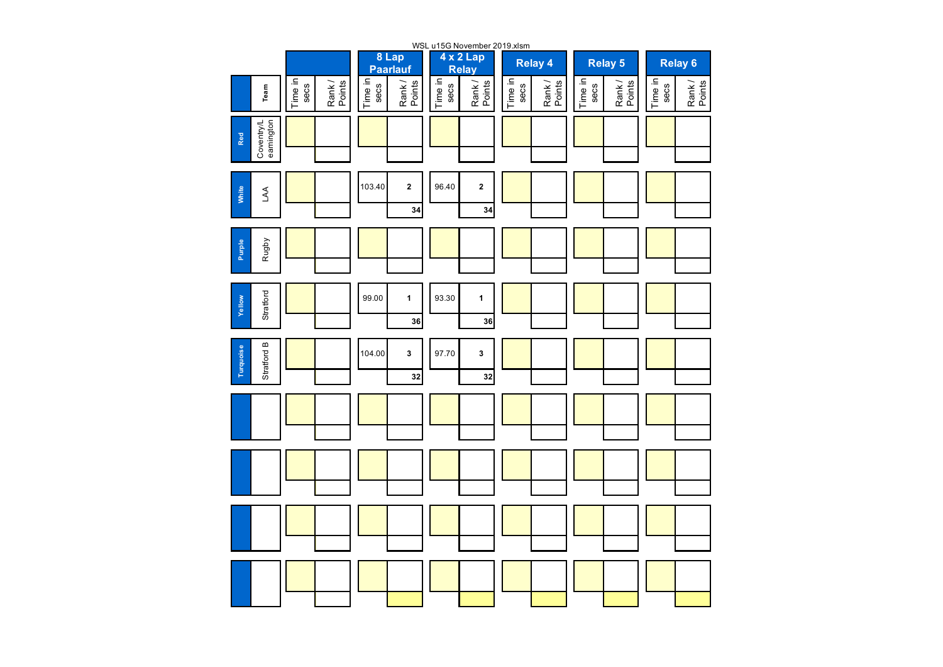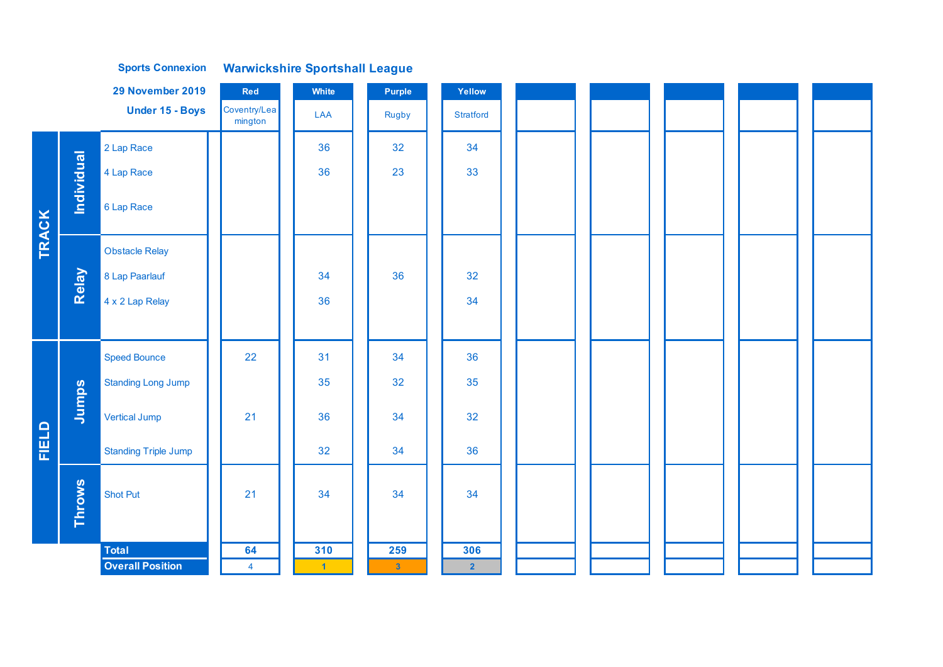|              |            | 29 November 2019            | Red                     | White | Purple       | Yellow                  |
|--------------|------------|-----------------------------|-------------------------|-------|--------------|-------------------------|
|              |            | Under 15 - Boys             | Coventry/Lea<br>mington | LAA   | <b>Rugby</b> | <b>Stratford</b>        |
|              |            | 2 Lap Race                  |                         | 36    | 32           | 34                      |
|              | Individual | 4 Lap Race                  |                         | 36    | 23           | 33                      |
|              |            | 6 Lap Race                  |                         |       |              |                         |
| <b>TRACK</b> |            | <b>Obstacle Relay</b>       |                         |       |              |                         |
|              | Relay      | 8 Lap Paarlauf              |                         | 34    | 36           | 32                      |
|              |            | 4 x 2 Lap Relay             |                         | 36    |              | 34                      |
|              |            |                             |                         |       |              |                         |
|              |            | <b>Speed Bounce</b>         | 22                      | 31    | 34           | 36                      |
|              |            | <b>Standing Long Jump</b>   |                         | 35    | 32           | 35                      |
|              | Jumps      | Vertical Jump               | 21                      | 36    | 34           | 32                      |
| <b>FIELD</b> |            | <b>Standing Triple Jump</b> |                         | 32    | 34           | 36                      |
|              |            | <b>Shot Put</b>             | 21                      | 34    | 34           | 34                      |
|              | Throws     |                             |                         |       |              |                         |
|              |            | <b>Total</b>                | 64                      | 310   | 259          | 306                     |
|              |            | <b>Overall Position</b>     | $\overline{4}$          | $-1$  | $\mathbf{3}$ | $\overline{\mathbf{2}}$ |

**Warwickshire Sportshall League Sports Connexion**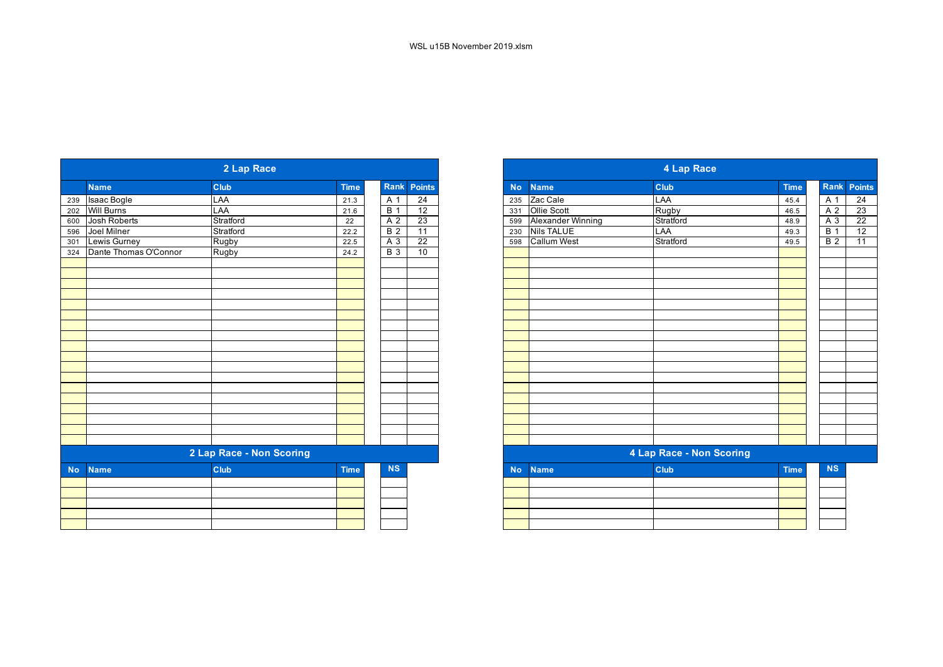| <b>Name</b><br><b>Name</b>   |                       | 2 Lap Race               |             |                |                 |
|------------------------------|-----------------------|--------------------------|-------------|----------------|-----------------|
| 596<br>324<br><b>No</b>      |                       | <b>Club</b>              | <b>Time</b> | Rank           | Points          |
| 202 Will Burns<br>600<br>301 | 239 Isaac Bogle       | LAA                      | 21.3        | A 1            | $\overline{24}$ |
|                              |                       | LAA                      | 21.6        | B <sub>1</sub> | 12              |
|                              | Josh Roberts          | Stratford                | 22          | A 2            | 23              |
|                              | Joel Milner           | Stratford                | 22.2        | B <sub>2</sub> | 11              |
|                              | Lewis Gurney          | Rugby                    | 22.5        | A 3            | 22              |
|                              | Dante Thomas O'Connor | Rugby                    | 24.2        | <b>B</b> 3     | 10              |
|                              |                       |                          |             |                |                 |
|                              |                       |                          |             |                |                 |
|                              |                       |                          |             |                |                 |
|                              |                       |                          |             |                |                 |
|                              |                       |                          |             |                |                 |
|                              |                       |                          |             |                |                 |
|                              |                       |                          |             |                |                 |
|                              |                       |                          |             |                |                 |
|                              |                       |                          |             |                |                 |
|                              |                       |                          |             |                |                 |
|                              |                       |                          |             |                |                 |
|                              |                       |                          |             |                |                 |
|                              |                       |                          |             |                |                 |
|                              |                       |                          |             |                |                 |
|                              |                       |                          |             |                |                 |
|                              |                       |                          |             |                |                 |
|                              |                       |                          |             |                |                 |
|                              |                       |                          |             |                |                 |
|                              |                       | 2 Lap Race - Non Scoring |             |                |                 |
|                              |                       | Club                     | <b>Time</b> | NS             |                 |
|                              |                       |                          |             |                |                 |
|                              |                       |                          |             |                |                 |
|                              |                       |                          |             |                |                 |
|                              |                       |                          |             |                |                 |
|                              |                       |                          |             |                |                 |

|                       | 2 Lap Race               |             |                          |
|-----------------------|--------------------------|-------------|--------------------------|
| <b>Name</b>           | Club                     | <b>Time</b> | Rank Points              |
| Isaac Bogle           | LAA                      | 21.3        | $\overline{24}$<br>A 1   |
| Will Burns            | LAA                      | 21.6        | <b>B</b> 1<br>12         |
| Josh Roberts          | Stratford                | 22          | 23<br>A <sub>2</sub>     |
| Joel Milner           | Stratford                | 22.2        | <b>B</b> 2<br>11         |
| Lewis Gurney          | Rugby                    | 22.5        | $A_3$<br>$\overline{22}$ |
| Dante Thomas O'Connor | Rugby                    | 24.2        | 10<br>$B_3$              |
|                       |                          |             |                          |
|                       |                          |             |                          |
|                       |                          |             |                          |
|                       |                          |             |                          |
|                       |                          |             |                          |
|                       |                          |             |                          |
|                       |                          |             |                          |
|                       |                          |             |                          |
|                       |                          |             |                          |
|                       |                          |             |                          |
|                       |                          |             |                          |
|                       | 2 Lap Race - Non Scoring |             |                          |
| <b>Name</b>           | Club                     | <b>Time</b> | <b>NS</b>                |
|                       |                          |             |                          |
|                       |                          |             |                          |
|                       |                          |             |                          |
|                       |                          |             |                          |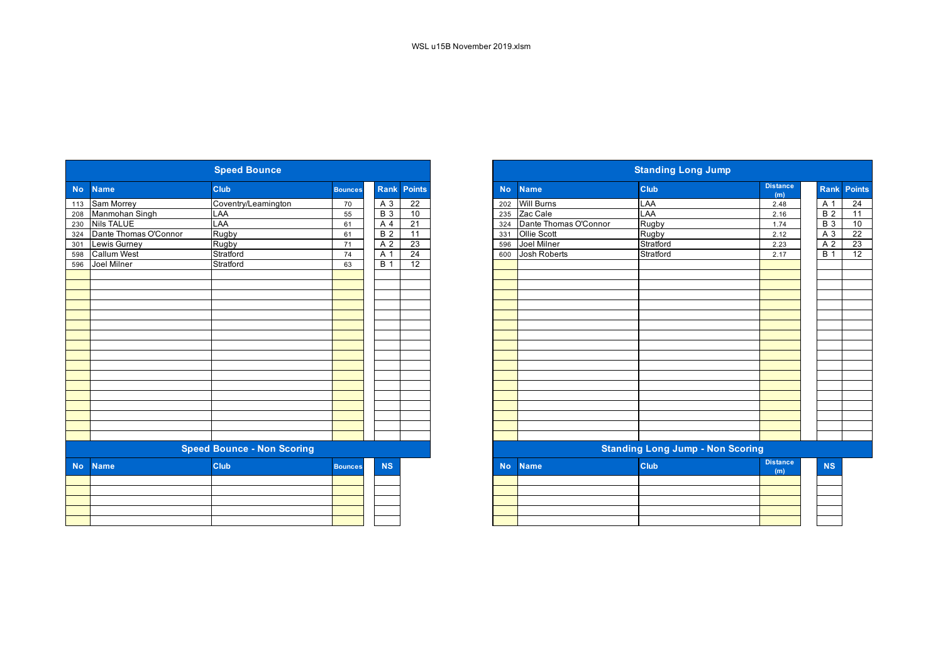|           |                       | <b>Speed Bounce</b>               |                |                  |                 |           |                       | <b>Standing Long Jump</b>               |                        |
|-----------|-----------------------|-----------------------------------|----------------|------------------|-----------------|-----------|-----------------------|-----------------------------------------|------------------------|
| <b>No</b> | <b>Name</b>           | <b>Club</b>                       | <b>Bounces</b> | Rank             | <b>Points</b>   | <b>No</b> | <b>Name</b>           | Club                                    | <b>Distance</b><br>(m) |
| 113       | <b>Sam Morrey</b>     | Coventry/Leamington               | 70             | $A_3$            | $\overline{22}$ | 202       | <b>Will Burns</b>     | LAA                                     | 2.48                   |
| 208       | Manmohan Singh        | LAA                               | 55             | <b>B</b> 3       | 10              | 235       | Zac Cale              | LAA                                     | 2.16                   |
| 230       | <b>Nils TALUE</b>     | LAA                               | 61             | A 4              | $\overline{21}$ | 324       | Dante Thomas O'Connor | <b>Rugby</b>                            | 1.74                   |
| 324       | Dante Thomas O'Connor | Rugby                             | 61             | $\overline{B}$ 2 | 11              | 331       | <b>Ollie Scott</b>    | <b>Rugby</b>                            | 2.12                   |
| 301       | Lewis Gurney          | Rugby                             | 71             | A 2              | 23              | 596       | Joel Milner           | Stratford                               | 2.23                   |
| 598       | <b>Callum West</b>    | Stratford                         | 74             | A 1              | 24              | 600       | <b>Josh Roberts</b>   | Stratford                               | 2.17                   |
| 596       | Joel Milner           | Stratford                         | 63             | <b>B</b> 1       | 12              |           |                       |                                         |                        |
|           |                       |                                   |                |                  |                 |           |                       |                                         |                        |
|           |                       |                                   |                |                  |                 |           |                       |                                         |                        |
|           |                       |                                   |                |                  |                 |           |                       |                                         |                        |
|           |                       |                                   |                |                  |                 |           |                       |                                         |                        |
|           |                       |                                   |                |                  |                 |           |                       |                                         |                        |
|           |                       |                                   |                |                  |                 |           |                       |                                         |                        |
|           |                       |                                   |                |                  |                 |           |                       |                                         |                        |
|           |                       |                                   |                |                  |                 |           |                       |                                         |                        |
|           |                       |                                   |                |                  |                 |           |                       |                                         |                        |
|           |                       |                                   |                |                  |                 |           |                       |                                         |                        |
|           |                       |                                   |                |                  |                 |           |                       |                                         |                        |
|           |                       |                                   |                |                  |                 |           |                       |                                         |                        |
|           |                       |                                   |                |                  |                 |           |                       |                                         |                        |
|           |                       |                                   |                |                  |                 |           |                       |                                         |                        |
|           |                       |                                   |                |                  |                 |           |                       |                                         |                        |
|           |                       |                                   |                |                  |                 |           |                       |                                         |                        |
|           |                       |                                   |                |                  |                 |           |                       |                                         |                        |
|           |                       | <b>Speed Bounce - Non Scoring</b> |                |                  |                 |           |                       | <b>Standing Long Jump - Non Scoring</b> |                        |
| <b>No</b> | <b>Name</b>           | <b>Club</b>                       | <b>Bounces</b> | <b>NS</b>        |                 | <b>No</b> | <b>Name</b>           | Club                                    | <b>Distance</b><br>(m) |
|           |                       |                                   |                |                  |                 |           |                       |                                         |                        |
|           |                       |                                   |                |                  |                 |           |                       |                                         |                        |
|           |                       |                                   |                |                  |                 |           |                       |                                         |                        |
|           |                       |                                   |                |                  |                 |           |                       |                                         |                        |
|           |                       |                                   |                |                  |                 |           |                       |                                         |                        |

|            |                       | <b>Speed Bounce</b>               |                |                  |                 |
|------------|-----------------------|-----------------------------------|----------------|------------------|-----------------|
| <b>No</b>  | <b>Name</b>           | <b>Club</b>                       | <b>Bounces</b> | Rank             | Points          |
|            | 113 Sam Morrey        | Coventry/Leamington               | 70             | A 3              | $\overline{22}$ |
|            | 208 Manmohan Singh    | LAA                               | 55             | <b>B</b> 3       | 10              |
| 230<br>324 | Nils TALUE            | LAA                               | 61             | A 4              | 21              |
|            | Dante Thomas O'Connor | Rugby                             | 61             | $\overline{B}$ 2 | 11              |
|            | Lewis Gurney          | Rugby                             | 71             | A 2              | 23              |
| 598<br>596 | <b>Callum West</b>    | Stratford                         | 74             | A 1              | 24              |
|            | Joel Milner           | Stratford                         | 63             | $\overline{B}$ 1 | 12              |
|            |                       |                                   |                |                  |                 |
|            |                       |                                   |                |                  |                 |
|            |                       |                                   |                |                  |                 |
|            |                       |                                   |                |                  |                 |
|            |                       |                                   |                |                  |                 |
|            |                       |                                   |                |                  |                 |
|            |                       |                                   |                |                  |                 |
|            |                       |                                   |                |                  |                 |
|            |                       |                                   |                |                  |                 |
|            |                       |                                   |                |                  |                 |
|            |                       |                                   |                |                  |                 |
|            |                       |                                   |                |                  |                 |
|            |                       |                                   |                |                  |                 |
|            |                       |                                   |                |                  |                 |
|            |                       |                                   |                |                  |                 |
|            |                       |                                   |                |                  |                 |
|            |                       |                                   |                |                  |                 |
|            |                       | <b>Speed Bounce - Non Scoring</b> |                |                  |                 |
| <b>No</b>  | <b>Name</b>           | <b>Club</b>                       | <b>Bounces</b> | <b>NS</b>        |                 |
|            |                       |                                   |                |                  |                 |
|            |                       |                                   |                |                  |                 |
|            |                       |                                   |                |                  |                 |
|            |                       |                                   |                |                  |                 |
|            |                       |                                   |                |                  |                 |
|            |                       |                                   |                |                  |                 |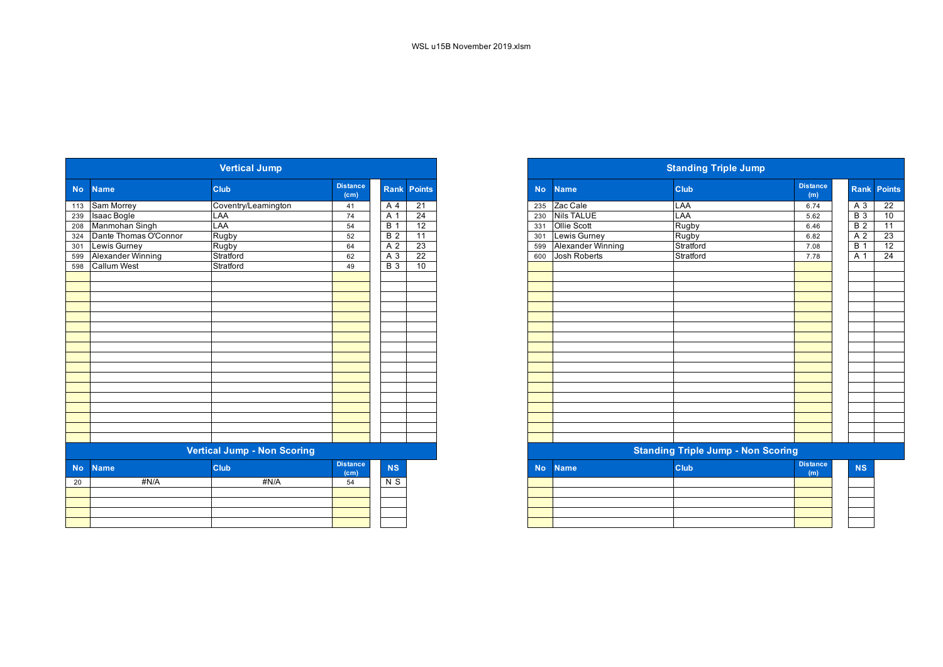|           |                       | <b>Vertical Jump</b>               |                                      |                  |                    |
|-----------|-----------------------|------------------------------------|--------------------------------------|------------------|--------------------|
| <b>No</b> | <b>Name</b>           | <b>Club</b>                        | <b>Distance</b><br>(c <sub>m</sub> ) |                  | <b>Rank Points</b> |
| 113       | Sam Morrey            | Coventry/Leamington                | 41                                   | A 4              | 21                 |
| 239       | Isaac Bogle           | LAA                                | 74                                   | A 1              | 24                 |
| 208       | Manmohan Singh        | LAA                                | 54                                   | $\overline{B}$ 1 | 12                 |
| 324       | Dante Thomas O'Connor | Rugby                              | 52                                   | $\overline{B}$ 2 | 11                 |
| 301       | Lewis Gurney          | Rugby                              | 64                                   | A <sub>2</sub>   | 23                 |
| 599       | Alexander Winning     | Stratford                          | 62                                   | $\overline{A}3$  | $\overline{22}$    |
| 598       | <b>Callum West</b>    | Stratford                          | 49                                   | $\overline{B}$ 3 | 10                 |
|           |                       |                                    |                                      |                  |                    |
|           |                       |                                    |                                      |                  |                    |
|           |                       |                                    |                                      |                  |                    |
|           |                       |                                    |                                      |                  |                    |
|           |                       |                                    |                                      |                  |                    |
|           |                       |                                    |                                      |                  |                    |
|           |                       |                                    |                                      |                  |                    |
|           |                       |                                    |                                      |                  |                    |
|           |                       |                                    |                                      |                  |                    |
|           |                       |                                    |                                      |                  |                    |
|           |                       |                                    |                                      |                  |                    |
|           |                       |                                    |                                      |                  |                    |
|           |                       |                                    |                                      |                  |                    |
|           |                       |                                    |                                      |                  |                    |
|           |                       |                                    |                                      |                  |                    |
|           |                       |                                    |                                      |                  |                    |
|           |                       |                                    |                                      |                  |                    |
|           |                       | <b>Vertical Jump - Non Scoring</b> |                                      |                  |                    |
| <b>No</b> | <b>Name</b>           | <b>Club</b>                        | <b>Distance</b>                      | <b>NS</b>        |                    |
|           |                       |                                    | (cm)                                 |                  |                    |
| 20        | #N/A                  | #N/A                               | 54                                   | N <sub>S</sub>   |                    |
|           |                       |                                    |                                      |                  |                    |
|           |                       |                                    |                                      |                  |                    |
|           |                       |                                    |                                      |                  |                    |
|           |                       |                                    |                                      |                  |                    |
|           |                       |                                    |                                      |                  |                    |

|           |                       | <b>Vertical Jump</b>               |                                      |                  |                 |
|-----------|-----------------------|------------------------------------|--------------------------------------|------------------|-----------------|
|           | <b>Name</b>           | <b>Club</b>                        | <b>Distance</b><br>(cm)              | <b>Rank</b>      | <b>Points</b>   |
|           | 113 Sam Morrey        | Coventry/Leamington                | 41                                   | A 4              | $\overline{21}$ |
|           | 239 Isaac Bogle       | LAA                                | 74                                   | A 1              | $\overline{24}$ |
|           | 208 Manmohan Singh    | LAA                                | 54                                   | $\overline{B}$ 1 | $\overline{12}$ |
|           | Dante Thomas O'Connor | Rugby                              | 52                                   | $\overline{B}$ 2 | 11              |
| 599       | 301 Lewis Gurney      | Rugby                              | 64                                   | A 2              | $\overline{23}$ |
|           | Alexander Winning     | Stratford                          | 62                                   | A 3              | 22              |
|           | <b>Callum West</b>    | Stratford                          | 49                                   | <b>B</b> 3       | 10              |
|           |                       |                                    |                                      |                  |                 |
|           |                       |                                    |                                      |                  |                 |
|           |                       |                                    |                                      |                  |                 |
|           |                       |                                    |                                      |                  |                 |
|           |                       |                                    |                                      |                  |                 |
|           |                       |                                    |                                      |                  |                 |
|           |                       |                                    |                                      |                  |                 |
|           |                       |                                    |                                      |                  |                 |
|           |                       |                                    |                                      |                  |                 |
|           |                       |                                    |                                      |                  |                 |
|           |                       |                                    |                                      |                  |                 |
|           |                       |                                    |                                      |                  |                 |
|           |                       |                                    |                                      |                  |                 |
|           |                       |                                    |                                      |                  |                 |
|           |                       |                                    |                                      |                  |                 |
|           |                       |                                    |                                      |                  |                 |
|           |                       |                                    |                                      |                  |                 |
|           |                       | <b>Vertical Jump - Non Scoring</b> |                                      |                  |                 |
| <b>No</b> | <b>Name</b>           | <b>Club</b>                        | <b>Distance</b><br>(c <sub>m</sub> ) | <b>NS</b>        |                 |
| 20        | #N/A                  | #N/A                               | 54                                   | N S              |                 |
|           |                       |                                    |                                      |                  |                 |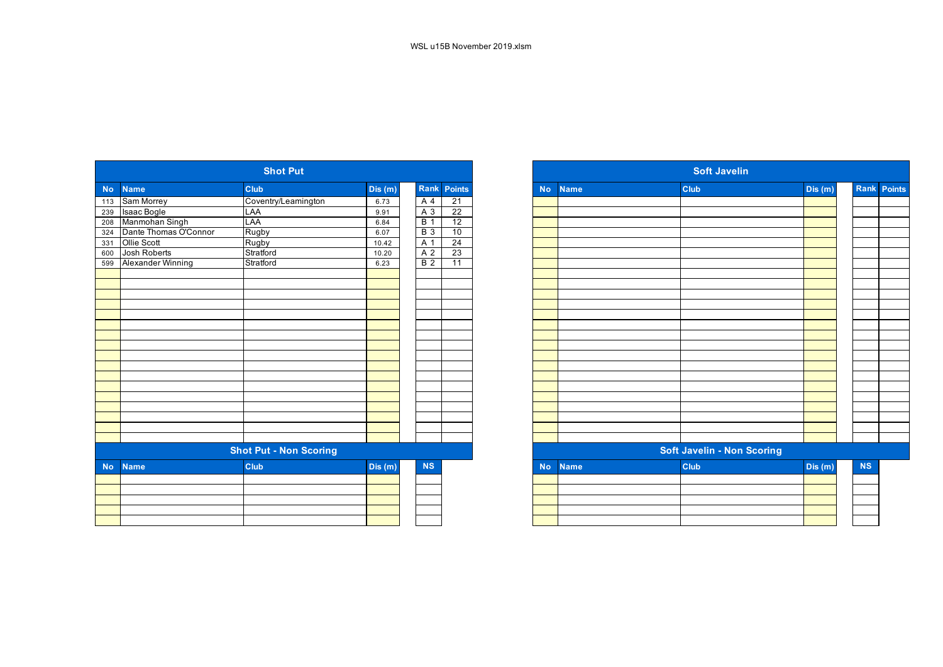|                |                       | <b>Shot Put</b>               |         |                  |                    |
|----------------|-----------------------|-------------------------------|---------|------------------|--------------------|
| N <sub>o</sub> | <b>Name</b>           | <b>Club</b>                   | Dis (m) |                  | <b>Rank Points</b> |
| 113            | Sam Morrey            | Coventry/Leamington           | 6.73    | A 4              | 21                 |
|                | 239 Isaac Bogle       | LAA                           | 9.91    | $A_3$            | 22                 |
| 208            | Manmohan Singh        | LAA                           | 6.84    | $\overline{B}$ 1 | 12                 |
| 324            | Dante Thomas O'Connor | Rugby                         | 6.07    | <b>B</b> 3       | 10                 |
| 331            | Ollie Scott           | Rugby                         | 10.42   | A 1              | $\overline{24}$    |
| 600            | <b>Josh Roberts</b>   | Stratford                     | 10.20   | A <sub>2</sub>   | 23                 |
| 599            | Alexander Winning     | Stratford                     | 6.23    | B <sub>2</sub>   | $\overline{11}$    |
|                |                       |                               |         |                  |                    |
|                |                       |                               |         |                  |                    |
|                |                       |                               |         |                  |                    |
|                |                       |                               |         |                  |                    |
|                |                       |                               |         |                  |                    |
|                |                       |                               |         |                  |                    |
|                |                       |                               |         |                  |                    |
|                |                       |                               |         |                  |                    |
|                |                       |                               |         |                  |                    |
|                |                       |                               |         |                  |                    |
|                |                       |                               |         |                  |                    |
|                |                       |                               |         |                  |                    |
|                |                       |                               |         |                  |                    |
|                |                       |                               |         |                  |                    |
|                |                       |                               |         |                  |                    |
|                |                       |                               |         |                  |                    |
|                |                       |                               |         |                  |                    |
|                |                       | <b>Shot Put - Non Scoring</b> |         |                  |                    |
| <b>No</b>      | <b>Name</b>           | <b>Club</b>                   | Dis(m)  | <b>NS</b>        |                    |
|                |                       |                               |         |                  |                    |
|                |                       |                               |         |                  |                    |
|                |                       |                               |         |                  |                    |
|                |                       |                               |         |                  |                    |
|                |                       |                               |         |                  |                    |
|                |                       |                               |         |                  |                    |

|                                    | <b>Shot Put</b>             |                               |                    |                 |
|------------------------------------|-----------------------------|-------------------------------|--------------------|-----------------|
| <b>Club</b><br><b>Name</b>         | Dis(m)                      |                               | <b>Rank Points</b> |                 |
| Sam Morrey                         | Coventry/Leamington<br>6.73 |                               | A 4                | $\overline{21}$ |
| Isaac Bogle<br><b>LAA</b>          | 9.91                        |                               | A 3                | 22              |
| Manmohan Singh<br>LAA              | 6.84                        |                               | <b>B</b> 1         | 12              |
| Dante Thomas O'Connor<br>Rugby     | 6.07                        |                               | $B_3$              | 10              |
| Ollie Scott<br>Rugby               | 10.42                       |                               | A 1                | 24              |
| Josh Roberts<br>Stratford          | 10.20                       |                               | A <sub>2</sub>     | 23              |
| 599 Alexander Winning<br>Stratford | 6.23                        |                               | $\overline{B}$ 2   | $\overline{11}$ |
|                                    |                             |                               |                    |                 |
|                                    |                             |                               |                    |                 |
|                                    |                             |                               |                    |                 |
|                                    |                             |                               |                    |                 |
|                                    |                             |                               |                    |                 |
|                                    |                             |                               |                    |                 |
|                                    |                             |                               |                    |                 |
|                                    |                             |                               |                    |                 |
|                                    |                             |                               |                    |                 |
|                                    |                             |                               |                    |                 |
|                                    |                             |                               |                    |                 |
|                                    |                             |                               |                    |                 |
|                                    |                             |                               |                    |                 |
|                                    |                             |                               |                    |                 |
|                                    |                             |                               |                    |                 |
|                                    |                             |                               |                    |                 |
|                                    |                             |                               |                    |                 |
|                                    |                             |                               |                    |                 |
| Club<br><b>Name</b>                |                             |                               | <b>NS</b>          |                 |
|                                    |                             |                               |                    |                 |
|                                    |                             |                               |                    |                 |
|                                    |                             |                               |                    |                 |
|                                    |                             |                               |                    |                 |
|                                    |                             |                               |                    |                 |
|                                    |                             | <b>Shot Put - Non Scoring</b> | Dis $(n)$          |                 |